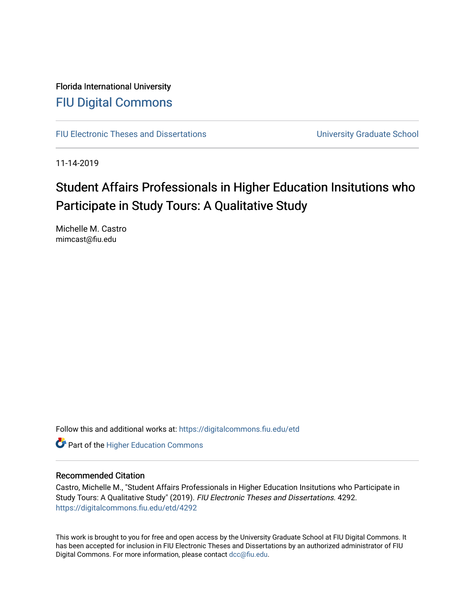Florida International University [FIU Digital Commons](https://digitalcommons.fiu.edu/)

[FIU Electronic Theses and Dissertations](https://digitalcommons.fiu.edu/etd) **EXEC 10 ACCOLLECT** University Graduate School

11-14-2019

# Student Affairs Professionals in Higher Education Insitutions who Participate in Study Tours: A Qualitative Study

Michelle M. Castro mimcast@fiu.edu

Follow this and additional works at: [https://digitalcommons.fiu.edu/etd](https://digitalcommons.fiu.edu/etd?utm_source=digitalcommons.fiu.edu%2Fetd%2F4292&utm_medium=PDF&utm_campaign=PDFCoverPages)

**Part of the Higher Education Commons** 

# Recommended Citation

Castro, Michelle M., "Student Affairs Professionals in Higher Education Insitutions who Participate in Study Tours: A Qualitative Study" (2019). FIU Electronic Theses and Dissertations. 4292. [https://digitalcommons.fiu.edu/etd/4292](https://digitalcommons.fiu.edu/etd/4292?utm_source=digitalcommons.fiu.edu%2Fetd%2F4292&utm_medium=PDF&utm_campaign=PDFCoverPages) 

This work is brought to you for free and open access by the University Graduate School at FIU Digital Commons. It has been accepted for inclusion in FIU Electronic Theses and Dissertations by an authorized administrator of FIU Digital Commons. For more information, please contact [dcc@fiu.edu](mailto:dcc@fiu.edu).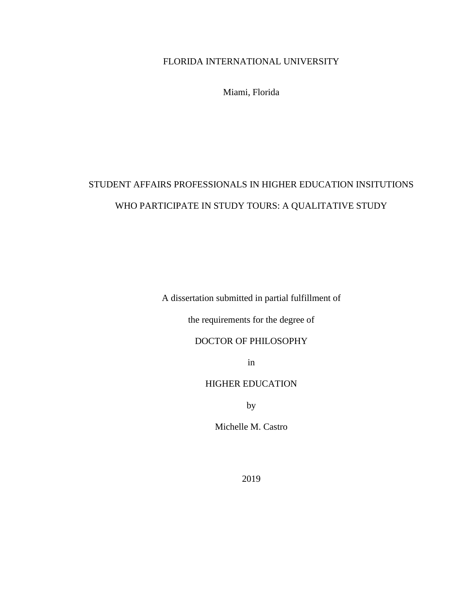# FLORIDA INTERNATIONAL UNIVERSITY

Miami, Florida

# STUDENT AFFAIRS PROFESSIONALS IN HIGHER EDUCATION INSITUTIONS WHO PARTICIPATE IN STUDY TOURS: A QUALITATIVE STUDY

A dissertation submitted in partial fulfillment of

the requirements for the degree of

# DOCTOR OF PHILOSOPHY

in

# HIGHER EDUCATION

by

Michelle M. Castro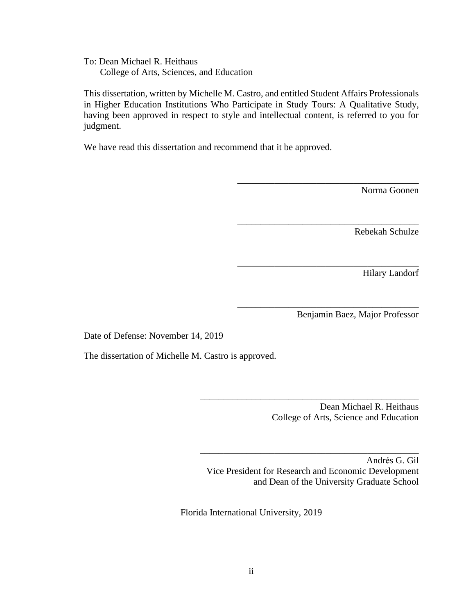To: Dean Michael R. Heithaus College of Arts, Sciences, and Education

This dissertation, written by Michelle M. Castro, and entitled Student Affairs Professionals in Higher Education Institutions Who Participate in Study Tours: A Qualitative Study, having been approved in respect to style and intellectual content, is referred to you for judgment.

We have read this dissertation and recommend that it be approved.

Norma Goonen

Rebekah Schulze

Hilary Landorf

Benjamin Baez, Major Professor

\_\_\_\_\_\_\_\_\_\_\_\_\_\_\_\_\_\_\_\_\_\_\_\_\_\_\_\_\_\_\_\_\_\_\_\_\_\_\_

\_\_\_\_\_\_\_\_\_\_\_\_\_\_\_\_\_\_\_\_\_\_\_\_\_\_\_\_\_\_\_\_\_\_\_\_\_\_\_

\_\_\_\_\_\_\_\_\_\_\_\_\_\_\_\_\_\_\_\_\_\_\_\_\_\_\_\_\_\_\_\_\_\_\_\_\_\_\_

\_\_\_\_\_\_\_\_\_\_\_\_\_\_\_\_\_\_\_\_\_\_\_\_\_\_\_\_\_\_\_\_\_\_\_\_\_\_\_

Date of Defense: November 14, 2019

The dissertation of Michelle M. Castro is approved.

Dean Michael R. Heithaus College of Arts, Science and Education

Andrés G. Gil Vice President for Research and Economic Development and Dean of the University Graduate School

\_\_\_\_\_\_\_\_\_\_\_\_\_\_\_\_\_\_\_\_\_\_\_\_\_\_\_\_\_\_\_\_\_\_\_\_\_\_\_\_\_\_\_\_\_\_\_

\_\_\_\_\_\_\_\_\_\_\_\_\_\_\_\_\_\_\_\_\_\_\_\_\_\_\_\_\_\_\_\_\_\_\_\_\_\_\_\_\_\_\_\_\_\_\_

Florida International University, 2019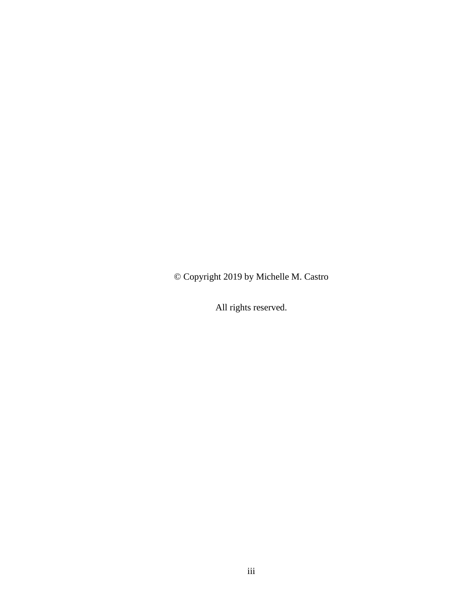© Copyright 2019 by Michelle M. Castro

All rights reserved.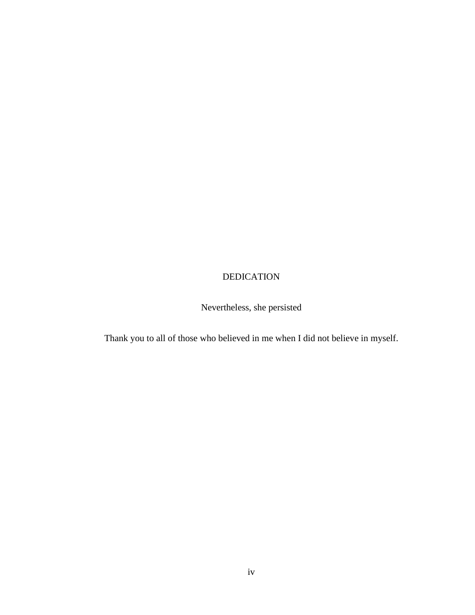# DEDICATION

Nevertheless, she persisted

Thank you to all of those who believed in me when I did not believe in myself.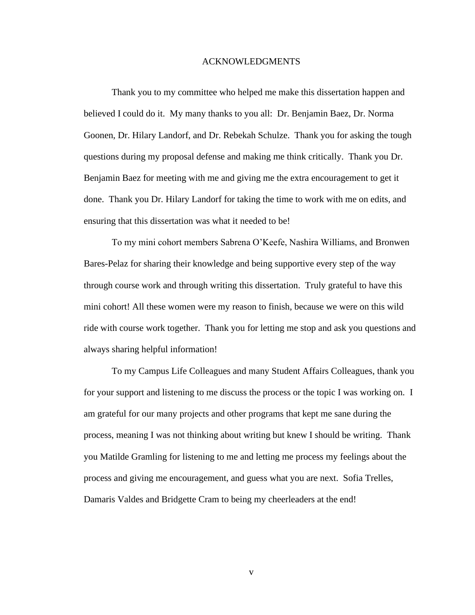#### ACKNOWLEDGMENTS

Thank you to my committee who helped me make this dissertation happen and believed I could do it. My many thanks to you all: Dr. Benjamin Baez, Dr. Norma Goonen, Dr. Hilary Landorf, and Dr. Rebekah Schulze. Thank you for asking the tough questions during my proposal defense and making me think critically. Thank you Dr. Benjamin Baez for meeting with me and giving me the extra encouragement to get it done. Thank you Dr. Hilary Landorf for taking the time to work with me on edits, and ensuring that this dissertation was what it needed to be!

To my mini cohort members Sabrena O'Keefe, Nashira Williams, and Bronwen Bares-Pelaz for sharing their knowledge and being supportive every step of the way through course work and through writing this dissertation. Truly grateful to have this mini cohort! All these women were my reason to finish, because we were on this wild ride with course work together. Thank you for letting me stop and ask you questions and always sharing helpful information!

To my Campus Life Colleagues and many Student Affairs Colleagues, thank you for your support and listening to me discuss the process or the topic I was working on. I am grateful for our many projects and other programs that kept me sane during the process, meaning I was not thinking about writing but knew I should be writing. Thank you Matilde Gramling for listening to me and letting me process my feelings about the process and giving me encouragement, and guess what you are next. Sofia Trelles, Damaris Valdes and Bridgette Cram to being my cheerleaders at the end!

v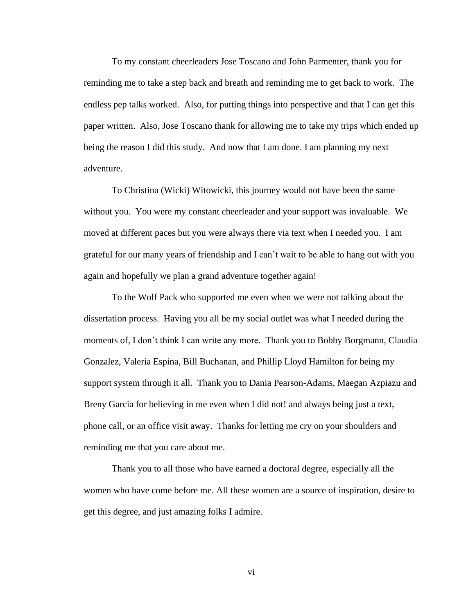To my constant cheerleaders Jose Toscano and John Parmenter, thank you for reminding me to take a step back and breath and reminding me to get back to work. The endless pep talks worked. Also, for putting things into perspective and that I can get this paper written. Also, Jose Toscano thank for allowing me to take my trips which ended up being the reason I did this study. And now that I am done. I am planning my next adventure.

To Christina (Wicki) Witowicki, this journey would not have been the same without you. You were my constant cheerleader and your support was invaluable. We moved at different paces but you were always there via text when I needed you. I am grateful for our many years of friendship and I can't wait to be able to hang out with you again and hopefully we plan a grand adventure together again!

To the Wolf Pack who supported me even when we were not talking about the dissertation process. Having you all be my social outlet was what I needed during the moments of, I don't think I can write any more. Thank you to Bobby Borgmann, Claudia Gonzalez, Valeria Espina, Bill Buchanan, and Phillip Lloyd Hamilton for being my support system through it all. Thank you to Dania Pearson-Adams, Maegan Azpiazu and Breny Garcia for believing in me even when I did not! and always being just a text, phone call, or an office visit away. Thanks for letting me cry on your shoulders and reminding me that you care about me.

Thank you to all those who have earned a doctoral degree, especially all the women who have come before me. All these women are a source of inspiration, desire to get this degree, and just amazing folks I admire.

vi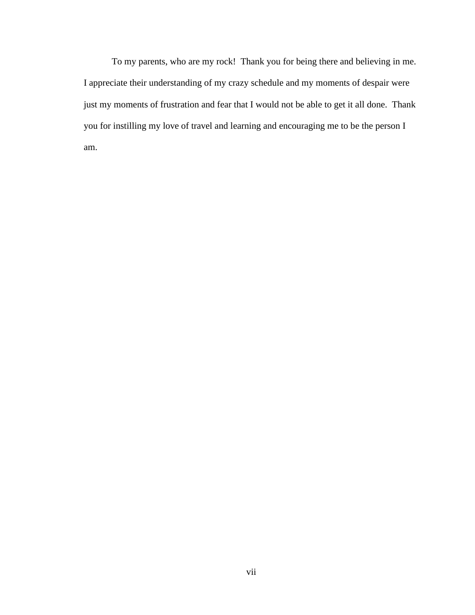To my parents, who are my rock! Thank you for being there and believing in me. I appreciate their understanding of my crazy schedule and my moments of despair were just my moments of frustration and fear that I would not be able to get it all done. Thank you for instilling my love of travel and learning and encouraging me to be the person I am.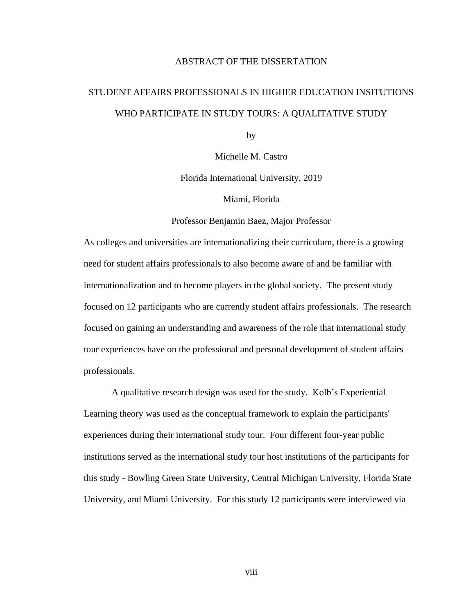# ABSTRACT OF THE DISSERTATION

# STUDENT AFFAIRS PROFESSIONALS IN HIGHER EDUCATION INSITUTIONS WHO PARTICIPATE IN STUDY TOURS: A QUALITATIVE STUDY

by

Michelle M. Castro

Florida International University, 2019

Miami, Florida

#### Professor Benjamin Baez, Major Professor

As colleges and universities are internationalizing their curriculum, there is a growing need for student affairs professionals to also become aware of and be familiar with internationalization and to become players in the global society. The present study focused on 12 participants who are currently student affairs professionals. The research focused on gaining an understanding and awareness of the role that international study tour experiences have on the professional and personal development of student affairs professionals.

A qualitative research design was used for the study. Kolb's Experiential Learning theory was used as the conceptual framework to explain the participants' experiences during their international study tour. Four different four-year public institutions served as the international study tour host institutions of the participants for this study - Bowling Green State University, Central Michigan University, Florida State University, and Miami University. For this study 12 participants were interviewed via

viii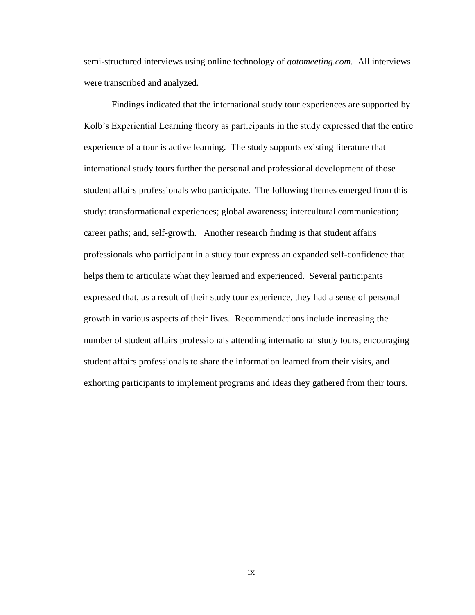semi-structured interviews using online technology of *gotomeeting.com.* All interviews were transcribed and analyzed.

Findings indicated that the international study tour experiences are supported by Kolb's Experiential Learning theory as participants in the study expressed that the entire experience of a tour is active learning. The study supports existing literature that international study tours further the personal and professional development of those student affairs professionals who participate. The following themes emerged from this study: transformational experiences; global awareness; intercultural communication; career paths; and, self-growth. Another research finding is that student affairs professionals who participant in a study tour express an expanded self-confidence that helps them to articulate what they learned and experienced. Several participants expressed that, as a result of their study tour experience, they had a sense of personal growth in various aspects of their lives. Recommendations include increasing the number of student affairs professionals attending international study tours, encouraging student affairs professionals to share the information learned from their visits, and exhorting participants to implement programs and ideas they gathered from their tours.

ix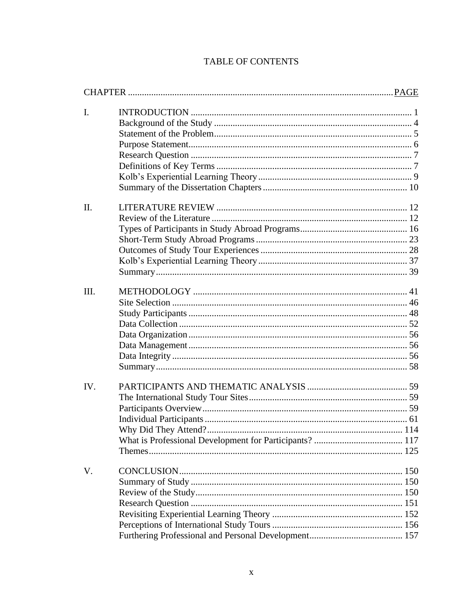| $\mathbf{I}$ . |  |
|----------------|--|
|                |  |
|                |  |
|                |  |
|                |  |
|                |  |
|                |  |
|                |  |
| $\Pi$ .        |  |
|                |  |
|                |  |
|                |  |
|                |  |
|                |  |
|                |  |
| III.           |  |
|                |  |
|                |  |
|                |  |
|                |  |
|                |  |
|                |  |
|                |  |
| IV.            |  |
|                |  |
|                |  |
|                |  |
|                |  |
|                |  |
|                |  |
| V.             |  |
|                |  |
|                |  |
|                |  |
|                |  |
|                |  |
|                |  |
|                |  |

# TABLE OF CONTENTS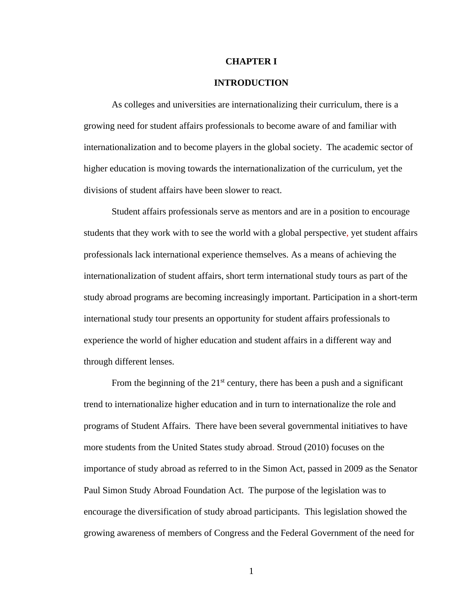#### **CHAPTER I**

### **INTRODUCTION**

<span id="page-12-0"></span>As colleges and universities are internationalizing their curriculum, there is a growing need for student affairs professionals to become aware of and familiar with internationalization and to become players in the global society. The academic sector of higher education is moving towards the internationalization of the curriculum, yet the divisions of student affairs have been slower to react.

Student affairs professionals serve as mentors and are in a position to encourage students that they work with to see the world with a global perspective, yet student affairs professionals lack international experience themselves. As a means of achieving the internationalization of student affairs, short term international study tours as part of the study abroad programs are becoming increasingly important. Participation in a short-term international study tour presents an opportunity for student affairs professionals to experience the world of higher education and student affairs in a different way and through different lenses.

From the beginning of the  $21<sup>st</sup>$  century, there has been a push and a significant trend to internationalize higher education and in turn to internationalize the role and programs of Student Affairs. There have been several governmental initiatives to have more students from the United States study abroad. Stroud (2010) focuses on the importance of study abroad as referred to in the Simon Act, passed in 2009 as the Senator Paul Simon Study Abroad Foundation Act. The purpose of the legislation was to encourage the diversification of study abroad participants. This legislation showed the growing awareness of members of Congress and the Federal Government of the need for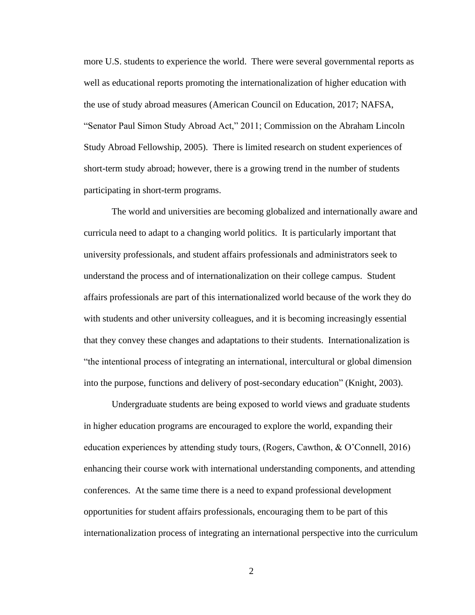more U.S. students to experience the world. There were several governmental reports as well as educational reports promoting the internationalization of higher education with the use of study abroad measures (American Council on Education, 2017; NAFSA, "Senator Paul Simon Study Abroad Act," 2011; Commission on the Abraham Lincoln Study Abroad Fellowship, 2005). There is limited research on student experiences of short-term study abroad; however, there is a growing trend in the number of students participating in short-term programs.

The world and universities are becoming globalized and internationally aware and curricula need to adapt to a changing world politics. It is particularly important that university professionals, and student affairs professionals and administrators seek to understand the process and of internationalization on their college campus. Student affairs professionals are part of this internationalized world because of the work they do with students and other university colleagues, and it is becoming increasingly essential that they convey these changes and adaptations to their students. Internationalization is "the intentional process of integrating an international, intercultural or global dimension into the purpose, functions and delivery of post-secondary education" (Knight, 2003).

Undergraduate students are being exposed to world views and graduate students in higher education programs are encouraged to explore the world, expanding their education experiences by attending study tours, (Rogers, Cawthon, & O'Connell, 2016) enhancing their course work with international understanding components, and attending conferences. At the same time there is a need to expand professional development opportunities for student affairs professionals, encouraging them to be part of this internationalization process of integrating an international perspective into the curriculum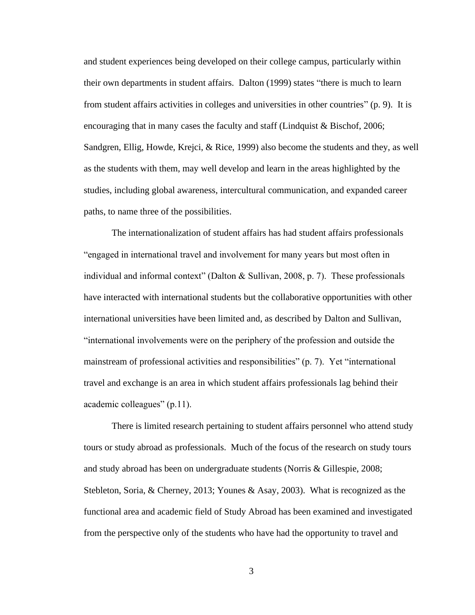and student experiences being developed on their college campus, particularly within their own departments in student affairs. Dalton (1999) states "there is much to learn from student affairs activities in colleges and universities in other countries" (p. 9). It is encouraging that in many cases the faculty and staff (Lindquist & Bischof, 2006; Sandgren, Ellig, Howde, Krejci, & Rice, 1999) also become the students and they, as well as the students with them, may well develop and learn in the areas highlighted by the studies, including global awareness, intercultural communication, and expanded career paths, to name three of the possibilities.

The internationalization of student affairs has had student affairs professionals "engaged in international travel and involvement for many years but most often in individual and informal context" (Dalton & Sullivan, 2008, p. 7). These professionals have interacted with international students but the collaborative opportunities with other international universities have been limited and, as described by Dalton and Sullivan, "international involvements were on the periphery of the profession and outside the mainstream of professional activities and responsibilities" (p. 7). Yet "international travel and exchange is an area in which student affairs professionals lag behind their academic colleagues" (p.11).

There is limited research pertaining to student affairs personnel who attend study tours or study abroad as professionals. Much of the focus of the research on study tours and study abroad has been on undergraduate students (Norris & Gillespie, 2008; Stebleton, Soria, & Cherney, 2013; Younes & Asay, 2003). What is recognized as the functional area and academic field of Study Abroad has been examined and investigated from the perspective only of the students who have had the opportunity to travel and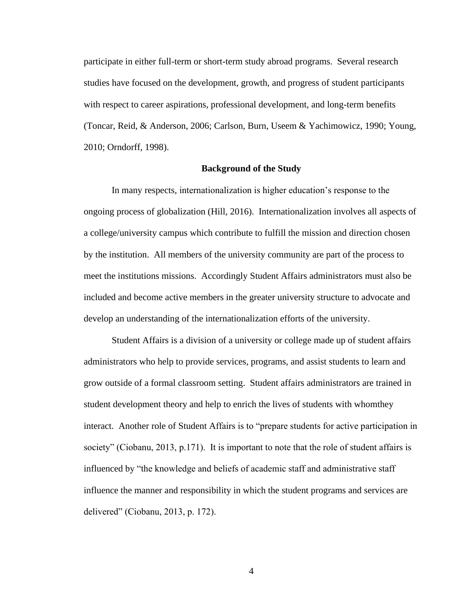participate in either full-term or short-term study abroad programs. Several research studies have focused on the development, growth, and progress of student participants with respect to career aspirations, professional development, and long-term benefits (Toncar, Reid, & Anderson, 2006; Carlson, Burn, Useem & Yachimowicz, 1990; Young, 2010; Orndorff, 1998).

# **Background of the Study**

<span id="page-15-0"></span>In many respects, internationalization is higher education's response to the ongoing process of globalization (Hill, 2016). Internationalization involves all aspects of a college/university campus which contribute to fulfill the mission and direction chosen by the institution. All members of the university community are part of the process to meet the institutions missions. Accordingly Student Affairs administrators must also be included and become active members in the greater university structure to advocate and develop an understanding of the internationalization efforts of the university.

Student Affairs is a division of a university or college made up of student affairs administrators who help to provide services, programs, and assist students to learn and grow outside of a formal classroom setting. Student affairs administrators are trained in student development theory and help to enrich the lives of students with whomthey interact. Another role of Student Affairs is to "prepare students for active participation in society" (Ciobanu, 2013, p.171). It is important to note that the role of student affairs is influenced by "the knowledge and beliefs of academic staff and administrative staff influence the manner and responsibility in which the student programs and services are delivered" (Ciobanu, 2013, p. 172).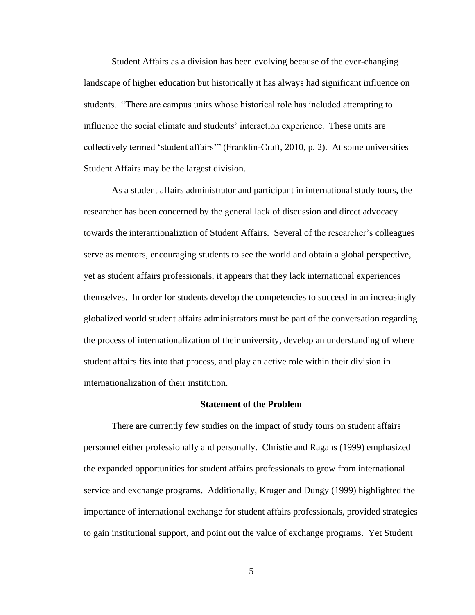Student Affairs as a division has been evolving because of the ever-changing landscape of higher education but historically it has always had significant influence on students. "There are campus units whose historical role has included attempting to influence the social climate and students' interaction experience. These units are collectively termed 'student affairs'" (Franklin-Craft, 2010, p. 2). At some universities Student Affairs may be the largest division.

As a student affairs administrator and participant in international study tours, the researcher has been concerned by the general lack of discussion and direct advocacy towards the interantionaliztion of Student Affairs. Several of the researcher's colleagues serve as mentors, encouraging students to see the world and obtain a global perspective, yet as student affairs professionals, it appears that they lack international experiences themselves. In order for students develop the competencies to succeed in an increasingly globalized world student affairs administrators must be part of the conversation regarding the process of internationalization of their university, develop an understanding of where student affairs fits into that process, and play an active role within their division in internationalization of their institution.

#### **Statement of the Problem**

<span id="page-16-0"></span>There are currently few studies on the impact of study tours on student affairs personnel either professionally and personally. Christie and Ragans (1999) emphasized the expanded opportunities for student affairs professionals to grow from international service and exchange programs. Additionally, Kruger and Dungy (1999) highlighted the importance of international exchange for student affairs professionals, provided strategies to gain institutional support, and point out the value of exchange programs. Yet Student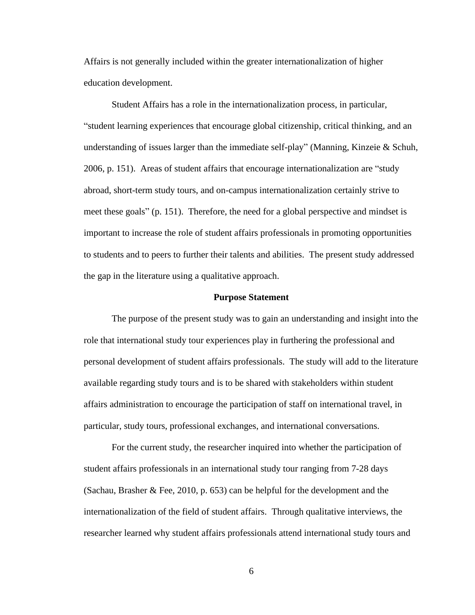Affairs is not generally included within the greater internationalization of higher education development.

Student Affairs has a role in the internationalization process, in particular, "student learning experiences that encourage global citizenship, critical thinking, and an understanding of issues larger than the immediate self-play" (Manning, Kinzeie  $&$  Schuh, 2006, p. 151). Areas of student affairs that encourage internationalization are "study abroad, short-term study tours, and on-campus internationalization certainly strive to meet these goals" (p. 151). Therefore, the need for a global perspective and mindset is important to increase the role of student affairs professionals in promoting opportunities to students and to peers to further their talents and abilities. The present study addressed the gap in the literature using a qualitative approach.

#### **Purpose Statement**

<span id="page-17-0"></span>The purpose of the present study was to gain an understanding and insight into the role that international study tour experiences play in furthering the professional and personal development of student affairs professionals. The study will add to the literature available regarding study tours and is to be shared with stakeholders within student affairs administration to encourage the participation of staff on international travel, in particular, study tours, professional exchanges, and international conversations.

For the current study, the researcher inquired into whether the participation of student affairs professionals in an international study tour ranging from 7-28 days (Sachau, Brasher & Fee, 2010, p. 653) can be helpful for the development and the internationalization of the field of student affairs. Through qualitative interviews, the researcher learned why student affairs professionals attend international study tours and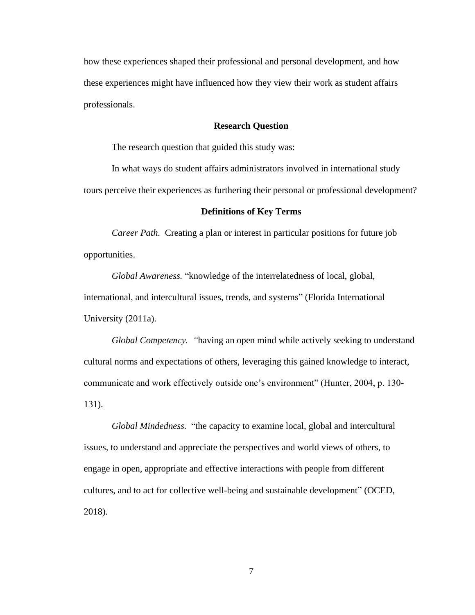how these experiences shaped their professional and personal development, and how these experiences might have influenced how they view their work as student affairs professionals.

# **Research Question**

<span id="page-18-0"></span>The research question that guided this study was:

In what ways do student affairs administrators involved in international study tours perceive their experiences as furthering their personal or professional development?

#### **Definitions of Key Terms**

<span id="page-18-1"></span>*Career Path.* Creating a plan or interest in particular positions for future job opportunities.

*Global Awareness.* "knowledge of the interrelatedness of local, global, international, and intercultural issues, trends, and systems" (Florida International University (2011a).

*Global Competency. "*having an open mind while actively seeking to understand cultural norms and expectations of others, leveraging this gained knowledge to interact, communicate and work effectively outside one's environment" (Hunter, 2004, p. 130- 131).

*Global Mindedness.* "the capacity to examine local, global and intercultural issues, to understand and appreciate the perspectives and world views of others, to engage in open, appropriate and effective interactions with people from different cultures, and to act for collective well-being and sustainable development" (OCED, 2018).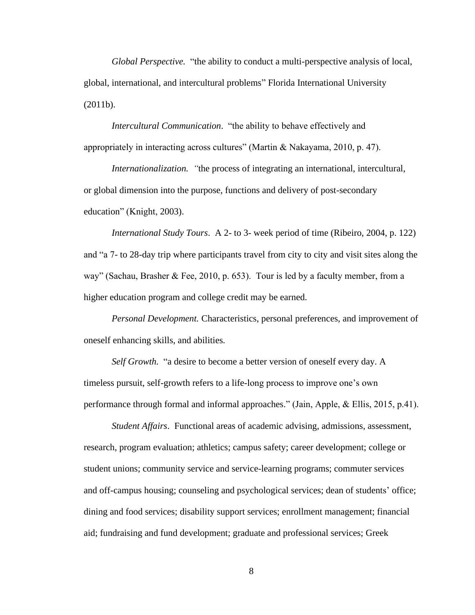*Global Perspective.* "the ability to conduct a multi-perspective analysis of local, global, international, and intercultural problems" Florida International University (2011b).

*Intercultural Communication*."the ability to behave effectively and appropriately in interacting across cultures" (Martin & Nakayama, 2010, p. 47).

*Internationalization. "*the process of integrating an international, intercultural, or global dimension into the purpose, functions and delivery of post-secondary education" (Knight, 2003).

*International Study Tours*. A 2- to 3- week period of time (Ribeiro, 2004, p. 122) and "a 7- to 28-day trip where participants travel from city to city and visit sites along the way" (Sachau, Brasher & Fee, 2010, p. 653). Tour is led by a faculty member, from a higher education program and college credit may be earned.

*Personal Development.* Characteristics, personal preferences, and improvement of oneself enhancing skills, and abilities*.* 

*Self Growth.* "a desire to become a better version of oneself every day. A timeless pursuit, self-growth refers to a life-long process to improve one's own performance through formal and informal approaches." (Jain, Apple, & Ellis, 2015, p.41).

*Student Affairs*. Functional areas of academic advising, admissions, assessment, research, program evaluation; athletics; campus safety; career development; college or student unions; community service and service-learning programs; commuter services and off-campus housing; counseling and psychological services; dean of students' office; dining and food services; disability support services; enrollment management; financial aid; fundraising and fund development; graduate and professional services; Greek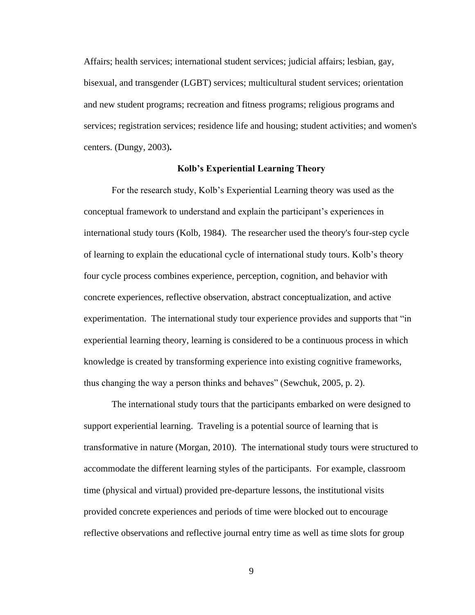Affairs; health services; international student services; judicial affairs; lesbian, gay, bisexual, and transgender (LGBT) services; multicultural student services; orientation and new student programs; recreation and fitness programs; religious programs and services; registration services; residence life and housing; student activities; and women's centers. (Dungy, 2003)**.**

# **Kolb's Experiential Learning Theory**

<span id="page-20-0"></span>For the research study, Kolb's Experiential Learning theory was used as the conceptual framework to understand and explain the participant's experiences in international study tours (Kolb, 1984). The researcher used the theory's four-step cycle of learning to explain the educational cycle of international study tours. Kolb's theory four cycle process combines experience, perception, cognition, and behavior with concrete experiences, reflective observation, abstract conceptualization, and active experimentation. The international study tour experience provides and supports that "in experiential learning theory, learning is considered to be a continuous process in which knowledge is created by transforming experience into existing cognitive frameworks, thus changing the way a person thinks and behaves" (Sewchuk, 2005, p. 2).

The international study tours that the participants embarked on were designed to support experiential learning. Traveling is a potential source of learning that is transformative in nature (Morgan, 2010). The international study tours were structured to accommodate the different learning styles of the participants. For example, classroom time (physical and virtual) provided pre-departure lessons, the institutional visits provided concrete experiences and periods of time were blocked out to encourage reflective observations and reflective journal entry time as well as time slots for group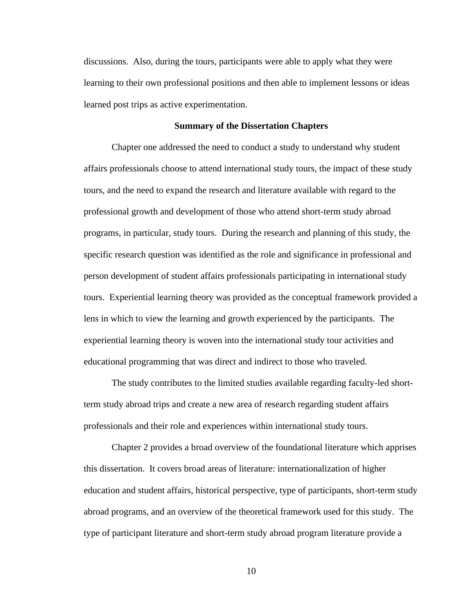discussions. Also, during the tours, participants were able to apply what they were learning to their own professional positions and then able to implement lessons or ideas learned post trips as active experimentation.

#### **Summary of the Dissertation Chapters**

<span id="page-21-0"></span>Chapter one addressed the need to conduct a study to understand why student affairs professionals choose to attend international study tours, the impact of these study tours, and the need to expand the research and literature available with regard to the professional growth and development of those who attend short-term study abroad programs, in particular, study tours. During the research and planning of this study, the specific research question was identified as the role and significance in professional and person development of student affairs professionals participating in international study tours. Experiential learning theory was provided as the conceptual framework provided a lens in which to view the learning and growth experienced by the participants. The experiential learning theory is woven into the international study tour activities and educational programming that was direct and indirect to those who traveled.

The study contributes to the limited studies available regarding faculty-led shortterm study abroad trips and create a new area of research regarding student affairs professionals and their role and experiences within international study tours.

Chapter 2 provides a broad overview of the foundational literature which apprises this dissertation. It covers broad areas of literature: internationalization of higher education and student affairs, historical perspective, type of participants, short-term study abroad programs, and an overview of the theoretical framework used for this study. The type of participant literature and short-term study abroad program literature provide a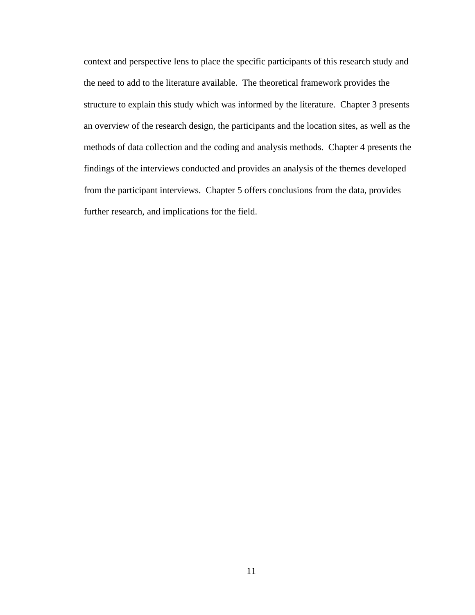context and perspective lens to place the specific participants of this research study and the need to add to the literature available. The theoretical framework provides the structure to explain this study which was informed by the literature. Chapter 3 presents an overview of the research design, the participants and the location sites, as well as the methods of data collection and the coding and analysis methods. Chapter 4 presents the findings of the interviews conducted and provides an analysis of the themes developed from the participant interviews. Chapter 5 offers conclusions from the data, provides further research, and implications for the field.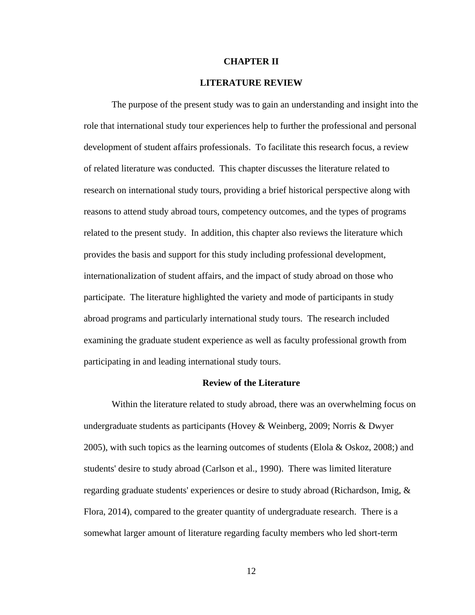# **CHAPTER II**

#### **LITERATURE REVIEW**

<span id="page-23-0"></span>The purpose of the present study was to gain an understanding and insight into the role that international study tour experiences help to further the professional and personal development of student affairs professionals. To facilitate this research focus, a review of related literature was conducted. This chapter discusses the literature related to research on international study tours, providing a brief historical perspective along with reasons to attend study abroad tours, competency outcomes, and the types of programs related to the present study. In addition, this chapter also reviews the literature which provides the basis and support for this study including professional development, internationalization of student affairs, and the impact of study abroad on those who participate. The literature highlighted the variety and mode of participants in study abroad programs and particularly international study tours. The research included examining the graduate student experience as well as faculty professional growth from participating in and leading international study tours.

#### **Review of the Literature**

<span id="page-23-1"></span>Within the literature related to study abroad, there was an overwhelming focus on undergraduate students as participants (Hovey & Weinberg, 2009; Norris & Dwyer 2005), with such topics as the learning outcomes of students (Elola & Oskoz, 2008;) and students' desire to study abroad (Carlson et al., 1990). There was limited literature regarding graduate students' experiences or desire to study abroad (Richardson, Imig, & Flora, 2014), compared to the greater quantity of undergraduate research. There is a somewhat larger amount of literature regarding faculty members who led short-term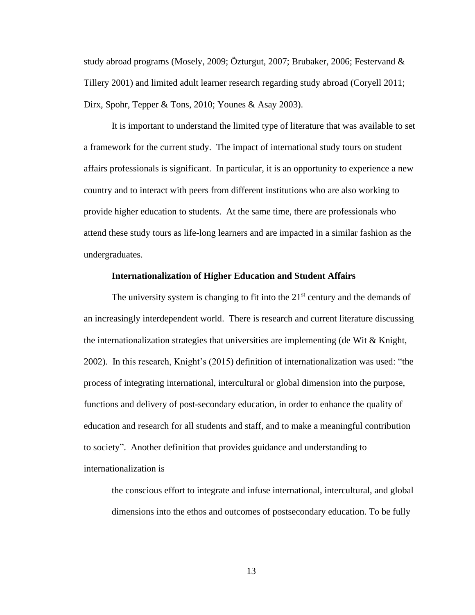study abroad programs (Mosely, 2009; Özturgut, 2007; Brubaker, 2006; Festervand & Tillery 2001) and limited adult learner research regarding study abroad (Coryell 2011; Dirx, Spohr, Tepper & Tons, 2010; Younes & Asay 2003).

It is important to understand the limited type of literature that was available to set a framework for the current study. The impact of international study tours on student affairs professionals is significant. In particular, it is an opportunity to experience a new country and to interact with peers from different institutions who are also working to provide higher education to students. At the same time, there are professionals who attend these study tours as life-long learners and are impacted in a similar fashion as the undergraduates.

#### **Internationalization of Higher Education and Student Affairs**

The university system is changing to fit into the  $21<sup>st</sup>$  century and the demands of an increasingly interdependent world. There is research and current literature discussing the internationalization strategies that universities are implementing (de Wit  $\&$  Knight, 2002). In this research, Knight's (2015) definition of internationalization was used: "the process of integrating international, intercultural or global dimension into the purpose, functions and delivery of post-secondary education, in order to enhance the quality of education and research for all students and staff, and to make a meaningful contribution to society". Another definition that provides guidance and understanding to internationalization is

the conscious effort to integrate and infuse international, intercultural, and global dimensions into the ethos and outcomes of postsecondary education. To be fully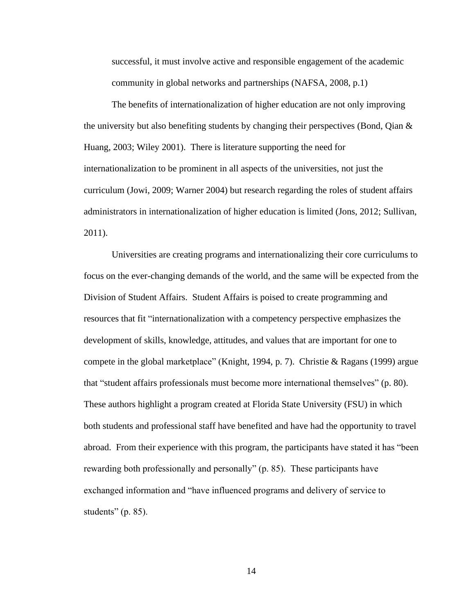successful, it must involve active and responsible engagement of the academic community in global networks and partnerships (NAFSA, 2008, p.1)

The benefits of internationalization of higher education are not only improving the university but also benefiting students by changing their perspectives (Bond, Qian & Huang, 2003; Wiley 2001). There is literature supporting the need for internationalization to be prominent in all aspects of the universities, not just the curriculum (Jowi, 2009; Warner 2004) but research regarding the roles of student affairs administrators in internationalization of higher education is limited (Jons, 2012; Sullivan, 2011).

Universities are creating programs and internationalizing their core curriculums to focus on the ever-changing demands of the world, and the same will be expected from the Division of Student Affairs. Student Affairs is poised to create programming and resources that fit "internationalization with a competency perspective emphasizes the development of skills, knowledge, attitudes, and values that are important for one to compete in the global marketplace" (Knight, 1994, p. 7). Christie & Ragans (1999) argue that "student affairs professionals must become more international themselves" (p. 80). These authors highlight a program created at Florida State University (FSU) in which both students and professional staff have benefited and have had the opportunity to travel abroad. From their experience with this program, the participants have stated it has "been rewarding both professionally and personally" (p. 85). These participants have exchanged information and "have influenced programs and delivery of service to students" (p. 85).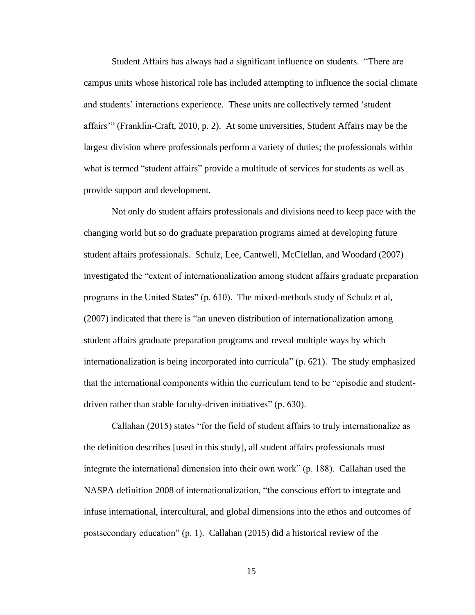Student Affairs has always had a significant influence on students. "There are campus units whose historical role has included attempting to influence the social climate and students' interactions experience. These units are collectively termed 'student affairs'" (Franklin-Craft, 2010, p. 2). At some universities, Student Affairs may be the largest division where professionals perform a variety of duties; the professionals within what is termed "student affairs" provide a multitude of services for students as well as provide support and development.

Not only do student affairs professionals and divisions need to keep pace with the changing world but so do graduate preparation programs aimed at developing future student affairs professionals. Schulz, Lee, Cantwell, McClellan, and Woodard (2007) investigated the "extent of internationalization among student affairs graduate preparation programs in the United States" (p. 610). The mixed-methods study of Schulz et al, (2007) indicated that there is "an uneven distribution of internationalization among student affairs graduate preparation programs and reveal multiple ways by which internationalization is being incorporated into curricula" (p. 621). The study emphasized that the international components within the curriculum tend to be "episodic and studentdriven rather than stable faculty-driven initiatives" (p. 630).

Callahan (2015) states "for the field of student affairs to truly internationalize as the definition describes [used in this study], all student affairs professionals must integrate the international dimension into their own work" (p. 188). Callahan used the NASPA definition 2008 of internationalization, "the conscious effort to integrate and infuse international, intercultural, and global dimensions into the ethos and outcomes of postsecondary education" (p. 1). Callahan (2015) did a historical review of the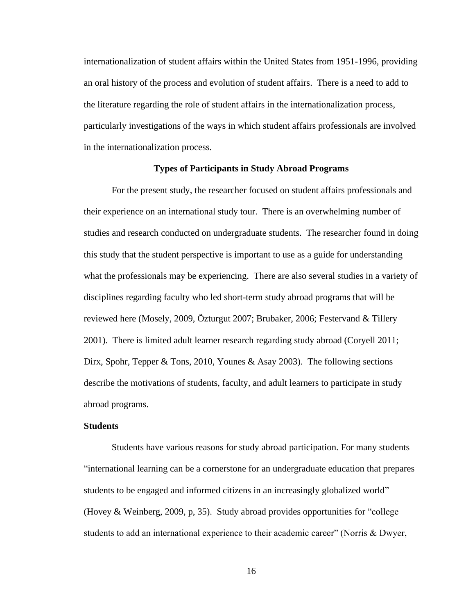internationalization of student affairs within the United States from 1951-1996, providing an oral history of the process and evolution of student affairs. There is a need to add to the literature regarding the role of student affairs in the internationalization process, particularly investigations of the ways in which student affairs professionals are involved in the internationalization process.

# **Types of Participants in Study Abroad Programs**

<span id="page-27-0"></span>For the present study, the researcher focused on student affairs professionals and their experience on an international study tour. There is an overwhelming number of studies and research conducted on undergraduate students. The researcher found in doing this study that the student perspective is important to use as a guide for understanding what the professionals may be experiencing. There are also several studies in a variety of disciplines regarding faculty who led short-term study abroad programs that will be reviewed here (Mosely, 2009, Özturgut 2007; Brubaker, 2006; Festervand & Tillery 2001). There is limited adult learner research regarding study abroad (Coryell 2011; Dirx, Spohr, Tepper & Tons, 2010, Younes & Asay 2003). The following sections describe the motivations of students, faculty, and adult learners to participate in study abroad programs.

# **Students**

Students have various reasons for study abroad participation. For many students "international learning can be a cornerstone for an undergraduate education that prepares students to be engaged and informed citizens in an increasingly globalized world" (Hovey & Weinberg, 2009, p, 35). Study abroad provides opportunities for "college students to add an international experience to their academic career" (Norris & Dwyer,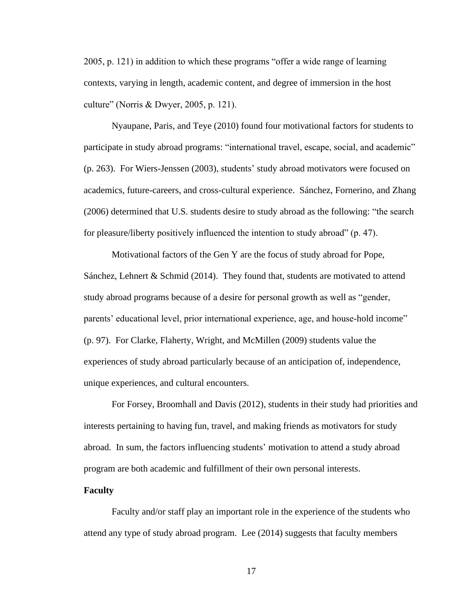2005, p. 121) in addition to which these programs "offer a wide range of learning contexts, varying in length, academic content, and degree of immersion in the host culture" (Norris & Dwyer, 2005, p. 121).

Nyaupane, Paris, and Teye (2010) found four motivational factors for students to participate in study abroad programs: "international travel, escape, social, and academic" (p. 263). For Wiers-Jenssen (2003), students' study abroad motivators were focused on academics, future-careers, and cross-cultural experience. Sánchez, Fornerino, and Zhang (2006) determined that U.S. students desire to study abroad as the following: "the search for pleasure/liberty positively influenced the intention to study abroad" (p. 47).

Motivational factors of the Gen Y are the focus of study abroad for Pope, Sánchez, Lehnert & Schmid (2014). They found that, students are motivated to attend study abroad programs because of a desire for personal growth as well as "gender, parents' educational level, prior international experience, age, and house-hold income" (p. 97). For Clarke, Flaherty, Wright, and McMillen (2009) students value the experiences of study abroad particularly because of an anticipation of, independence, unique experiences, and cultural encounters.

For Forsey, Broomhall and Davis (2012), students in their study had priorities and interests pertaining to having fun, travel, and making friends as motivators for study abroad. In sum, the factors influencing students' motivation to attend a study abroad program are both academic and fulfillment of their own personal interests.

#### **Faculty**

Faculty and/or staff play an important role in the experience of the students who attend any type of study abroad program. Lee (2014) suggests that faculty members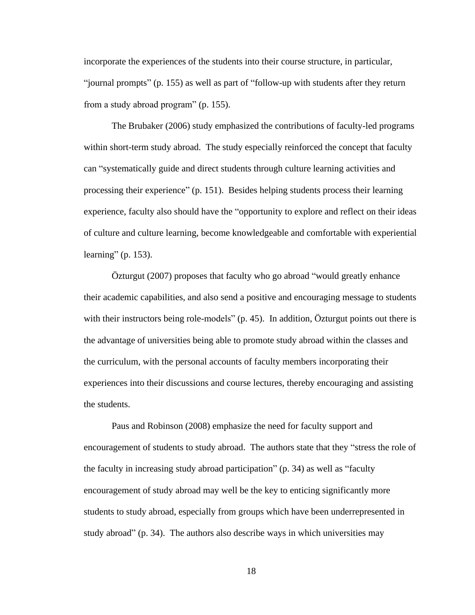incorporate the experiences of the students into their course structure, in particular, "journal prompts" (p. 155) as well as part of "follow-up with students after they return from a study abroad program" (p. 155).

The Brubaker (2006) study emphasized the contributions of faculty-led programs within short-term study abroad. The study especially reinforced the concept that faculty can "systematically guide and direct students through culture learning activities and processing their experience" (p. 151). Besides helping students process their learning experience, faculty also should have the "opportunity to explore and reflect on their ideas of culture and culture learning, become knowledgeable and comfortable with experiential learning" (p. 153).

Özturgut (2007) proposes that faculty who go abroad "would greatly enhance their academic capabilities, and also send a positive and encouraging message to students with their instructors being role-models" (p. 45). In addition, Özturgut points out there is the advantage of universities being able to promote study abroad within the classes and the curriculum, with the personal accounts of faculty members incorporating their experiences into their discussions and course lectures, thereby encouraging and assisting the students.

Paus and Robinson (2008) emphasize the need for faculty support and encouragement of students to study abroad. The authors state that they "stress the role of the faculty in increasing study abroad participation" (p. 34) as well as "faculty encouragement of study abroad may well be the key to enticing significantly more students to study abroad, especially from groups which have been underrepresented in study abroad" (p. 34). The authors also describe ways in which universities may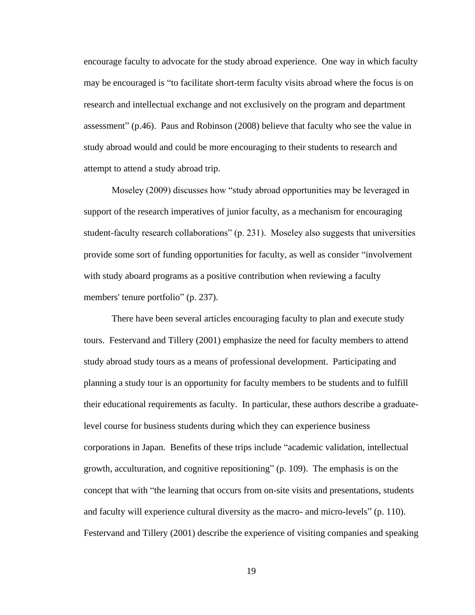encourage faculty to advocate for the study abroad experience. One way in which faculty may be encouraged is "to facilitate short-term faculty visits abroad where the focus is on research and intellectual exchange and not exclusively on the program and department assessment" (p.46). Paus and Robinson (2008) believe that faculty who see the value in study abroad would and could be more encouraging to their students to research and attempt to attend a study abroad trip.

Moseley (2009) discusses how "study abroad opportunities may be leveraged in support of the research imperatives of junior faculty, as a mechanism for encouraging student-faculty research collaborations" (p. 231). Moseley also suggests that universities provide some sort of funding opportunities for faculty, as well as consider "involvement with study aboard programs as a positive contribution when reviewing a faculty members' tenure portfolio" (p. 237).

There have been several articles encouraging faculty to plan and execute study tours. Festervand and Tillery (2001) emphasize the need for faculty members to attend study abroad study tours as a means of professional development. Participating and planning a study tour is an opportunity for faculty members to be students and to fulfill their educational requirements as faculty. In particular, these authors describe a graduatelevel course for business students during which they can experience business corporations in Japan. Benefits of these trips include "academic validation, intellectual growth, acculturation, and cognitive repositioning" (p. 109). The emphasis is on the concept that with "the learning that occurs from on-site visits and presentations, students and faculty will experience cultural diversity as the macro- and micro-levels" (p. 110). Festervand and Tillery (2001) describe the experience of visiting companies and speaking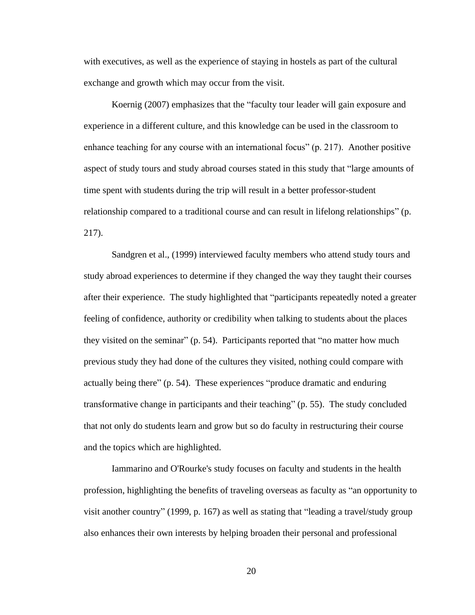with executives, as well as the experience of staying in hostels as part of the cultural exchange and growth which may occur from the visit.

Koernig (2007) emphasizes that the "faculty tour leader will gain exposure and experience in a different culture, and this knowledge can be used in the classroom to enhance teaching for any course with an international focus" (p. 217). Another positive aspect of study tours and study abroad courses stated in this study that "large amounts of time spent with students during the trip will result in a better professor-student relationship compared to a traditional course and can result in lifelong relationships" (p. 217).

Sandgren et al., (1999) interviewed faculty members who attend study tours and study abroad experiences to determine if they changed the way they taught their courses after their experience. The study highlighted that "participants repeatedly noted a greater feeling of confidence, authority or credibility when talking to students about the places they visited on the seminar" (p. 54). Participants reported that "no matter how much previous study they had done of the cultures they visited, nothing could compare with actually being there" (p. 54). These experiences "produce dramatic and enduring transformative change in participants and their teaching" (p. 55). The study concluded that not only do students learn and grow but so do faculty in restructuring their course and the topics which are highlighted.

Iammarino and O'Rourke's study focuses on faculty and students in the health profession, highlighting the benefits of traveling overseas as faculty as "an opportunity to visit another country" (1999, p. 167) as well as stating that "leading a travel/study group also enhances their own interests by helping broaden their personal and professional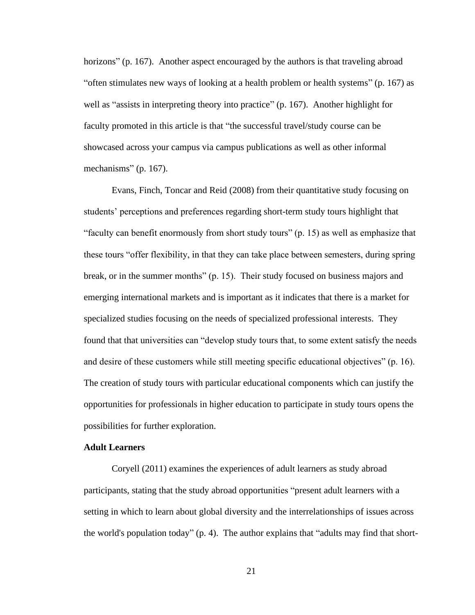horizons" (p. 167). Another aspect encouraged by the authors is that traveling abroad "often stimulates new ways of looking at a health problem or health systems" (p. 167) as well as "assists in interpreting theory into practice" (p. 167). Another highlight for faculty promoted in this article is that "the successful travel/study course can be showcased across your campus via campus publications as well as other informal mechanisms" (p. 167).

Evans, Finch, Toncar and Reid (2008) from their quantitative study focusing on students' perceptions and preferences regarding short-term study tours highlight that "faculty can benefit enormously from short study tours" (p. 15) as well as emphasize that these tours "offer flexibility, in that they can take place between semesters, during spring break, or in the summer months" (p. 15). Their study focused on business majors and emerging international markets and is important as it indicates that there is a market for specialized studies focusing on the needs of specialized professional interests. They found that that universities can "develop study tours that, to some extent satisfy the needs and desire of these customers while still meeting specific educational objectives" (p. 16). The creation of study tours with particular educational components which can justify the opportunities for professionals in higher education to participate in study tours opens the possibilities for further exploration.

#### **Adult Learners**

Coryell (2011) examines the experiences of adult learners as study abroad participants, stating that the study abroad opportunities "present adult learners with a setting in which to learn about global diversity and the interrelationships of issues across the world's population today" (p. 4). The author explains that "adults may find that short-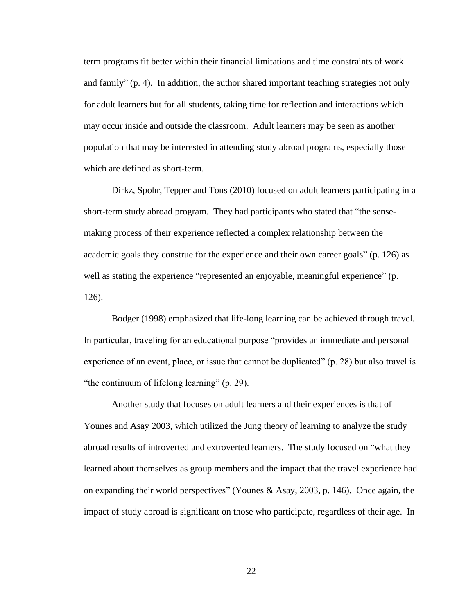term programs fit better within their financial limitations and time constraints of work and family" (p. 4). In addition, the author shared important teaching strategies not only for adult learners but for all students, taking time for reflection and interactions which may occur inside and outside the classroom. Adult learners may be seen as another population that may be interested in attending study abroad programs, especially those which are defined as short-term.

Dirkz, Spohr, Tepper and Tons (2010) focused on adult learners participating in a short-term study abroad program. They had participants who stated that "the sensemaking process of their experience reflected a complex relationship between the academic goals they construe for the experience and their own career goals" (p. 126) as well as stating the experience "represented an enjoyable, meaningful experience" (p. 126).

Bodger (1998) emphasized that life-long learning can be achieved through travel. In particular, traveling for an educational purpose "provides an immediate and personal experience of an event, place, or issue that cannot be duplicated" (p. 28) but also travel is "the continuum of lifelong learning" (p. 29).

Another study that focuses on adult learners and their experiences is that of Younes and Asay 2003, which utilized the Jung theory of learning to analyze the study abroad results of introverted and extroverted learners. The study focused on "what they learned about themselves as group members and the impact that the travel experience had on expanding their world perspectives" (Younes & Asay, 2003, p. 146). Once again, the impact of study abroad is significant on those who participate, regardless of their age. In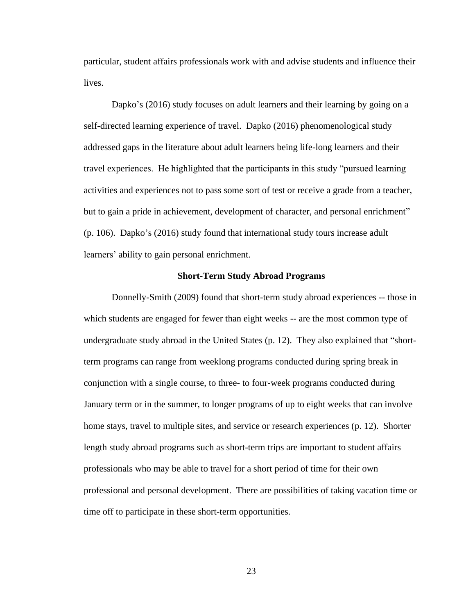particular, student affairs professionals work with and advise students and influence their lives.

Dapko's (2016) study focuses on adult learners and their learning by going on a self-directed learning experience of travel. Dapko (2016) phenomenological study addressed gaps in the literature about adult learners being life-long learners and their travel experiences. He highlighted that the participants in this study "pursued learning activities and experiences not to pass some sort of test or receive a grade from a teacher, but to gain a pride in achievement, development of character, and personal enrichment" (p. 106). Dapko's (2016) study found that international study tours increase adult learners' ability to gain personal enrichment.

#### **Short-Term Study Abroad Programs**

<span id="page-34-0"></span>Donnelly-Smith (2009) found that short-term study abroad experiences -- those in which students are engaged for fewer than eight weeks -- are the most common type of undergraduate study abroad in the United States (p. 12). They also explained that "shortterm programs can range from weeklong programs conducted during spring break in conjunction with a single course, to three- to four-week programs conducted during January term or in the summer, to longer programs of up to eight weeks that can involve home stays, travel to multiple sites, and service or research experiences (p. 12). Shorter length study abroad programs such as short-term trips are important to student affairs professionals who may be able to travel for a short period of time for their own professional and personal development. There are possibilities of taking vacation time or time off to participate in these short-term opportunities.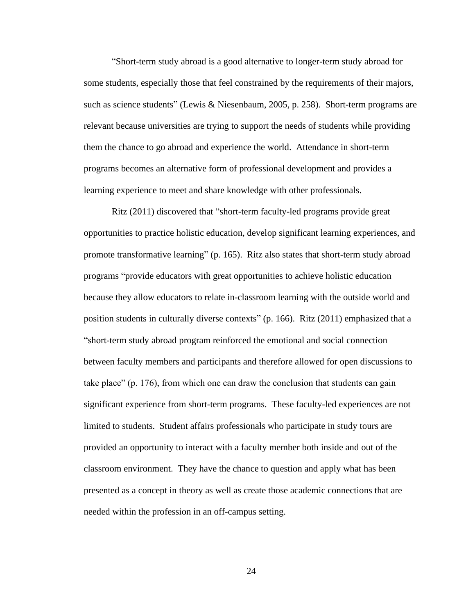"Short-term study abroad is a good alternative to longer-term study abroad for some students, especially those that feel constrained by the requirements of their majors, such as science students" (Lewis & Niesenbaum, 2005, p. 258). Short-term programs are relevant because universities are trying to support the needs of students while providing them the chance to go abroad and experience the world. Attendance in short-term programs becomes an alternative form of professional development and provides a learning experience to meet and share knowledge with other professionals.

Ritz (2011) discovered that "short-term faculty-led programs provide great opportunities to practice holistic education, develop significant learning experiences, and promote transformative learning" (p. 165). Ritz also states that short-term study abroad programs "provide educators with great opportunities to achieve holistic education because they allow educators to relate in-classroom learning with the outside world and position students in culturally diverse contexts" (p. 166). Ritz (2011) emphasized that a "short-term study abroad program reinforced the emotional and social connection between faculty members and participants and therefore allowed for open discussions to take place" (p. 176), from which one can draw the conclusion that students can gain significant experience from short-term programs. These faculty-led experiences are not limited to students. Student affairs professionals who participate in study tours are provided an opportunity to interact with a faculty member both inside and out of the classroom environment. They have the chance to question and apply what has been presented as a concept in theory as well as create those academic connections that are needed within the profession in an off-campus setting.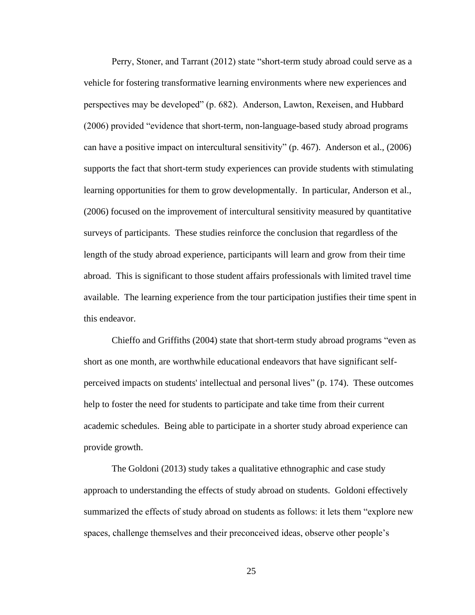Perry, Stoner, and Tarrant (2012) state "short-term study abroad could serve as a vehicle for fostering transformative learning environments where new experiences and perspectives may be developed" (p. 682). Anderson, Lawton, Rexeisen, and Hubbard (2006) provided "evidence that short-term, non-language-based study abroad programs can have a positive impact on intercultural sensitivity" (p. 467). Anderson et al., (2006) supports the fact that short-term study experiences can provide students with stimulating learning opportunities for them to grow developmentally. In particular, Anderson et al., (2006) focused on the improvement of intercultural sensitivity measured by quantitative surveys of participants. These studies reinforce the conclusion that regardless of the length of the study abroad experience, participants will learn and grow from their time abroad. This is significant to those student affairs professionals with limited travel time available. The learning experience from the tour participation justifies their time spent in this endeavor.

Chieffo and Griffiths (2004) state that short-term study abroad programs "even as short as one month, are worthwhile educational endeavors that have significant selfperceived impacts on students' intellectual and personal lives" (p. 174). These outcomes help to foster the need for students to participate and take time from their current academic schedules. Being able to participate in a shorter study abroad experience can provide growth.

The Goldoni (2013) study takes a qualitative ethnographic and case study approach to understanding the effects of study abroad on students. Goldoni effectively summarized the effects of study abroad on students as follows: it lets them "explore new spaces, challenge themselves and their preconceived ideas, observe other people's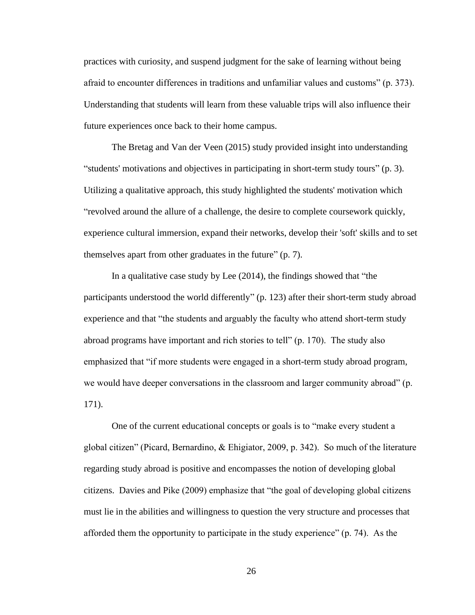practices with curiosity, and suspend judgment for the sake of learning without being afraid to encounter differences in traditions and unfamiliar values and customs" (p. 373). Understanding that students will learn from these valuable trips will also influence their future experiences once back to their home campus.

The Bretag and Van der Veen (2015) study provided insight into understanding "students' motivations and objectives in participating in short-term study tours" (p. 3). Utilizing a qualitative approach, this study highlighted the students' motivation which "revolved around the allure of a challenge, the desire to complete coursework quickly, experience cultural immersion, expand their networks, develop their 'soft' skills and to set themselves apart from other graduates in the future" (p. 7).

In a qualitative case study by Lee (2014), the findings showed that "the participants understood the world differently" (p. 123) after their short-term study abroad experience and that "the students and arguably the faculty who attend short-term study abroad programs have important and rich stories to tell" (p. 170). The study also emphasized that "if more students were engaged in a short-term study abroad program, we would have deeper conversations in the classroom and larger community abroad" (p. 171).

One of the current educational concepts or goals is to "make every student a global citizen" (Picard, Bernardino, & Ehigiator, 2009, p. 342). So much of the literature regarding study abroad is positive and encompasses the notion of developing global citizens. Davies and Pike (2009) emphasize that "the goal of developing global citizens must lie in the abilities and willingness to question the very structure and processes that afforded them the opportunity to participate in the study experience" (p. 74). As the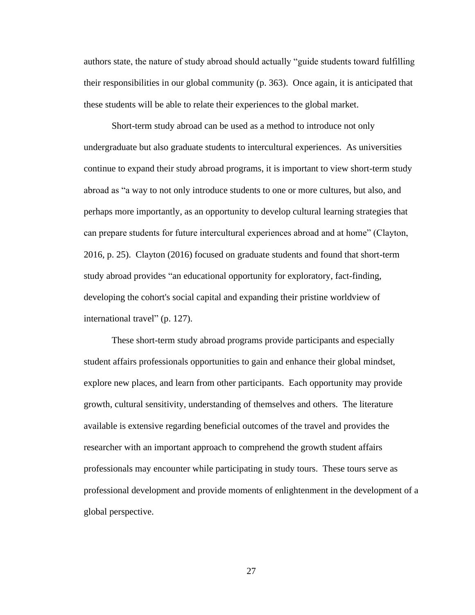authors state, the nature of study abroad should actually "guide students toward fulfilling their responsibilities in our global community (p. 363). Once again, it is anticipated that these students will be able to relate their experiences to the global market.

Short-term study abroad can be used as a method to introduce not only undergraduate but also graduate students to intercultural experiences. As universities continue to expand their study abroad programs, it is important to view short-term study abroad as "a way to not only introduce students to one or more cultures, but also, and perhaps more importantly, as an opportunity to develop cultural learning strategies that can prepare students for future intercultural experiences abroad and at home" (Clayton, 2016, p. 25). Clayton (2016) focused on graduate students and found that short-term study abroad provides "an educational opportunity for exploratory, fact-finding, developing the cohort's social capital and expanding their pristine worldview of international travel" (p. 127).

These short-term study abroad programs provide participants and especially student affairs professionals opportunities to gain and enhance their global mindset, explore new places, and learn from other participants. Each opportunity may provide growth, cultural sensitivity, understanding of themselves and others. The literature available is extensive regarding beneficial outcomes of the travel and provides the researcher with an important approach to comprehend the growth student affairs professionals may encounter while participating in study tours. These tours serve as professional development and provide moments of enlightenment in the development of a global perspective.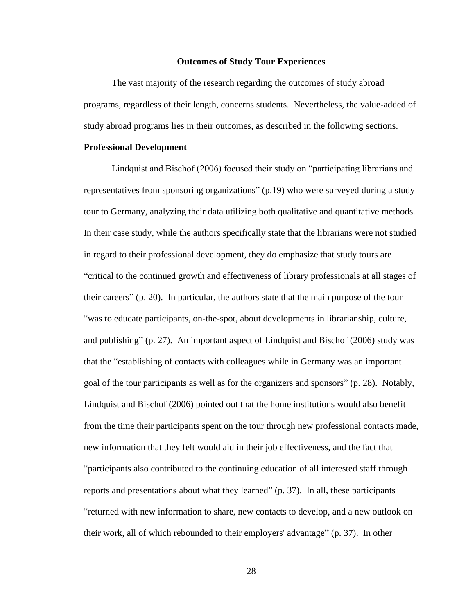## **Outcomes of Study Tour Experiences**

The vast majority of the research regarding the outcomes of study abroad programs, regardless of their length, concerns students. Nevertheless, the value-added of study abroad programs lies in their outcomes, as described in the following sections.

## **Professional Development**

Lindquist and Bischof (2006) focused their study on "participating librarians and representatives from sponsoring organizations" (p.19) who were surveyed during a study tour to Germany, analyzing their data utilizing both qualitative and quantitative methods. In their case study, while the authors specifically state that the librarians were not studied in regard to their professional development, they do emphasize that study tours are "critical to the continued growth and effectiveness of library professionals at all stages of their careers" (p. 20). In particular, the authors state that the main purpose of the tour "was to educate participants, on-the-spot, about developments in librarianship, culture, and publishing" (p. 27). An important aspect of Lindquist and Bischof (2006) study was that the "establishing of contacts with colleagues while in Germany was an important goal of the tour participants as well as for the organizers and sponsors" (p. 28). Notably, Lindquist and Bischof (2006) pointed out that the home institutions would also benefit from the time their participants spent on the tour through new professional contacts made, new information that they felt would aid in their job effectiveness, and the fact that "participants also contributed to the continuing education of all interested staff through reports and presentations about what they learned" (p. 37). In all, these participants "returned with new information to share, new contacts to develop, and a new outlook on their work, all of which rebounded to their employers' advantage" (p. 37). In other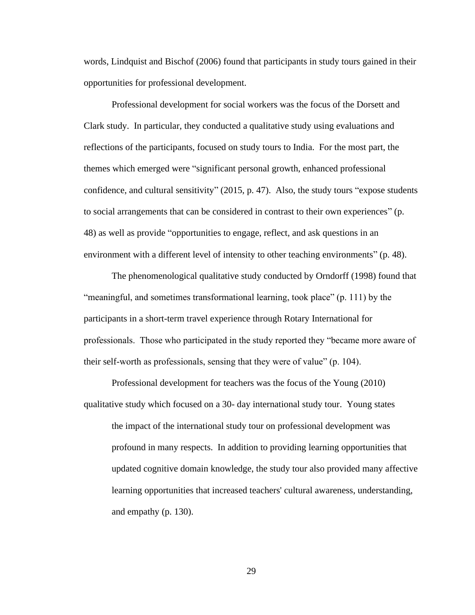words, Lindquist and Bischof (2006) found that participants in study tours gained in their opportunities for professional development.

Professional development for social workers was the focus of the Dorsett and Clark study. In particular, they conducted a qualitative study using evaluations and reflections of the participants, focused on study tours to India. For the most part, the themes which emerged were "significant personal growth, enhanced professional confidence, and cultural sensitivity" (2015, p. 47). Also, the study tours "expose students to social arrangements that can be considered in contrast to their own experiences" (p. 48) as well as provide "opportunities to engage, reflect, and ask questions in an environment with a different level of intensity to other teaching environments" (p. 48).

The phenomenological qualitative study conducted by Orndorff (1998) found that "meaningful, and sometimes transformational learning, took place" (p. 111) by the participants in a short-term travel experience through Rotary International for professionals. Those who participated in the study reported they "became more aware of their self-worth as professionals, sensing that they were of value" (p. 104).

Professional development for teachers was the focus of the Young (2010) qualitative study which focused on a 30- day international study tour. Young states the impact of the international study tour on professional development was profound in many respects. In addition to providing learning opportunities that

updated cognitive domain knowledge, the study tour also provided many affective learning opportunities that increased teachers' cultural awareness, understanding, and empathy (p. 130).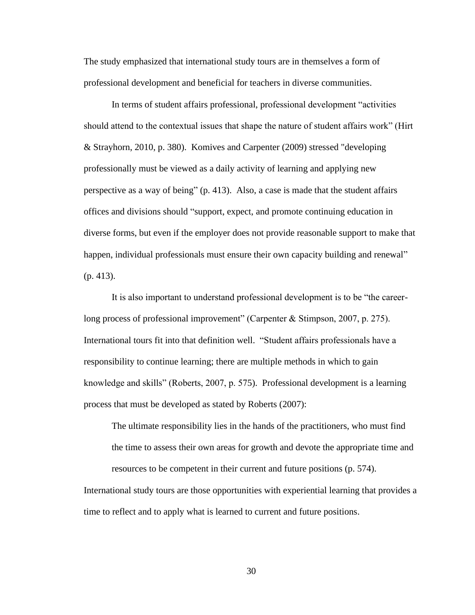The study emphasized that international study tours are in themselves a form of professional development and beneficial for teachers in diverse communities.

In terms of student affairs professional, professional development "activities should attend to the contextual issues that shape the nature of student affairs work" (Hirt & Strayhorn, 2010, p. 380). Komives and Carpenter (2009) stressed "developing professionally must be viewed as a daily activity of learning and applying new perspective as a way of being" (p. 413). Also, a case is made that the student affairs offices and divisions should "support, expect, and promote continuing education in diverse forms, but even if the employer does not provide reasonable support to make that happen, individual professionals must ensure their own capacity building and renewal" (p. 413).

It is also important to understand professional development is to be "the careerlong process of professional improvement" (Carpenter & Stimpson, 2007, p. 275). International tours fit into that definition well. "Student affairs professionals have a responsibility to continue learning; there are multiple methods in which to gain knowledge and skills" (Roberts, 2007, p. 575). Professional development is a learning process that must be developed as stated by Roberts (2007):

The ultimate responsibility lies in the hands of the practitioners, who must find the time to assess their own areas for growth and devote the appropriate time and resources to be competent in their current and future positions (p. 574).

International study tours are those opportunities with experiential learning that provides a time to reflect and to apply what is learned to current and future positions.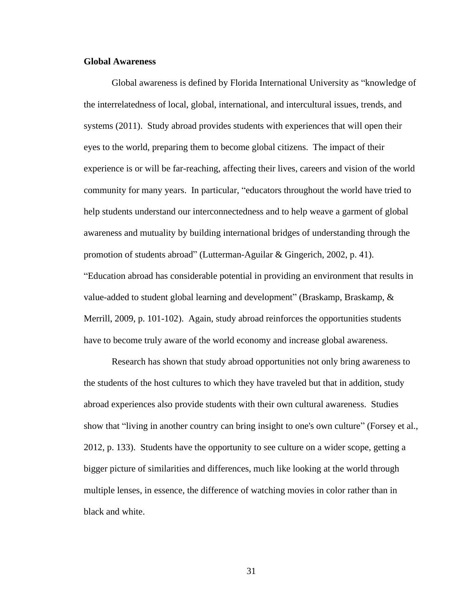# **Global Awareness**

Global awareness is defined by Florida International University as "knowledge of the interrelatedness of local, global, international, and intercultural issues, trends, and systems (2011). Study abroad provides students with experiences that will open their eyes to the world, preparing them to become global citizens. The impact of their experience is or will be far-reaching, affecting their lives, careers and vision of the world community for many years. In particular, "educators throughout the world have tried to help students understand our interconnectedness and to help weave a garment of global awareness and mutuality by building international bridges of understanding through the promotion of students abroad" (Lutterman-Aguilar & Gingerich, 2002, p. 41). "Education abroad has considerable potential in providing an environment that results in value-added to student global learning and development" (Braskamp, Braskamp, & Merrill, 2009, p. 101-102). Again, study abroad reinforces the opportunities students have to become truly aware of the world economy and increase global awareness.

Research has shown that study abroad opportunities not only bring awareness to the students of the host cultures to which they have traveled but that in addition, study abroad experiences also provide students with their own cultural awareness. Studies show that "living in another country can bring insight to one's own culture" (Forsey et al., 2012, p. 133). Students have the opportunity to see culture on a wider scope, getting a bigger picture of similarities and differences, much like looking at the world through multiple lenses, in essence, the difference of watching movies in color rather than in black and white.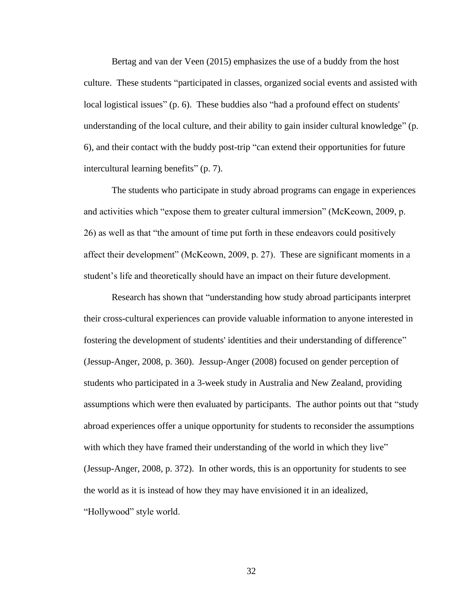Bertag and van der Veen (2015) emphasizes the use of a buddy from the host culture. These students "participated in classes, organized social events and assisted with local logistical issues" (p. 6). These buddies also "had a profound effect on students' understanding of the local culture, and their ability to gain insider cultural knowledge" (p. 6), and their contact with the buddy post-trip "can extend their opportunities for future intercultural learning benefits" (p. 7).

The students who participate in study abroad programs can engage in experiences and activities which "expose them to greater cultural immersion" (McKeown, 2009, p. 26) as well as that "the amount of time put forth in these endeavors could positively affect their development" (McKeown, 2009, p. 27). These are significant moments in a student's life and theoretically should have an impact on their future development.

Research has shown that "understanding how study abroad participants interpret their cross-cultural experiences can provide valuable information to anyone interested in fostering the development of students' identities and their understanding of difference" (Jessup-Anger, 2008, p. 360). Jessup-Anger (2008) focused on gender perception of students who participated in a 3-week study in Australia and New Zealand, providing assumptions which were then evaluated by participants. The author points out that "study abroad experiences offer a unique opportunity for students to reconsider the assumptions with which they have framed their understanding of the world in which they live" (Jessup-Anger, 2008, p. 372). In other words, this is an opportunity for students to see the world as it is instead of how they may have envisioned it in an idealized, "Hollywood" style world.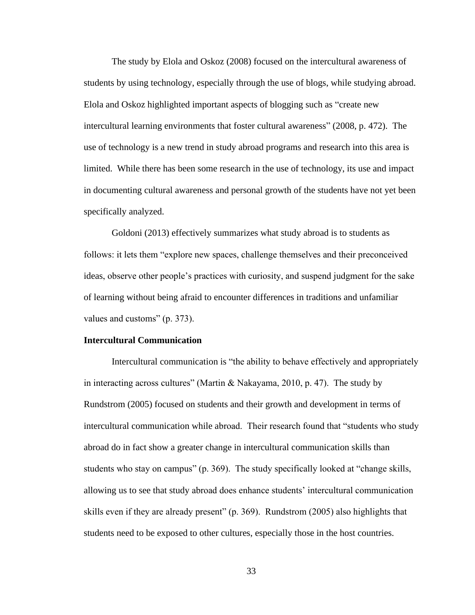The study by Elola and Oskoz (2008) focused on the intercultural awareness of students by using technology, especially through the use of blogs, while studying abroad. Elola and Oskoz highlighted important aspects of blogging such as "create new intercultural learning environments that foster cultural awareness" (2008, p. 472). The use of technology is a new trend in study abroad programs and research into this area is limited. While there has been some research in the use of technology, its use and impact in documenting cultural awareness and personal growth of the students have not yet been specifically analyzed.

Goldoni (2013) effectively summarizes what study abroad is to students as follows: it lets them "explore new spaces, challenge themselves and their preconceived ideas, observe other people's practices with curiosity, and suspend judgment for the sake of learning without being afraid to encounter differences in traditions and unfamiliar values and customs" (p. 373).

#### **Intercultural Communication**

Intercultural communication is "the ability to behave effectively and appropriately in interacting across cultures" (Martin & Nakayama, 2010, p. 47). The study by Rundstrom (2005) focused on students and their growth and development in terms of intercultural communication while abroad. Their research found that "students who study abroad do in fact show a greater change in intercultural communication skills than students who stay on campus" (p. 369). The study specifically looked at "change skills, allowing us to see that study abroad does enhance students' intercultural communication skills even if they are already present" (p. 369). Rundstrom (2005) also highlights that students need to be exposed to other cultures, especially those in the host countries.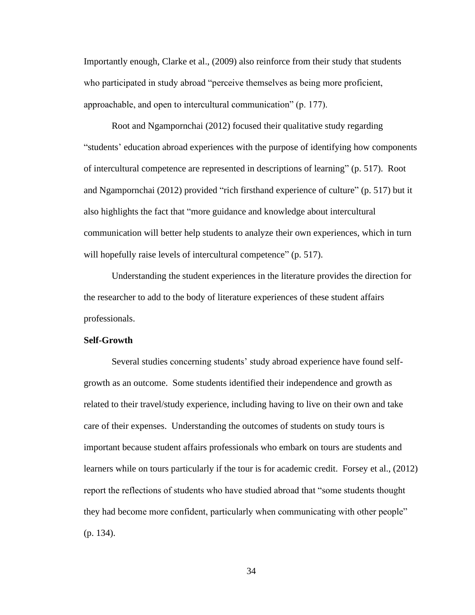Importantly enough, Clarke et al., (2009) also reinforce from their study that students who participated in study abroad "perceive themselves as being more proficient, approachable, and open to intercultural communication" (p. 177).

Root and Ngampornchai (2012) focused their qualitative study regarding "students' education abroad experiences with the purpose of identifying how components of intercultural competence are represented in descriptions of learning" (p. 517). Root and Ngampornchai (2012) provided "rich firsthand experience of culture" (p. 517) but it also highlights the fact that "more guidance and knowledge about intercultural communication will better help students to analyze their own experiences, which in turn will hopefully raise levels of intercultural competence" (p. 517).

Understanding the student experiences in the literature provides the direction for the researcher to add to the body of literature experiences of these student affairs professionals.

# **Self-Growth**

Several studies concerning students' study abroad experience have found selfgrowth as an outcome. Some students identified their independence and growth as related to their travel/study experience, including having to live on their own and take care of their expenses. Understanding the outcomes of students on study tours is important because student affairs professionals who embark on tours are students and learners while on tours particularly if the tour is for academic credit. Forsey et al., (2012) report the reflections of students who have studied abroad that "some students thought they had become more confident, particularly when communicating with other people" (p. 134).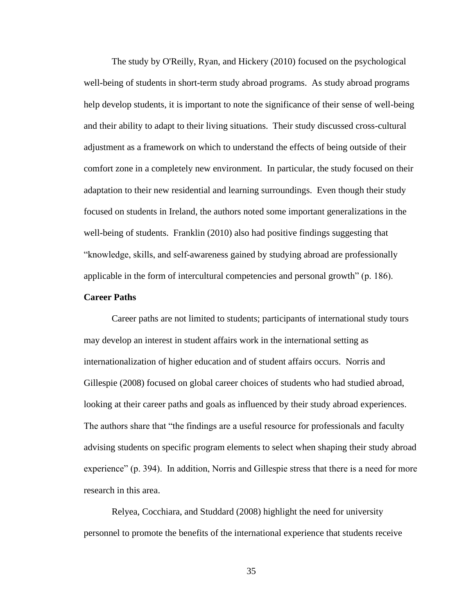The study by O'Reilly, Ryan, and Hickery (2010) focused on the psychological well-being of students in short-term study abroad programs. As study abroad programs help develop students, it is important to note the significance of their sense of well-being and their ability to adapt to their living situations. Their study discussed cross-cultural adjustment as a framework on which to understand the effects of being outside of their comfort zone in a completely new environment. In particular, the study focused on their adaptation to their new residential and learning surroundings. Even though their study focused on students in Ireland, the authors noted some important generalizations in the well-being of students. Franklin (2010) also had positive findings suggesting that "knowledge, skills, and self-awareness gained by studying abroad are professionally applicable in the form of intercultural competencies and personal growth" (p. 186).

# **Career Paths**

Career paths are not limited to students; participants of international study tours may develop an interest in student affairs work in the international setting as internationalization of higher education and of student affairs occurs. Norris and Gillespie (2008) focused on global career choices of students who had studied abroad, looking at their career paths and goals as influenced by their study abroad experiences. The authors share that "the findings are a useful resource for professionals and faculty advising students on specific program elements to select when shaping their study abroad experience" (p. 394). In addition, Norris and Gillespie stress that there is a need for more research in this area.

Relyea, Cocchiara, and Studdard (2008) highlight the need for university personnel to promote the benefits of the international experience that students receive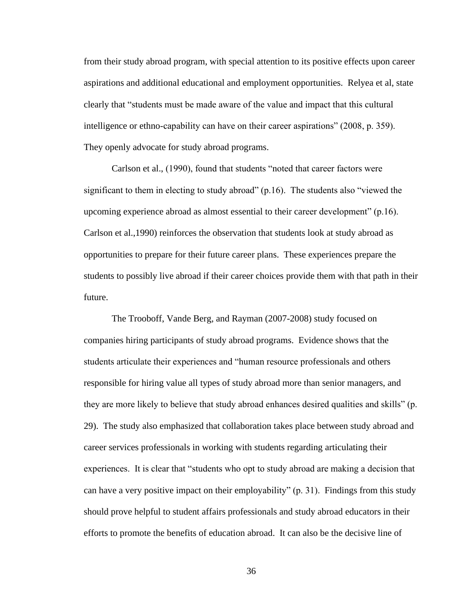from their study abroad program, with special attention to its positive effects upon career aspirations and additional educational and employment opportunities. Relyea et al, state clearly that "students must be made aware of the value and impact that this cultural intelligence or ethno-capability can have on their career aspirations" (2008, p. 359). They openly advocate for study abroad programs.

Carlson et al., (1990), found that students "noted that career factors were significant to them in electing to study abroad"  $(p.16)$ . The students also "viewed the upcoming experience abroad as almost essential to their career development" (p.16). Carlson et al.,1990) reinforces the observation that students look at study abroad as opportunities to prepare for their future career plans. These experiences prepare the students to possibly live abroad if their career choices provide them with that path in their future.

The Trooboff, Vande Berg, and Rayman (2007-2008) study focused on companies hiring participants of study abroad programs. Evidence shows that the students articulate their experiences and "human resource professionals and others responsible for hiring value all types of study abroad more than senior managers, and they are more likely to believe that study abroad enhances desired qualities and skills" (p. 29). The study also emphasized that collaboration takes place between study abroad and career services professionals in working with students regarding articulating their experiences. It is clear that "students who opt to study abroad are making a decision that can have a very positive impact on their employability" (p. 31). Findings from this study should prove helpful to student affairs professionals and study abroad educators in their efforts to promote the benefits of education abroad. It can also be the decisive line of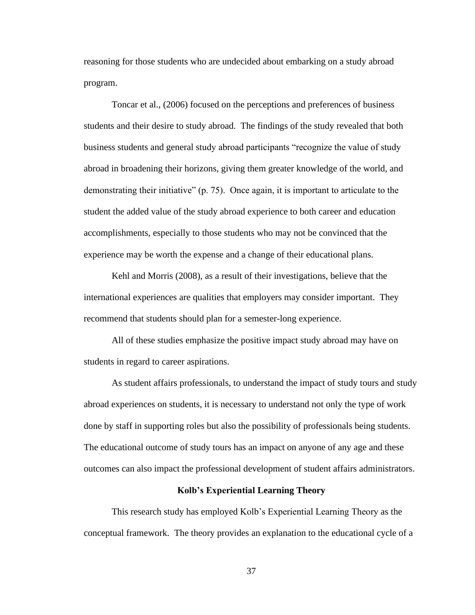reasoning for those students who are undecided about embarking on a study abroad program.

Toncar et al., (2006) focused on the perceptions and preferences of business students and their desire to study abroad. The findings of the study revealed that both business students and general study abroad participants "recognize the value of study abroad in broadening their horizons, giving them greater knowledge of the world, and demonstrating their initiative" (p. 75). Once again, it is important to articulate to the student the added value of the study abroad experience to both career and education accomplishments, especially to those students who may not be convinced that the experience may be worth the expense and a change of their educational plans.

Kehl and Morris (2008), as a result of their investigations, believe that the international experiences are qualities that employers may consider important. They recommend that students should plan for a semester-long experience.

All of these studies emphasize the positive impact study abroad may have on students in regard to career aspirations.

As student affairs professionals, to understand the impact of study tours and study abroad experiences on students, it is necessary to understand not only the type of work done by staff in supporting roles but also the possibility of professionals being students. The educational outcome of study tours has an impact on anyone of any age and these outcomes can also impact the professional development of student affairs administrators.

## **Kolb's Experiential Learning Theory**

This research study has employed Kolb's Experiential Learning Theory as the conceptual framework. The theory provides an explanation to the educational cycle of a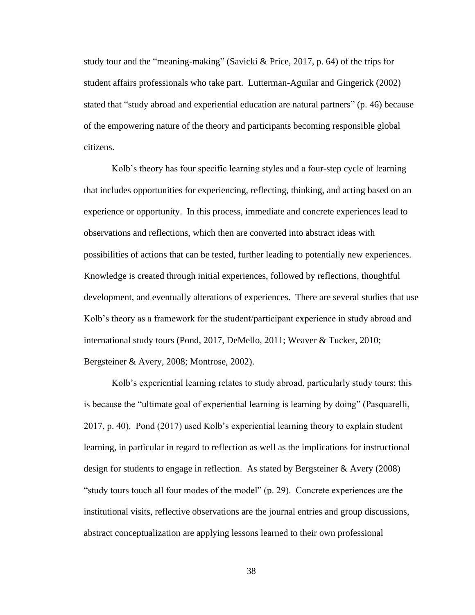study tour and the "meaning-making" (Savicki & Price, 2017, p. 64) of the trips for student affairs professionals who take part. Lutterman-Aguilar and Gingerick (2002) stated that "study abroad and experiential education are natural partners" (p. 46) because of the empowering nature of the theory and participants becoming responsible global citizens.

Kolb's theory has four specific learning styles and a four-step cycle of learning that includes opportunities for experiencing, reflecting, thinking, and acting based on an experience or opportunity. In this process, immediate and concrete experiences lead to observations and reflections, which then are converted into abstract ideas with possibilities of actions that can be tested, further leading to potentially new experiences. Knowledge is created through initial experiences, followed by reflections, thoughtful development, and eventually alterations of experiences. There are several studies that use Kolb's theory as a framework for the student/participant experience in study abroad and international study tours (Pond, 2017, DeMello, 2011; Weaver & Tucker, 2010; Bergsteiner & Avery, 2008; Montrose, 2002).

Kolb's experiential learning relates to study abroad, particularly study tours; this is because the "ultimate goal of experiential learning is learning by doing" (Pasquarelli, 2017, p. 40). Pond (2017) used Kolb's experiential learning theory to explain student learning, in particular in regard to reflection as well as the implications for instructional design for students to engage in reflection. As stated by Bergsteiner & Avery (2008) "study tours touch all four modes of the model" (p. 29). Concrete experiences are the institutional visits, reflective observations are the journal entries and group discussions, abstract conceptualization are applying lessons learned to their own professional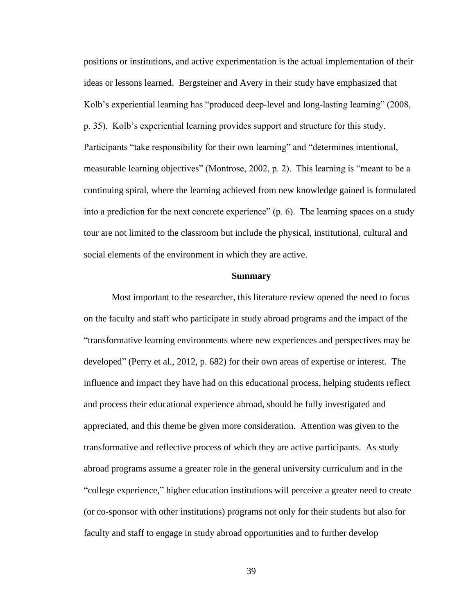positions or institutions, and active experimentation is the actual implementation of their ideas or lessons learned. Bergsteiner and Avery in their study have emphasized that Kolb's experiential learning has "produced deep-level and long-lasting learning" (2008, p. 35). Kolb's experiential learning provides support and structure for this study. Participants "take responsibility for their own learning" and "determines intentional, measurable learning objectives" (Montrose, 2002, p. 2). This learning is "meant to be a continuing spiral, where the learning achieved from new knowledge gained is formulated into a prediction for the next concrete experience" (p. 6). The learning spaces on a study tour are not limited to the classroom but include the physical, institutional, cultural and social elements of the environment in which they are active.

# **Summary**

Most important to the researcher, this literature review opened the need to focus on the faculty and staff who participate in study abroad programs and the impact of the "transformative learning environments where new experiences and perspectives may be developed" (Perry et al., 2012, p. 682) for their own areas of expertise or interest. The influence and impact they have had on this educational process, helping students reflect and process their educational experience abroad, should be fully investigated and appreciated, and this theme be given more consideration. Attention was given to the transformative and reflective process of which they are active participants. As study abroad programs assume a greater role in the general university curriculum and in the "college experience," higher education institutions will perceive a greater need to create (or co-sponsor with other institutions) programs not only for their students but also for faculty and staff to engage in study abroad opportunities and to further develop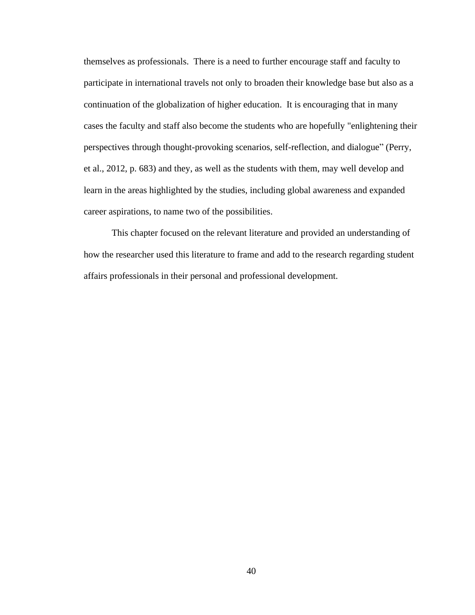themselves as professionals. There is a need to further encourage staff and faculty to participate in international travels not only to broaden their knowledge base but also as a continuation of the globalization of higher education. It is encouraging that in many cases the faculty and staff also become the students who are hopefully "enlightening their perspectives through thought-provoking scenarios, self-reflection, and dialogue" (Perry, et al., 2012, p. 683) and they, as well as the students with them, may well develop and learn in the areas highlighted by the studies, including global awareness and expanded career aspirations, to name two of the possibilities.

This chapter focused on the relevant literature and provided an understanding of how the researcher used this literature to frame and add to the research regarding student affairs professionals in their personal and professional development.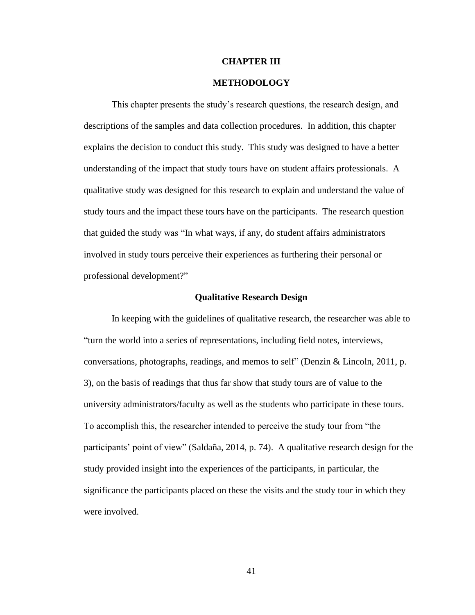# **CHAPTER III**

# **METHODOLOGY**

This chapter presents the study's research questions, the research design, and descriptions of the samples and data collection procedures. In addition, this chapter explains the decision to conduct this study. This study was designed to have a better understanding of the impact that study tours have on student affairs professionals. A qualitative study was designed for this research to explain and understand the value of study tours and the impact these tours have on the participants. The research question that guided the study was "In what ways, if any, do student affairs administrators involved in study tours perceive their experiences as furthering their personal or professional development?"

## **Qualitative Research Design**

In keeping with the guidelines of qualitative research, the researcher was able to "turn the world into a series of representations, including field notes, interviews, conversations, photographs, readings, and memos to self" (Denzin & Lincoln, 2011, p. 3), on the basis of readings that thus far show that study tours are of value to the university administrators/faculty as well as the students who participate in these tours. To accomplish this, the researcher intended to perceive the study tour from "the participants' point of view" (Saldaña, 2014, p. 74). A qualitative research design for the study provided insight into the experiences of the participants, in particular, the significance the participants placed on these the visits and the study tour in which they were involved.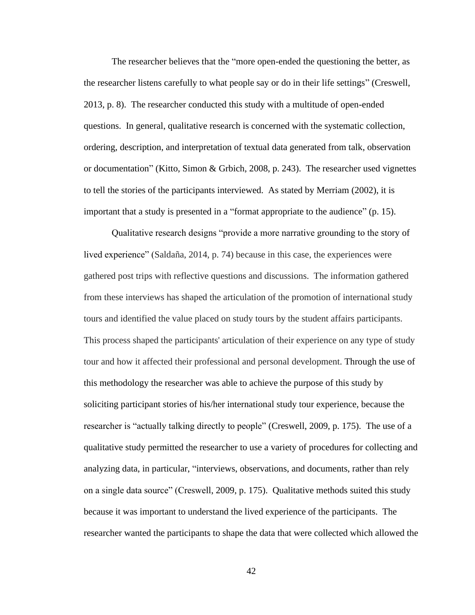The researcher believes that the "more open-ended the questioning the better, as the researcher listens carefully to what people say or do in their life settings" (Creswell, 2013, p. 8). The researcher conducted this study with a multitude of open-ended questions. In general, qualitative research is concerned with the systematic collection, ordering, description, and interpretation of textual data generated from talk, observation or documentation" (Kitto, Simon & Grbich, 2008, p. 243). The researcher used vignettes to tell the stories of the participants interviewed. As stated by Merriam (2002), it is important that a study is presented in a "format appropriate to the audience" (p. 15).

Qualitative research designs "provide a more narrative grounding to the story of lived experience" (Saldaña, 2014, p. 74) because in this case, the experiences were gathered post trips with reflective questions and discussions. The information gathered from these interviews has shaped the articulation of the promotion of international study tours and identified the value placed on study tours by the student affairs participants. This process shaped the participants' articulation of their experience on any type of study tour and how it affected their professional and personal development. Through the use of this methodology the researcher was able to achieve the purpose of this study by soliciting participant stories of his/her international study tour experience, because the researcher is "actually talking directly to people" (Creswell, 2009, p. 175). The use of a qualitative study permitted the researcher to use a variety of procedures for collecting and analyzing data, in particular, "interviews, observations, and documents, rather than rely on a single data source" (Creswell, 2009, p. 175). Qualitative methods suited this study because it was important to understand the lived experience of the participants. The researcher wanted the participants to shape the data that were collected which allowed the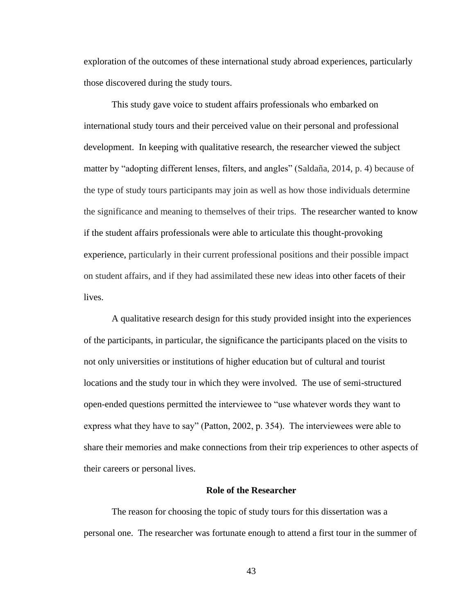exploration of the outcomes of these international study abroad experiences, particularly those discovered during the study tours.

This study gave voice to student affairs professionals who embarked on international study tours and their perceived value on their personal and professional development. In keeping with qualitative research, the researcher viewed the subject matter by "adopting different lenses, filters, and angles" (Saldaña, 2014, p. 4) because of the type of study tours participants may join as well as how those individuals determine the significance and meaning to themselves of their trips. The researcher wanted to know if the student affairs professionals were able to articulate this thought-provoking experience, particularly in their current professional positions and their possible impact on student affairs, and if they had assimilated these new ideas into other facets of their lives.

A qualitative research design for this study provided insight into the experiences of the participants, in particular, the significance the participants placed on the visits to not only universities or institutions of higher education but of cultural and tourist locations and the study tour in which they were involved. The use of semi-structured open-ended questions permitted the interviewee to "use whatever words they want to express what they have to say" (Patton, 2002, p. 354). The interviewees were able to share their memories and make connections from their trip experiences to other aspects of their careers or personal lives.

#### **Role of the Researcher**

The reason for choosing the topic of study tours for this dissertation was a personal one. The researcher was fortunate enough to attend a first tour in the summer of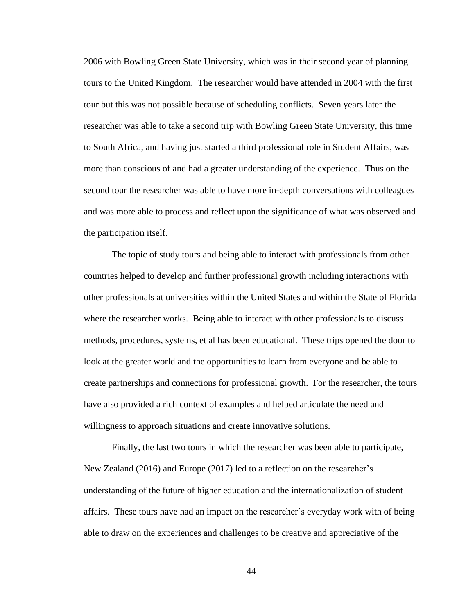2006 with Bowling Green State University, which was in their second year of planning tours to the United Kingdom. The researcher would have attended in 2004 with the first tour but this was not possible because of scheduling conflicts. Seven years later the researcher was able to take a second trip with Bowling Green State University, this time to South Africa, and having just started a third professional role in Student Affairs, was more than conscious of and had a greater understanding of the experience. Thus on the second tour the researcher was able to have more in-depth conversations with colleagues and was more able to process and reflect upon the significance of what was observed and the participation itself.

The topic of study tours and being able to interact with professionals from other countries helped to develop and further professional growth including interactions with other professionals at universities within the United States and within the State of Florida where the researcher works. Being able to interact with other professionals to discuss methods, procedures, systems, et al has been educational. These trips opened the door to look at the greater world and the opportunities to learn from everyone and be able to create partnerships and connections for professional growth. For the researcher, the tours have also provided a rich context of examples and helped articulate the need and willingness to approach situations and create innovative solutions.

Finally, the last two tours in which the researcher was been able to participate, New Zealand (2016) and Europe (2017) led to a reflection on the researcher's understanding of the future of higher education and the internationalization of student affairs. These tours have had an impact on the researcher's everyday work with of being able to draw on the experiences and challenges to be creative and appreciative of the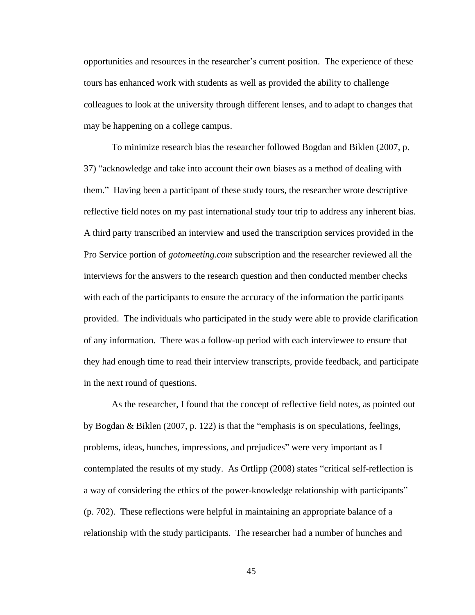opportunities and resources in the researcher's current position. The experience of these tours has enhanced work with students as well as provided the ability to challenge colleagues to look at the university through different lenses, and to adapt to changes that may be happening on a college campus.

To minimize research bias the researcher followed Bogdan and Biklen (2007, p. 37) "acknowledge and take into account their own biases as a method of dealing with them." Having been a participant of these study tours, the researcher wrote descriptive reflective field notes on my past international study tour trip to address any inherent bias. A third party transcribed an interview and used the transcription services provided in the Pro Service portion of *gotomeeting.com* subscription and the researcher reviewed all the interviews for the answers to the research question and then conducted member checks with each of the participants to ensure the accuracy of the information the participants provided. The individuals who participated in the study were able to provide clarification of any information. There was a follow-up period with each interviewee to ensure that they had enough time to read their interview transcripts, provide feedback, and participate in the next round of questions.

As the researcher, I found that the concept of reflective field notes, as pointed out by Bogdan & Biklen (2007, p. 122) is that the "emphasis is on speculations, feelings, problems, ideas, hunches, impressions, and prejudices" were very important as I contemplated the results of my study. As Ortlipp (2008) states "critical self-reflection is a way of considering the ethics of the power-knowledge relationship with participants" (p. 702). These reflections were helpful in maintaining an appropriate balance of a relationship with the study participants. The researcher had a number of hunches and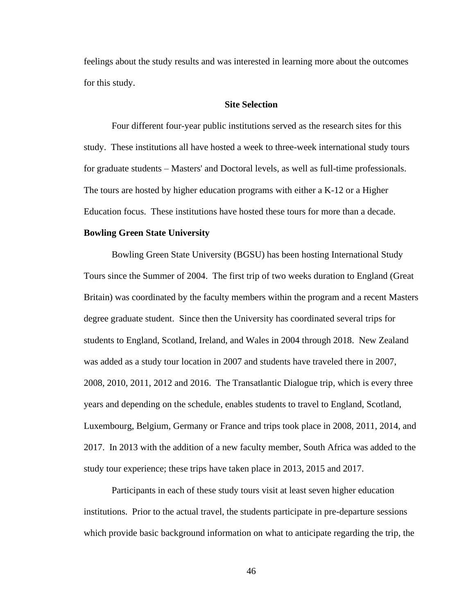feelings about the study results and was interested in learning more about the outcomes for this study.

# **Site Selection**

Four different four-year public institutions served as the research sites for this study. These institutions all have hosted a week to three-week international study tours for graduate students – Masters' and Doctoral levels, as well as full-time professionals. The tours are hosted by higher education programs with either a K-12 or a Higher Education focus. These institutions have hosted these tours for more than a decade.

## **Bowling Green State University**

Bowling Green State University (BGSU) has been hosting International Study Tours since the Summer of 2004. The first trip of two weeks duration to England (Great Britain) was coordinated by the faculty members within the program and a recent Masters degree graduate student. Since then the University has coordinated several trips for students to England, Scotland, Ireland, and Wales in 2004 through 2018. New Zealand was added as a study tour location in 2007 and students have traveled there in 2007, 2008, 2010, 2011, 2012 and 2016. The Transatlantic Dialogue trip, which is every three years and depending on the schedule, enables students to travel to England, Scotland, Luxembourg, Belgium, Germany or France and trips took place in 2008, 2011, 2014, and 2017. In 2013 with the addition of a new faculty member, South Africa was added to the study tour experience; these trips have taken place in 2013, 2015 and 2017.

Participants in each of these study tours visit at least seven higher education institutions. Prior to the actual travel, the students participate in pre-departure sessions which provide basic background information on what to anticipate regarding the trip, the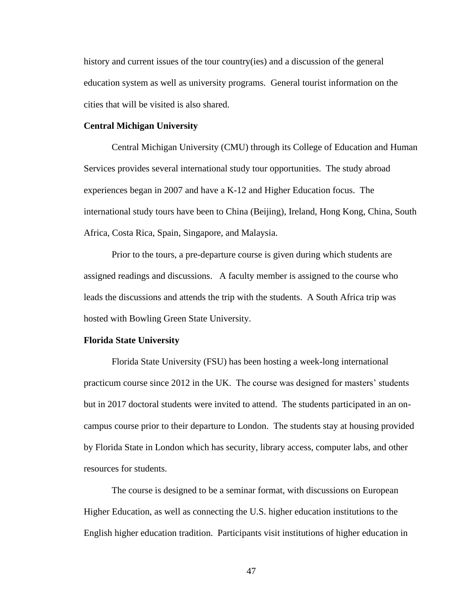history and current issues of the tour country(ies) and a discussion of the general education system as well as university programs. General tourist information on the cities that will be visited is also shared.

# **Central Michigan University**

Central Michigan University (CMU) through its College of Education and Human Services provides several international study tour opportunities. The study abroad experiences began in 2007 and have a K-12 and Higher Education focus. The international study tours have been to China (Beijing), Ireland, Hong Kong, China, South Africa, Costa Rica, Spain, Singapore, and Malaysia.

Prior to the tours, a pre-departure course is given during which students are assigned readings and discussions. A faculty member is assigned to the course who leads the discussions and attends the trip with the students. A South Africa trip was hosted with Bowling Green State University.

## **Florida State University**

Florida State University (FSU) has been hosting a week-long international practicum course since 2012 in the UK. The course was designed for masters' students but in 2017 doctoral students were invited to attend. The students participated in an oncampus course prior to their departure to London. The students stay at housing provided by Florida State in London which has security, library access, computer labs, and other resources for students.

The course is designed to be a seminar format, with discussions on European Higher Education, as well as connecting the U.S. higher education institutions to the English higher education tradition. Participants visit institutions of higher education in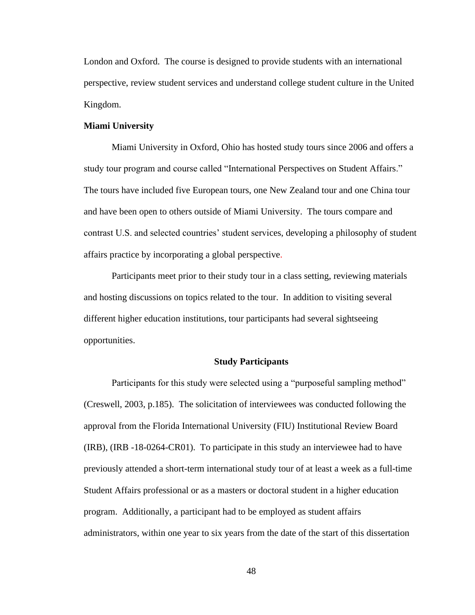London and Oxford. The course is designed to provide students with an international perspective, review student services and understand college student culture in the United Kingdom.

# **Miami University**

Miami University in Oxford, Ohio has hosted study tours since 2006 and offers a study tour program and course called "International Perspectives on Student Affairs." The tours have included five European tours, one New Zealand tour and one China tour and have been open to others outside of Miami University. The tours compare and contrast U.S. and selected countries' student services, developing a philosophy of student affairs practice by incorporating a global perspective.

Participants meet prior to their study tour in a class setting, reviewing materials and hosting discussions on topics related to the tour. In addition to visiting several different higher education institutions, tour participants had several sightseeing opportunities.

# **Study Participants**

Participants for this study were selected using a "purposeful sampling method" (Creswell, 2003, p.185). The solicitation of interviewees was conducted following the approval from the Florida International University (FIU) Institutional Review Board (IRB), (IRB -18-0264-CR01). To participate in this study an interviewee had to have previously attended a short-term international study tour of at least a week as a full-time Student Affairs professional or as a masters or doctoral student in a higher education program. Additionally, a participant had to be employed as student affairs administrators, within one year to six years from the date of the start of this dissertation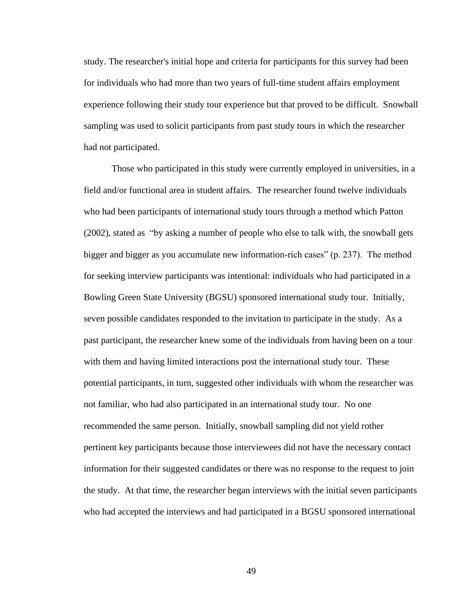study. The researcher's initial hope and criteria for participants for this survey had been for individuals who had more than two years of full-time student affairs employment experience following their study tour experience but that proved to be difficult. Snowball sampling was used to solicit participants from past study tours in which the researcher had not participated.

Those who participated in this study were currently employed in universities, in a field and/or functional area in student affairs. The researcher found twelve individuals who had been participants of international study tours through a method which Patton (2002), stated as "by asking a number of people who else to talk with, the snowball gets bigger and bigger as you accumulate new information-rich cases" (p. 237). The method for seeking interview participants was intentional: individuals who had participated in a Bowling Green State University (BGSU) sponsored international study tour. Initially, seven possible candidates responded to the invitation to participate in the study. As a past participant, the researcher knew some of the individuals from having been on a tour with them and having limited interactions post the international study tour. These potential participants, in turn, suggested other individuals with whom the researcher was not familiar, who had also participated in an international study tour. No one recommended the same person. Initially, snowball sampling did not yield rother pertinent key participants because those interviewees did not have the necessary contact information for their suggested candidates or there was no response to the request to join the study. At that time, the researcher began interviews with the initial seven participants who had accepted the interviews and had participated in a BGSU sponsored international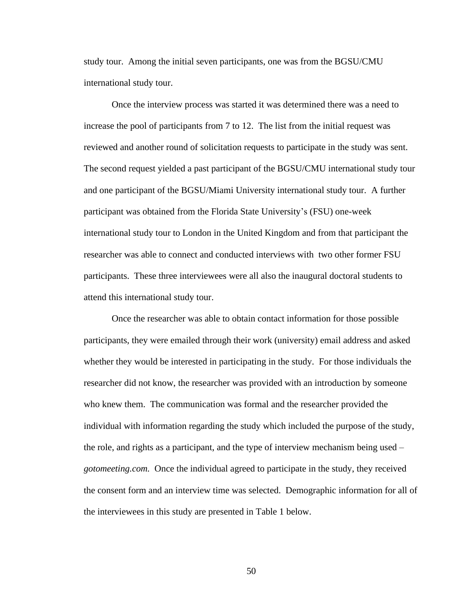study tour. Among the initial seven participants, one was from the BGSU/CMU international study tour.

Once the interview process was started it was determined there was a need to increase the pool of participants from 7 to 12. The list from the initial request was reviewed and another round of solicitation requests to participate in the study was sent. The second request yielded a past participant of the BGSU/CMU international study tour and one participant of the BGSU/Miami University international study tour. A further participant was obtained from the Florida State University's (FSU) one-week international study tour to London in the United Kingdom and from that participant the researcher was able to connect and conducted interviews with two other former FSU participants. These three interviewees were all also the inaugural doctoral students to attend this international study tour.

Once the researcher was able to obtain contact information for those possible participants, they were emailed through their work (university) email address and asked whether they would be interested in participating in the study. For those individuals the researcher did not know, the researcher was provided with an introduction by someone who knew them. The communication was formal and the researcher provided the individual with information regarding the study which included the purpose of the study, the role, and rights as a participant, and the type of interview mechanism being used – *gotomeeting.com.* Once the individual agreed to participate in the study, they received the consent form and an interview time was selected. Demographic information for all of the interviewees in this study are presented in Table 1 below.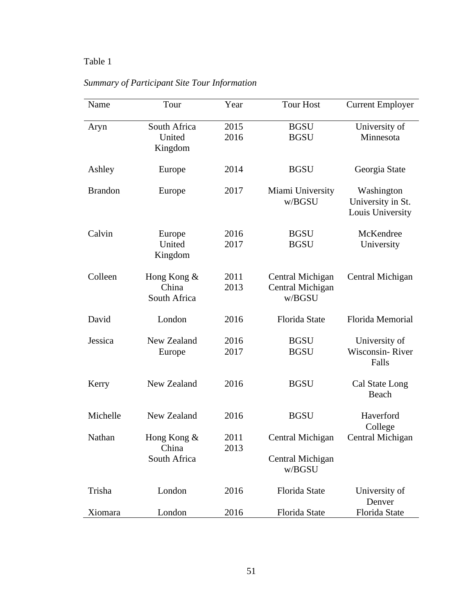# Table 1

| Name           | Tour                                 | Year         | <b>Tour Host</b>                               | <b>Current Employer</b>                             |
|----------------|--------------------------------------|--------------|------------------------------------------------|-----------------------------------------------------|
| Aryn           | South Africa<br>United<br>Kingdom    | 2015<br>2016 | <b>BGSU</b><br><b>BGSU</b>                     | University of<br>Minnesota                          |
| Ashley         | Europe                               | 2014         | <b>BGSU</b>                                    | Georgia State                                       |
| <b>Brandon</b> | Europe                               | 2017         | Miami University<br>w/BGSU                     | Washington<br>University in St.<br>Louis University |
| Calvin         | Europe<br>United<br>Kingdom          | 2016<br>2017 | <b>BGSU</b><br><b>BGSU</b>                     | McKendree<br>University                             |
| Colleen        | Hong Kong &<br>China<br>South Africa | 2011<br>2013 | Central Michigan<br>Central Michigan<br>w/BGSU | Central Michigan                                    |
| David          | London                               | 2016         | Florida State                                  | Florida Memorial                                    |
| Jessica        | New Zealand<br>Europe                | 2016<br>2017 | <b>BGSU</b><br><b>BGSU</b>                     | University of<br>Wisconsin-River<br>Falls           |
| Kerry          | New Zealand                          | 2016         | <b>BGSU</b>                                    | Cal State Long<br>Beach                             |
| Michelle       | New Zealand                          | 2016         | <b>BGSU</b>                                    | Haverford<br>College                                |
| Nathan         | Hong Kong &<br>China<br>South Africa | 2011<br>2013 | Central Michigan<br>Central Michigan<br>w/BGSU | Central Michigan                                    |
| Trisha         | London                               | 2016         | Florida State                                  | University of<br>Denver                             |
| Xiomara        | London                               | 2016         | Florida State                                  | Florida State                                       |

*Summary of Participant Site Tour Information*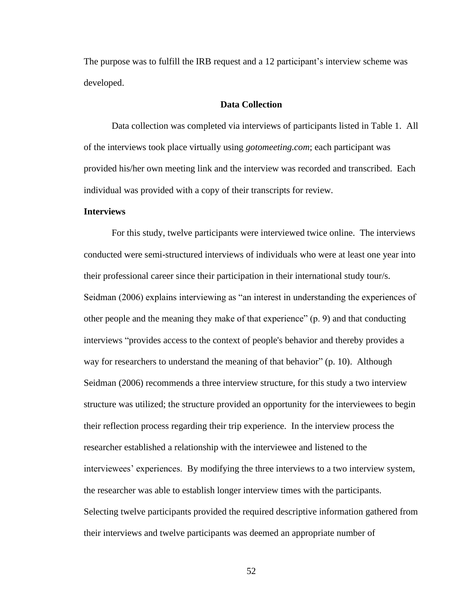The purpose was to fulfill the IRB request and a 12 participant's interview scheme was developed.

# **Data Collection**

Data collection was completed via interviews of participants listed in Table 1. All of the interviews took place virtually using *gotomeeting.com*; each participant was provided his/her own meeting link and the interview was recorded and transcribed. Each individual was provided with a copy of their transcripts for review.

# **Interviews**

For this study, twelve participants were interviewed twice online. The interviews conducted were semi-structured interviews of individuals who were at least one year into their professional career since their participation in their international study tour/s. Seidman (2006) explains interviewing as "an interest in understanding the experiences of other people and the meaning they make of that experience" (p. 9) and that conducting interviews "provides access to the context of people's behavior and thereby provides a way for researchers to understand the meaning of that behavior" (p. 10). Although Seidman (2006) recommends a three interview structure, for this study a two interview structure was utilized; the structure provided an opportunity for the interviewees to begin their reflection process regarding their trip experience. In the interview process the researcher established a relationship with the interviewee and listened to the interviewees' experiences. By modifying the three interviews to a two interview system, the researcher was able to establish longer interview times with the participants. Selecting twelve participants provided the required descriptive information gathered from their interviews and twelve participants was deemed an appropriate number of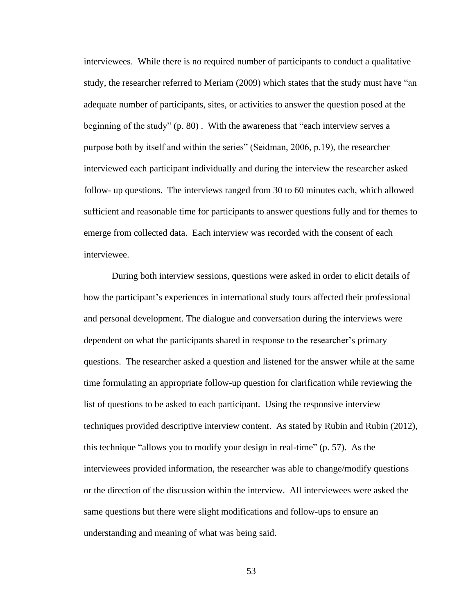interviewees. While there is no required number of participants to conduct a qualitative study, the researcher referred to Meriam (2009) which states that the study must have "an adequate number of participants, sites, or activities to answer the question posed at the beginning of the study" (p. 80) . With the awareness that "each interview serves a purpose both by itself and within the series" (Seidman, 2006, p.19), the researcher interviewed each participant individually and during the interview the researcher asked follow- up questions. The interviews ranged from 30 to 60 minutes each, which allowed sufficient and reasonable time for participants to answer questions fully and for themes to emerge from collected data. Each interview was recorded with the consent of each interviewee.

During both interview sessions, questions were asked in order to elicit details of how the participant's experiences in international study tours affected their professional and personal development. The dialogue and conversation during the interviews were dependent on what the participants shared in response to the researcher's primary questions. The researcher asked a question and listened for the answer while at the same time formulating an appropriate follow-up question for clarification while reviewing the list of questions to be asked to each participant. Using the responsive interview techniques provided descriptive interview content. As stated by Rubin and Rubin (2012), this technique "allows you to modify your design in real-time" (p. 57). As the interviewees provided information, the researcher was able to change/modify questions or the direction of the discussion within the interview. All interviewees were asked the same questions but there were slight modifications and follow-ups to ensure an understanding and meaning of what was being said.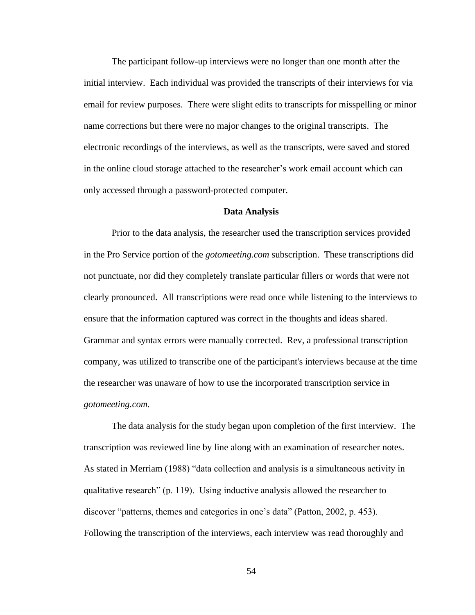The participant follow-up interviews were no longer than one month after the initial interview. Each individual was provided the transcripts of their interviews for via email for review purposes. There were slight edits to transcripts for misspelling or minor name corrections but there were no major changes to the original transcripts. The electronic recordings of the interviews, as well as the transcripts, were saved and stored in the online cloud storage attached to the researcher's work email account which can only accessed through a password-protected computer.

### **Data Analysis**

Prior to the data analysis, the researcher used the transcription services provided in the Pro Service portion of the *gotomeeting.com* subscription. These transcriptions did not punctuate, nor did they completely translate particular fillers or words that were not clearly pronounced. All transcriptions were read once while listening to the interviews to ensure that the information captured was correct in the thoughts and ideas shared. Grammar and syntax errors were manually corrected. Rev, a professional transcription company, was utilized to transcribe one of the participant's interviews because at the time the researcher was unaware of how to use the incorporated transcription service in *gotomeeting.com.*

The data analysis for the study began upon completion of the first interview. The transcription was reviewed line by line along with an examination of researcher notes. As stated in Merriam (1988) "data collection and analysis is a simultaneous activity in qualitative research" (p. 119). Using inductive analysis allowed the researcher to discover "patterns, themes and categories in one's data" (Patton, 2002, p. 453). Following the transcription of the interviews, each interview was read thoroughly and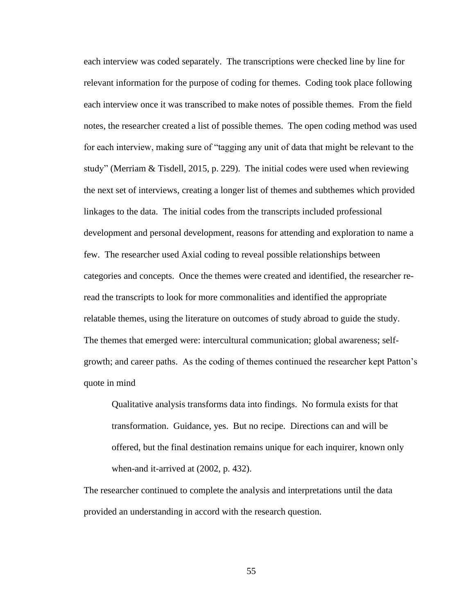each interview was coded separately. The transcriptions were checked line by line for relevant information for the purpose of coding for themes. Coding took place following each interview once it was transcribed to make notes of possible themes. From the field notes, the researcher created a list of possible themes. The open coding method was used for each interview, making sure of "tagging any unit of data that might be relevant to the study" (Merriam & Tisdell, 2015, p. 229). The initial codes were used when reviewing the next set of interviews, creating a longer list of themes and subthemes which provided linkages to the data. The initial codes from the transcripts included professional development and personal development, reasons for attending and exploration to name a few. The researcher used Axial coding to reveal possible relationships between categories and concepts. Once the themes were created and identified, the researcher reread the transcripts to look for more commonalities and identified the appropriate relatable themes, using the literature on outcomes of study abroad to guide the study. The themes that emerged were: intercultural communication; global awareness; selfgrowth; and career paths. As the coding of themes continued the researcher kept Patton's quote in mind

Qualitative analysis transforms data into findings. No formula exists for that transformation. Guidance, yes. But no recipe. Directions can and will be offered, but the final destination remains unique for each inquirer, known only when-and it-arrived at (2002, p. 432).

The researcher continued to complete the analysis and interpretations until the data provided an understanding in accord with the research question.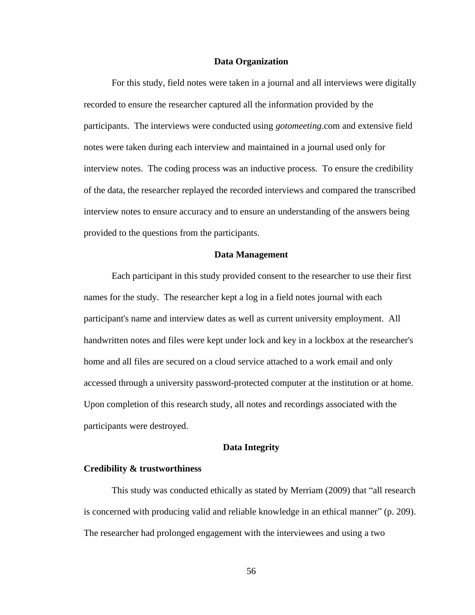### **Data Organization**

For this study, field notes were taken in a journal and all interviews were digitally recorded to ensure the researcher captured all the information provided by the participants. The interviews were conducted using *gotomeeting*.com and extensive field notes were taken during each interview and maintained in a journal used only for interview notes. The coding process was an inductive process. To ensure the credibility of the data, the researcher replayed the recorded interviews and compared the transcribed interview notes to ensure accuracy and to ensure an understanding of the answers being provided to the questions from the participants.

# **Data Management**

Each participant in this study provided consent to the researcher to use their first names for the study. The researcher kept a log in a field notes journal with each participant's name and interview dates as well as current university employment. All handwritten notes and files were kept under lock and key in a lockbox at the researcher's home and all files are secured on a cloud service attached to a work email and only accessed through a university password-protected computer at the institution or at home. Upon completion of this research study, all notes and recordings associated with the participants were destroyed.

## **Data Integrity**

#### **Credibility & trustworthiness**

This study was conducted ethically as stated by Merriam (2009) that "all research is concerned with producing valid and reliable knowledge in an ethical manner" (p. 209). The researcher had prolonged engagement with the interviewees and using a two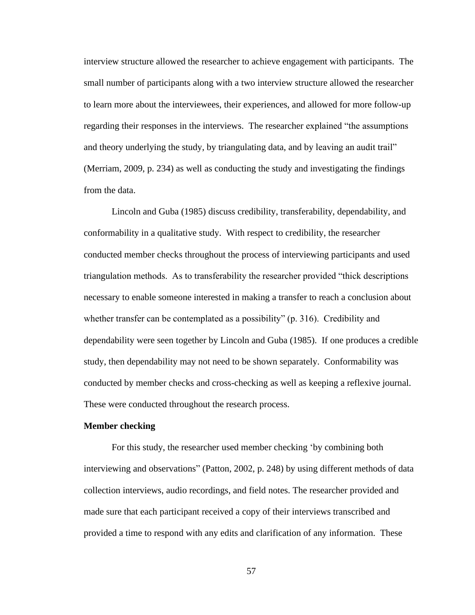interview structure allowed the researcher to achieve engagement with participants. The small number of participants along with a two interview structure allowed the researcher to learn more about the interviewees, their experiences, and allowed for more follow-up regarding their responses in the interviews. The researcher explained "the assumptions and theory underlying the study, by triangulating data, and by leaving an audit trail" (Merriam, 2009, p. 234) as well as conducting the study and investigating the findings from the data.

Lincoln and Guba (1985) discuss credibility, transferability, dependability, and conformability in a qualitative study. With respect to credibility, the researcher conducted member checks throughout the process of interviewing participants and used triangulation methods. As to transferability the researcher provided "thick descriptions necessary to enable someone interested in making a transfer to reach a conclusion about whether transfer can be contemplated as a possibility" (p. 316). Credibility and dependability were seen together by Lincoln and Guba (1985). If one produces a credible study, then dependability may not need to be shown separately. Conformability was conducted by member checks and cross-checking as well as keeping a reflexive journal. These were conducted throughout the research process.

# **Member checking**

For this study, the researcher used member checking 'by combining both interviewing and observations" (Patton, 2002, p. 248) by using different methods of data collection interviews, audio recordings, and field notes. The researcher provided and made sure that each participant received a copy of their interviews transcribed and provided a time to respond with any edits and clarification of any information. These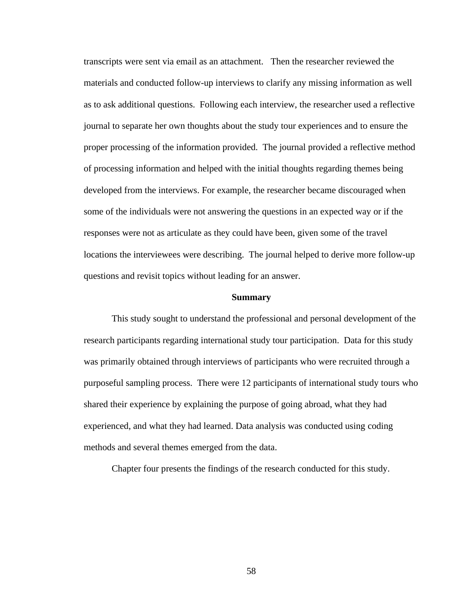transcripts were sent via email as an attachment. Then the researcher reviewed the materials and conducted follow-up interviews to clarify any missing information as well as to ask additional questions. Following each interview, the researcher used a reflective journal to separate her own thoughts about the study tour experiences and to ensure the proper processing of the information provided. The journal provided a reflective method of processing information and helped with the initial thoughts regarding themes being developed from the interviews. For example, the researcher became discouraged when some of the individuals were not answering the questions in an expected way or if the responses were not as articulate as they could have been, given some of the travel locations the interviewees were describing. The journal helped to derive more follow-up questions and revisit topics without leading for an answer.

## **Summary**

This study sought to understand the professional and personal development of the research participants regarding international study tour participation. Data for this study was primarily obtained through interviews of participants who were recruited through a purposeful sampling process. There were 12 participants of international study tours who shared their experience by explaining the purpose of going abroad, what they had experienced, and what they had learned. Data analysis was conducted using coding methods and several themes emerged from the data.

Chapter four presents the findings of the research conducted for this study.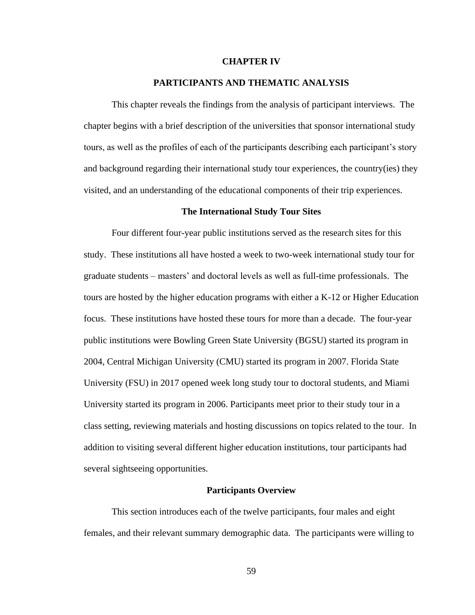# **CHAPTER IV**

# **PARTICIPANTS AND THEMATIC ANALYSIS**

This chapter reveals the findings from the analysis of participant interviews. The chapter begins with a brief description of the universities that sponsor international study tours, as well as the profiles of each of the participants describing each participant's story and background regarding their international study tour experiences, the country(ies) they visited, and an understanding of the educational components of their trip experiences.

# **The International Study Tour Sites**

Four different four-year public institutions served as the research sites for this study. These institutions all have hosted a week to two-week international study tour for graduate students – masters' and doctoral levels as well as full-time professionals. The tours are hosted by the higher education programs with either a K-12 or Higher Education focus. These institutions have hosted these tours for more than a decade. The four-year public institutions were Bowling Green State University (BGSU) started its program in 2004, Central Michigan University (CMU) started its program in 2007. Florida State University (FSU) in 2017 opened week long study tour to doctoral students, and Miami University started its program in 2006. Participants meet prior to their study tour in a class setting, reviewing materials and hosting discussions on topics related to the tour. In addition to visiting several different higher education institutions, tour participants had several sightseeing opportunities.

## **Participants Overview**

This section introduces each of the twelve participants, four males and eight females, and their relevant summary demographic data. The participants were willing to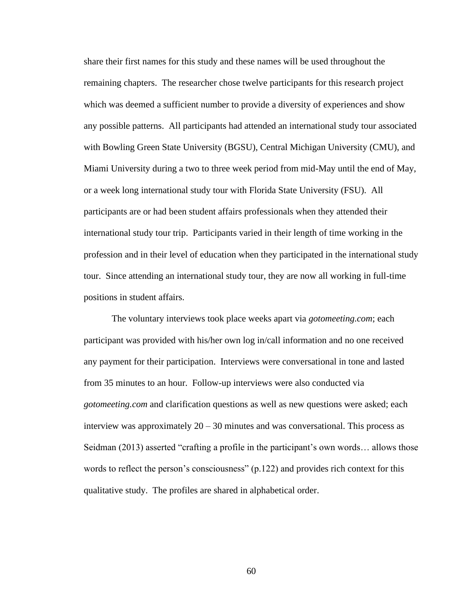share their first names for this study and these names will be used throughout the remaining chapters. The researcher chose twelve participants for this research project which was deemed a sufficient number to provide a diversity of experiences and show any possible patterns. All participants had attended an international study tour associated with Bowling Green State University (BGSU), Central Michigan University (CMU), and Miami University during a two to three week period from mid-May until the end of May, or a week long international study tour with Florida State University (FSU). All participants are or had been student affairs professionals when they attended their international study tour trip. Participants varied in their length of time working in the profession and in their level of education when they participated in the international study tour. Since attending an international study tour, they are now all working in full-time positions in student affairs.

The voluntary interviews took place weeks apart via *gotomeeting.com*; each participant was provided with his/her own log in/call information and no one received any payment for their participation. Interviews were conversational in tone and lasted from 35 minutes to an hour. Follow-up interviews were also conducted via *gotomeeting.com* and clarification questions as well as new questions were asked; each interview was approximately  $20 - 30$  minutes and was conversational. This process as Seidman (2013) asserted "crafting a profile in the participant's own words… allows those words to reflect the person's consciousness" (p.122) and provides rich context for this qualitative study. The profiles are shared in alphabetical order.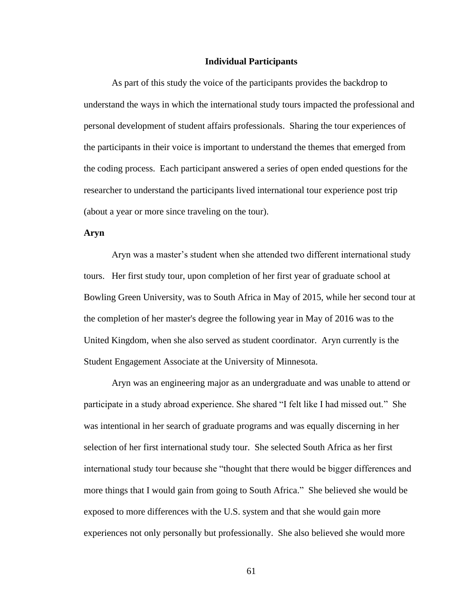### **Individual Participants**

As part of this study the voice of the participants provides the backdrop to understand the ways in which the international study tours impacted the professional and personal development of student affairs professionals. Sharing the tour experiences of the participants in their voice is important to understand the themes that emerged from the coding process. Each participant answered a series of open ended questions for the researcher to understand the participants lived international tour experience post trip (about a year or more since traveling on the tour).

### **Aryn**

Aryn was a master's student when she attended two different international study tours. Her first study tour, upon completion of her first year of graduate school at Bowling Green University, was to South Africa in May of 2015, while her second tour at the completion of her master's degree the following year in May of 2016 was to the United Kingdom, when she also served as student coordinator. Aryn currently is the Student Engagement Associate at the University of Minnesota.

Aryn was an engineering major as an undergraduate and was unable to attend or participate in a study abroad experience. She shared "I felt like I had missed out." She was intentional in her search of graduate programs and was equally discerning in her selection of her first international study tour. She selected South Africa as her first international study tour because she "thought that there would be bigger differences and more things that I would gain from going to South Africa." She believed she would be exposed to more differences with the U.S. system and that she would gain more experiences not only personally but professionally. She also believed she would more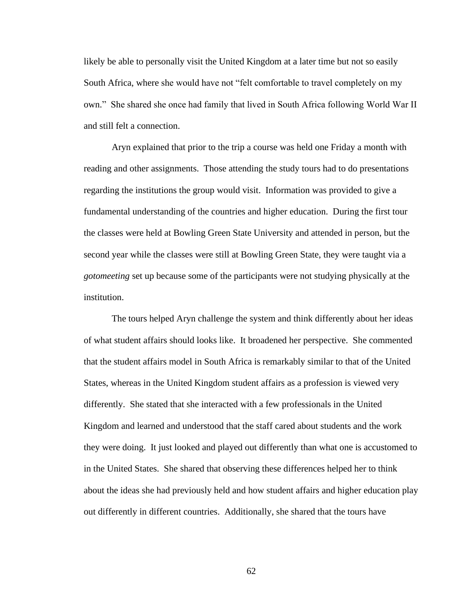likely be able to personally visit the United Kingdom at a later time but not so easily South Africa, where she would have not "felt comfortable to travel completely on my own." She shared she once had family that lived in South Africa following World War II and still felt a connection.

Aryn explained that prior to the trip a course was held one Friday a month with reading and other assignments. Those attending the study tours had to do presentations regarding the institutions the group would visit. Information was provided to give a fundamental understanding of the countries and higher education. During the first tour the classes were held at Bowling Green State University and attended in person, but the second year while the classes were still at Bowling Green State, they were taught via a *gotomeeting* set up because some of the participants were not studying physically at the institution.

The tours helped Aryn challenge the system and think differently about her ideas of what student affairs should looks like. It broadened her perspective. She commented that the student affairs model in South Africa is remarkably similar to that of the United States, whereas in the United Kingdom student affairs as a profession is viewed very differently. She stated that she interacted with a few professionals in the United Kingdom and learned and understood that the staff cared about students and the work they were doing. It just looked and played out differently than what one is accustomed to in the United States. She shared that observing these differences helped her to think about the ideas she had previously held and how student affairs and higher education play out differently in different countries. Additionally, she shared that the tours have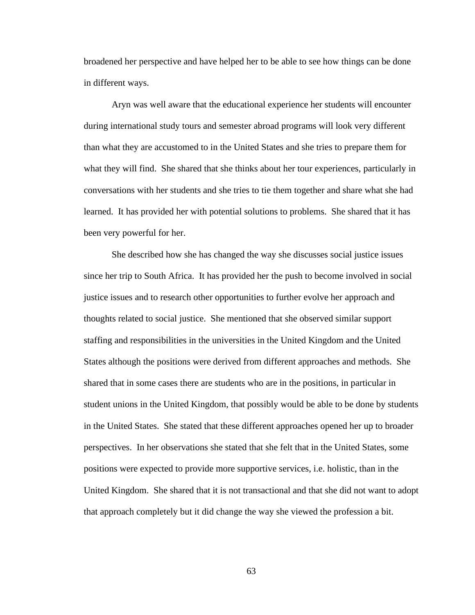broadened her perspective and have helped her to be able to see how things can be done in different ways.

Aryn was well aware that the educational experience her students will encounter during international study tours and semester abroad programs will look very different than what they are accustomed to in the United States and she tries to prepare them for what they will find. She shared that she thinks about her tour experiences, particularly in conversations with her students and she tries to tie them together and share what she had learned. It has provided her with potential solutions to problems. She shared that it has been very powerful for her.

She described how she has changed the way she discusses social justice issues since her trip to South Africa. It has provided her the push to become involved in social justice issues and to research other opportunities to further evolve her approach and thoughts related to social justice. She mentioned that she observed similar support staffing and responsibilities in the universities in the United Kingdom and the United States although the positions were derived from different approaches and methods. She shared that in some cases there are students who are in the positions, in particular in student unions in the United Kingdom, that possibly would be able to be done by students in the United States. She stated that these different approaches opened her up to broader perspectives. In her observations she stated that she felt that in the United States, some positions were expected to provide more supportive services, i.e. holistic, than in the United Kingdom. She shared that it is not transactional and that she did not want to adopt that approach completely but it did change the way she viewed the profession a bit.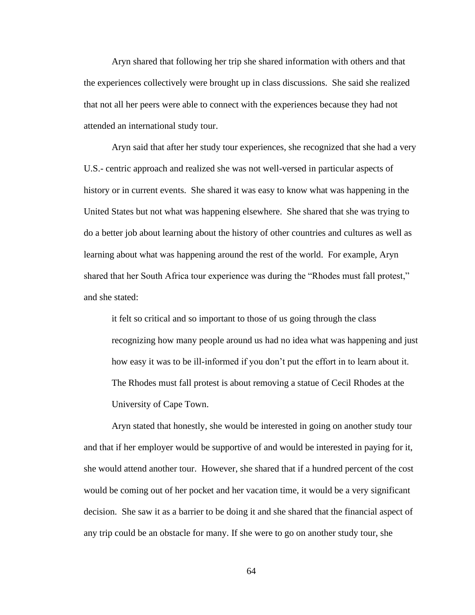Aryn shared that following her trip she shared information with others and that the experiences collectively were brought up in class discussions. She said she realized that not all her peers were able to connect with the experiences because they had not attended an international study tour.

Aryn said that after her study tour experiences, she recognized that she had a very U.S.- centric approach and realized she was not well-versed in particular aspects of history or in current events. She shared it was easy to know what was happening in the United States but not what was happening elsewhere. She shared that she was trying to do a better job about learning about the history of other countries and cultures as well as learning about what was happening around the rest of the world. For example, Aryn shared that her South Africa tour experience was during the "Rhodes must fall protest," and she stated:

it felt so critical and so important to those of us going through the class recognizing how many people around us had no idea what was happening and just how easy it was to be ill-informed if you don't put the effort in to learn about it. The Rhodes must fall protest is about removing a statue of Cecil Rhodes at the University of Cape Town.

Aryn stated that honestly, she would be interested in going on another study tour and that if her employer would be supportive of and would be interested in paying for it, she would attend another tour. However, she shared that if a hundred percent of the cost would be coming out of her pocket and her vacation time, it would be a very significant decision. She saw it as a barrier to be doing it and she shared that the financial aspect of any trip could be an obstacle for many. If she were to go on another study tour, she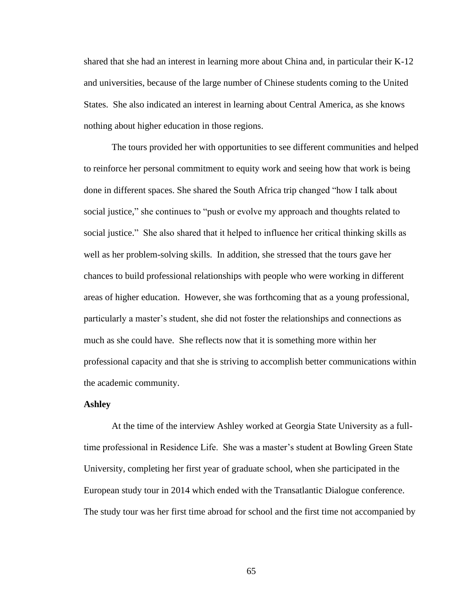shared that she had an interest in learning more about China and, in particular their K-12 and universities, because of the large number of Chinese students coming to the United States. She also indicated an interest in learning about Central America, as she knows nothing about higher education in those regions.

The tours provided her with opportunities to see different communities and helped to reinforce her personal commitment to equity work and seeing how that work is being done in different spaces. She shared the South Africa trip changed "how I talk about social justice," she continues to "push or evolve my approach and thoughts related to social justice." She also shared that it helped to influence her critical thinking skills as well as her problem-solving skills. In addition, she stressed that the tours gave her chances to build professional relationships with people who were working in different areas of higher education. However, she was forthcoming that as a young professional, particularly a master's student, she did not foster the relationships and connections as much as she could have. She reflects now that it is something more within her professional capacity and that she is striving to accomplish better communications within the academic community.

## **Ashley**

At the time of the interview Ashley worked at Georgia State University as a fulltime professional in Residence Life. She was a master's student at Bowling Green State University, completing her first year of graduate school, when she participated in the European study tour in 2014 which ended with the Transatlantic Dialogue conference. The study tour was her first time abroad for school and the first time not accompanied by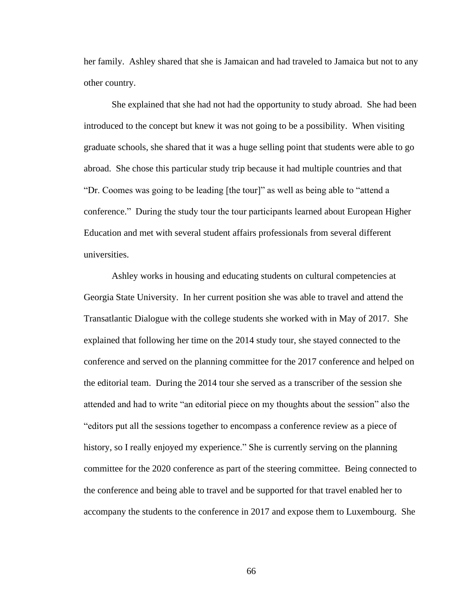her family. Ashley shared that she is Jamaican and had traveled to Jamaica but not to any other country.

She explained that she had not had the opportunity to study abroad. She had been introduced to the concept but knew it was not going to be a possibility. When visiting graduate schools, she shared that it was a huge selling point that students were able to go abroad. She chose this particular study trip because it had multiple countries and that "Dr. Coomes was going to be leading [the tour]" as well as being able to "attend a conference." During the study tour the tour participants learned about European Higher Education and met with several student affairs professionals from several different universities.

Ashley works in housing and educating students on cultural competencies at Georgia State University. In her current position she was able to travel and attend the Transatlantic Dialogue with the college students she worked with in May of 2017. She explained that following her time on the 2014 study tour, she stayed connected to the conference and served on the planning committee for the 2017 conference and helped on the editorial team. During the 2014 tour she served as a transcriber of the session she attended and had to write "an editorial piece on my thoughts about the session" also the "editors put all the sessions together to encompass a conference review as a piece of history, so I really enjoyed my experience." She is currently serving on the planning committee for the 2020 conference as part of the steering committee. Being connected to the conference and being able to travel and be supported for that travel enabled her to accompany the students to the conference in 2017 and expose them to Luxembourg. She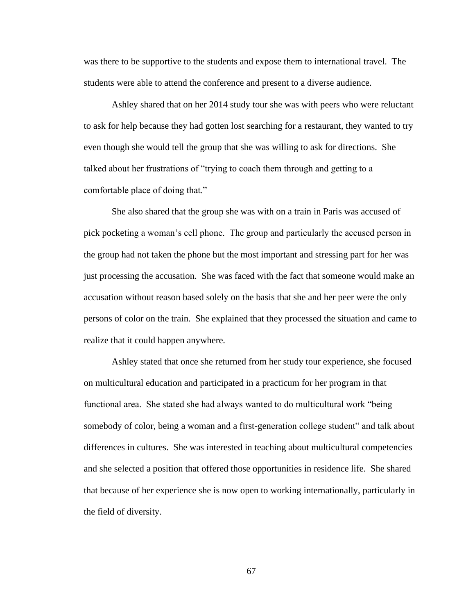was there to be supportive to the students and expose them to international travel. The students were able to attend the conference and present to a diverse audience.

Ashley shared that on her 2014 study tour she was with peers who were reluctant to ask for help because they had gotten lost searching for a restaurant, they wanted to try even though she would tell the group that she was willing to ask for directions. She talked about her frustrations of "trying to coach them through and getting to a comfortable place of doing that."

She also shared that the group she was with on a train in Paris was accused of pick pocketing a woman's cell phone. The group and particularly the accused person in the group had not taken the phone but the most important and stressing part for her was just processing the accusation. She was faced with the fact that someone would make an accusation without reason based solely on the basis that she and her peer were the only persons of color on the train. She explained that they processed the situation and came to realize that it could happen anywhere.

Ashley stated that once she returned from her study tour experience, she focused on multicultural education and participated in a practicum for her program in that functional area. She stated she had always wanted to do multicultural work "being somebody of color, being a woman and a first-generation college student" and talk about differences in cultures. She was interested in teaching about multicultural competencies and she selected a position that offered those opportunities in residence life. She shared that because of her experience she is now open to working internationally, particularly in the field of diversity.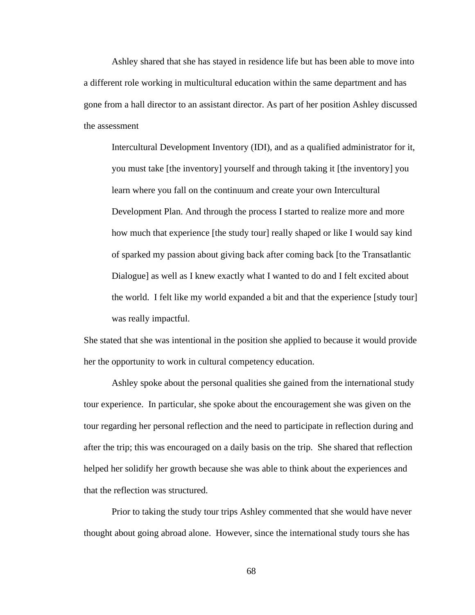Ashley shared that she has stayed in residence life but has been able to move into a different role working in multicultural education within the same department and has gone from a hall director to an assistant director. As part of her position Ashley discussed the assessment

Intercultural Development Inventory (IDI), and as a qualified administrator for it, you must take [the inventory] yourself and through taking it [the inventory] you learn where you fall on the continuum and create your own Intercultural Development Plan. And through the process I started to realize more and more how much that experience [the study tour] really shaped or like I would say kind of sparked my passion about giving back after coming back [to the Transatlantic Dialogue] as well as I knew exactly what I wanted to do and I felt excited about the world. I felt like my world expanded a bit and that the experience [study tour] was really impactful.

She stated that she was intentional in the position she applied to because it would provide her the opportunity to work in cultural competency education.

Ashley spoke about the personal qualities she gained from the international study tour experience. In particular, she spoke about the encouragement she was given on the tour regarding her personal reflection and the need to participate in reflection during and after the trip; this was encouraged on a daily basis on the trip. She shared that reflection helped her solidify her growth because she was able to think about the experiences and that the reflection was structured.

Prior to taking the study tour trips Ashley commented that she would have never thought about going abroad alone. However, since the international study tours she has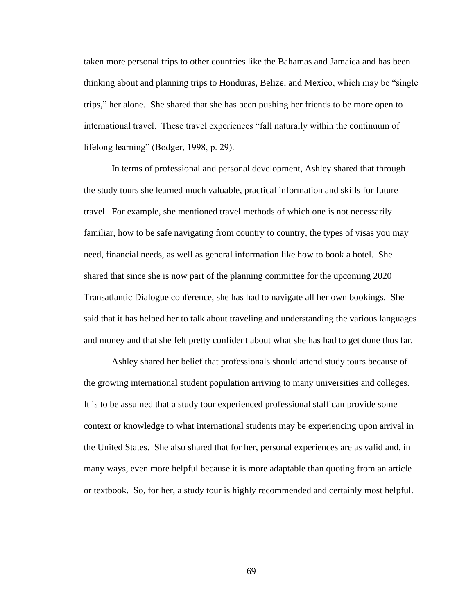taken more personal trips to other countries like the Bahamas and Jamaica and has been thinking about and planning trips to Honduras, Belize, and Mexico, which may be "single trips," her alone. She shared that she has been pushing her friends to be more open to international travel. These travel experiences "fall naturally within the continuum of lifelong learning" (Bodger, 1998, p. 29).

In terms of professional and personal development, Ashley shared that through the study tours she learned much valuable, practical information and skills for future travel. For example, she mentioned travel methods of which one is not necessarily familiar, how to be safe navigating from country to country, the types of visas you may need, financial needs, as well as general information like how to book a hotel. She shared that since she is now part of the planning committee for the upcoming 2020 Transatlantic Dialogue conference, she has had to navigate all her own bookings. She said that it has helped her to talk about traveling and understanding the various languages and money and that she felt pretty confident about what she has had to get done thus far.

Ashley shared her belief that professionals should attend study tours because of the growing international student population arriving to many universities and colleges. It is to be assumed that a study tour experienced professional staff can provide some context or knowledge to what international students may be experiencing upon arrival in the United States. She also shared that for her, personal experiences are as valid and, in many ways, even more helpful because it is more adaptable than quoting from an article or textbook. So, for her, a study tour is highly recommended and certainly most helpful.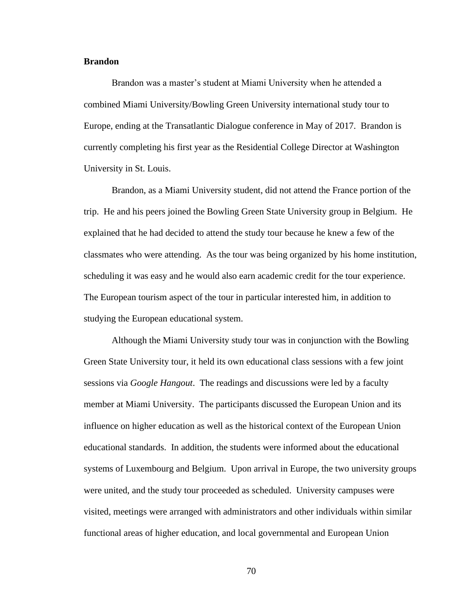# **Brandon**

Brandon was a master's student at Miami University when he attended a combined Miami University/Bowling Green University international study tour to Europe, ending at the Transatlantic Dialogue conference in May of 2017. Brandon is currently completing his first year as the Residential College Director at Washington University in St. Louis.

Brandon, as a Miami University student, did not attend the France portion of the trip. He and his peers joined the Bowling Green State University group in Belgium. He explained that he had decided to attend the study tour because he knew a few of the classmates who were attending. As the tour was being organized by his home institution, scheduling it was easy and he would also earn academic credit for the tour experience. The European tourism aspect of the tour in particular interested him, in addition to studying the European educational system.

Although the Miami University study tour was in conjunction with the Bowling Green State University tour, it held its own educational class sessions with a few joint sessions via *Google Hangout*. The readings and discussions were led by a faculty member at Miami University. The participants discussed the European Union and its influence on higher education as well as the historical context of the European Union educational standards. In addition, the students were informed about the educational systems of Luxembourg and Belgium. Upon arrival in Europe, the two university groups were united, and the study tour proceeded as scheduled. University campuses were visited, meetings were arranged with administrators and other individuals within similar functional areas of higher education, and local governmental and European Union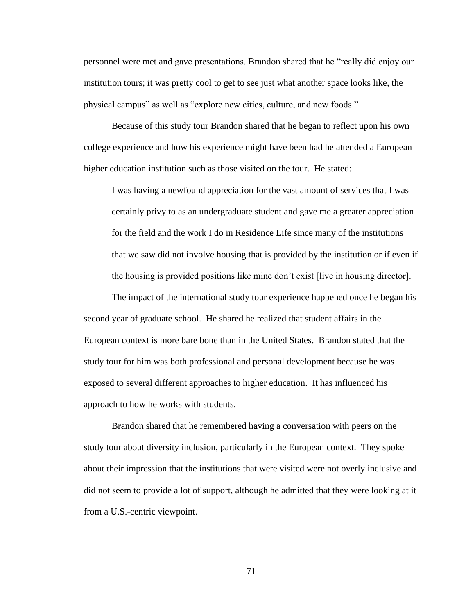personnel were met and gave presentations. Brandon shared that he "really did enjoy our institution tours; it was pretty cool to get to see just what another space looks like, the physical campus" as well as "explore new cities, culture, and new foods."

Because of this study tour Brandon shared that he began to reflect upon his own college experience and how his experience might have been had he attended a European higher education institution such as those visited on the tour. He stated:

I was having a newfound appreciation for the vast amount of services that I was certainly privy to as an undergraduate student and gave me a greater appreciation for the field and the work I do in Residence Life since many of the institutions that we saw did not involve housing that is provided by the institution or if even if the housing is provided positions like mine don't exist [live in housing director].

The impact of the international study tour experience happened once he began his second year of graduate school. He shared he realized that student affairs in the European context is more bare bone than in the United States. Brandon stated that the study tour for him was both professional and personal development because he was exposed to several different approaches to higher education. It has influenced his approach to how he works with students.

Brandon shared that he remembered having a conversation with peers on the study tour about diversity inclusion, particularly in the European context. They spoke about their impression that the institutions that were visited were not overly inclusive and did not seem to provide a lot of support, although he admitted that they were looking at it from a U.S.-centric viewpoint.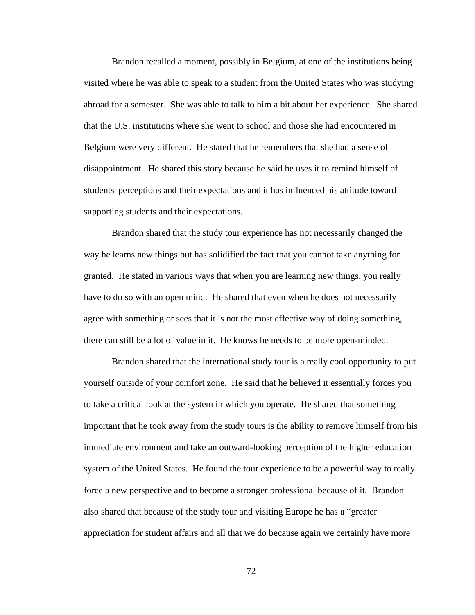Brandon recalled a moment, possibly in Belgium, at one of the institutions being visited where he was able to speak to a student from the United States who was studying abroad for a semester. She was able to talk to him a bit about her experience. She shared that the U.S. institutions where she went to school and those she had encountered in Belgium were very different. He stated that he remembers that she had a sense of disappointment. He shared this story because he said he uses it to remind himself of students' perceptions and their expectations and it has influenced his attitude toward supporting students and their expectations.

Brandon shared that the study tour experience has not necessarily changed the way he learns new things but has solidified the fact that you cannot take anything for granted. He stated in various ways that when you are learning new things, you really have to do so with an open mind. He shared that even when he does not necessarily agree with something or sees that it is not the most effective way of doing something, there can still be a lot of value in it. He knows he needs to be more open-minded.

Brandon shared that the international study tour is a really cool opportunity to put yourself outside of your comfort zone. He said that he believed it essentially forces you to take a critical look at the system in which you operate. He shared that something important that he took away from the study tours is the ability to remove himself from his immediate environment and take an outward-looking perception of the higher education system of the United States. He found the tour experience to be a powerful way to really force a new perspective and to become a stronger professional because of it. Brandon also shared that because of the study tour and visiting Europe he has a "greater appreciation for student affairs and all that we do because again we certainly have more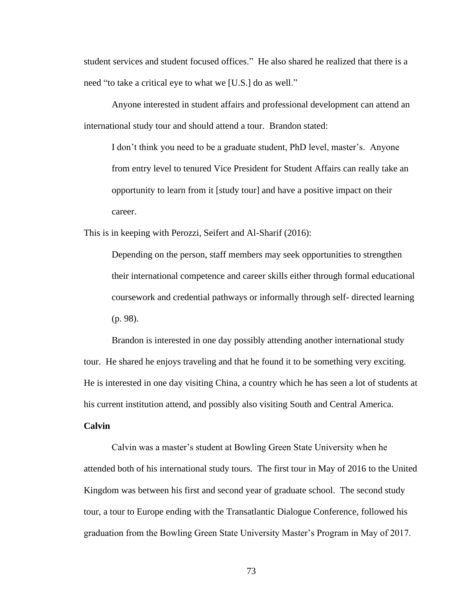student services and student focused offices." He also shared he realized that there is a need "to take a critical eye to what we [U.S.] do as well."

Anyone interested in student affairs and professional development can attend an international study tour and should attend a tour. Brandon stated:

I don't think you need to be a graduate student, PhD level, master's. Anyone from entry level to tenured Vice President for Student Affairs can really take an opportunity to learn from it [study tour] and have a positive impact on their career.

This is in keeping with Perozzi, Seifert and Al-Sharif (2016):

Depending on the person, staff members may seek opportunities to strengthen their international competence and career skills either through formal educational coursework and credential pathways or informally through self- directed learning (p. 98).

Brandon is interested in one day possibly attending another international study tour. He shared he enjoys traveling and that he found it to be something very exciting. He is interested in one day visiting China, a country which he has seen a lot of students at his current institution attend, and possibly also visiting South and Central America.

# **Calvin**

Calvin was a master's student at Bowling Green State University when he attended both of his international study tours. The first tour in May of 2016 to the United Kingdom was between his first and second year of graduate school. The second study tour, a tour to Europe ending with the Transatlantic Dialogue Conference, followed his graduation from the Bowling Green State University Master's Program in May of 2017.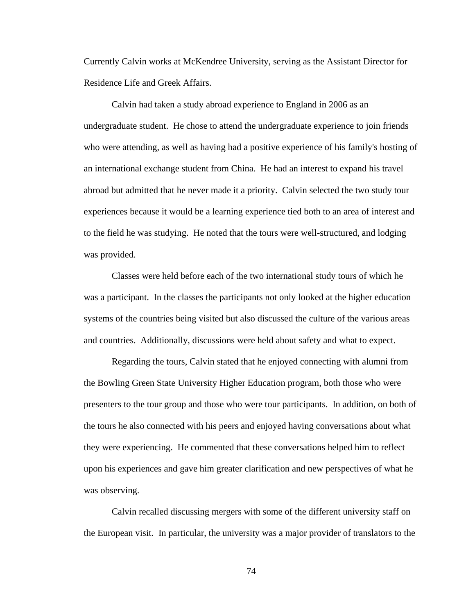Currently Calvin works at McKendree University, serving as the Assistant Director for Residence Life and Greek Affairs.

Calvin had taken a study abroad experience to England in 2006 as an undergraduate student. He chose to attend the undergraduate experience to join friends who were attending, as well as having had a positive experience of his family's hosting of an international exchange student from China. He had an interest to expand his travel abroad but admitted that he never made it a priority. Calvin selected the two study tour experiences because it would be a learning experience tied both to an area of interest and to the field he was studying. He noted that the tours were well-structured, and lodging was provided.

Classes were held before each of the two international study tours of which he was a participant. In the classes the participants not only looked at the higher education systems of the countries being visited but also discussed the culture of the various areas and countries. Additionally, discussions were held about safety and what to expect.

Regarding the tours, Calvin stated that he enjoyed connecting with alumni from the Bowling Green State University Higher Education program, both those who were presenters to the tour group and those who were tour participants. In addition, on both of the tours he also connected with his peers and enjoyed having conversations about what they were experiencing. He commented that these conversations helped him to reflect upon his experiences and gave him greater clarification and new perspectives of what he was observing.

Calvin recalled discussing mergers with some of the different university staff on the European visit. In particular, the university was a major provider of translators to the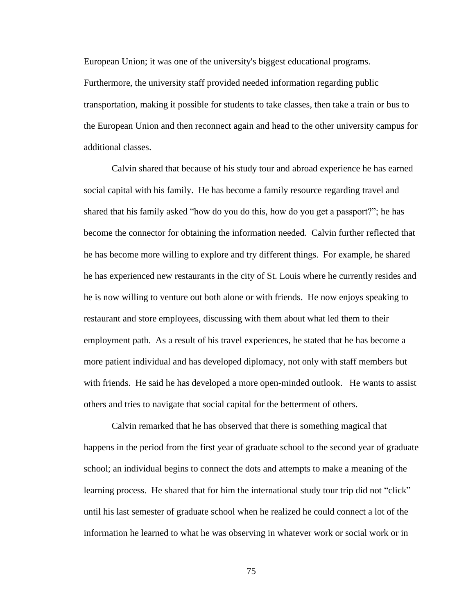European Union; it was one of the university's biggest educational programs. Furthermore, the university staff provided needed information regarding public transportation, making it possible for students to take classes, then take a train or bus to the European Union and then reconnect again and head to the other university campus for additional classes.

Calvin shared that because of his study tour and abroad experience he has earned social capital with his family. He has become a family resource regarding travel and shared that his family asked "how do you do this, how do you get a passport?"; he has become the connector for obtaining the information needed. Calvin further reflected that he has become more willing to explore and try different things. For example, he shared he has experienced new restaurants in the city of St. Louis where he currently resides and he is now willing to venture out both alone or with friends. He now enjoys speaking to restaurant and store employees, discussing with them about what led them to their employment path. As a result of his travel experiences, he stated that he has become a more patient individual and has developed diplomacy, not only with staff members but with friends. He said he has developed a more open-minded outlook. He wants to assist others and tries to navigate that social capital for the betterment of others.

Calvin remarked that he has observed that there is something magical that happens in the period from the first year of graduate school to the second year of graduate school; an individual begins to connect the dots and attempts to make a meaning of the learning process. He shared that for him the international study tour trip did not "click" until his last semester of graduate school when he realized he could connect a lot of the information he learned to what he was observing in whatever work or social work or in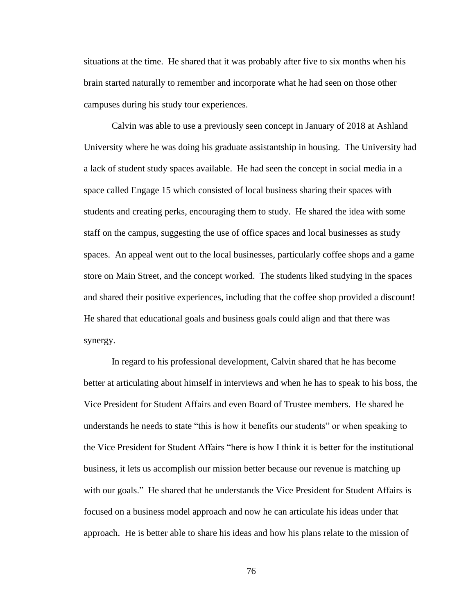situations at the time. He shared that it was probably after five to six months when his brain started naturally to remember and incorporate what he had seen on those other campuses during his study tour experiences.

Calvin was able to use a previously seen concept in January of 2018 at Ashland University where he was doing his graduate assistantship in housing. The University had a lack of student study spaces available. He had seen the concept in social media in a space called Engage 15 which consisted of local business sharing their spaces with students and creating perks, encouraging them to study. He shared the idea with some staff on the campus, suggesting the use of office spaces and local businesses as study spaces. An appeal went out to the local businesses, particularly coffee shops and a game store on Main Street, and the concept worked. The students liked studying in the spaces and shared their positive experiences, including that the coffee shop provided a discount! He shared that educational goals and business goals could align and that there was synergy.

In regard to his professional development, Calvin shared that he has become better at articulating about himself in interviews and when he has to speak to his boss, the Vice President for Student Affairs and even Board of Trustee members. He shared he understands he needs to state "this is how it benefits our students" or when speaking to the Vice President for Student Affairs "here is how I think it is better for the institutional business, it lets us accomplish our mission better because our revenue is matching up with our goals." He shared that he understands the Vice President for Student Affairs is focused on a business model approach and now he can articulate his ideas under that approach. He is better able to share his ideas and how his plans relate to the mission of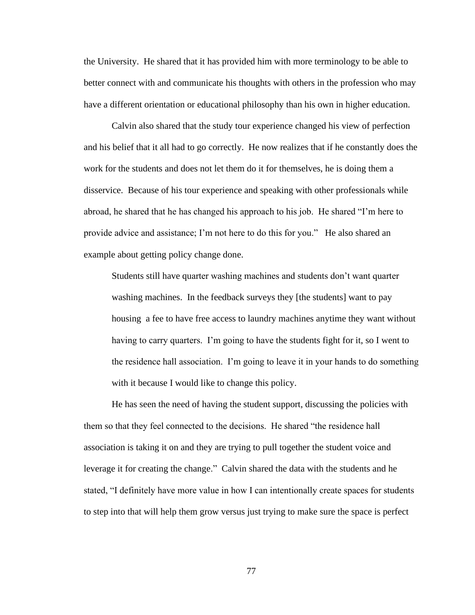the University. He shared that it has provided him with more terminology to be able to better connect with and communicate his thoughts with others in the profession who may have a different orientation or educational philosophy than his own in higher education.

Calvin also shared that the study tour experience changed his view of perfection and his belief that it all had to go correctly. He now realizes that if he constantly does the work for the students and does not let them do it for themselves, he is doing them a disservice. Because of his tour experience and speaking with other professionals while abroad, he shared that he has changed his approach to his job. He shared "I'm here to provide advice and assistance; I'm not here to do this for you." He also shared an example about getting policy change done.

Students still have quarter washing machines and students don't want quarter washing machines. In the feedback surveys they [the students] want to pay housing a fee to have free access to laundry machines anytime they want without having to carry quarters. I'm going to have the students fight for it, so I went to the residence hall association. I'm going to leave it in your hands to do something with it because I would like to change this policy.

He has seen the need of having the student support, discussing the policies with them so that they feel connected to the decisions. He shared "the residence hall association is taking it on and they are trying to pull together the student voice and leverage it for creating the change." Calvin shared the data with the students and he stated, "I definitely have more value in how I can intentionally create spaces for students to step into that will help them grow versus just trying to make sure the space is perfect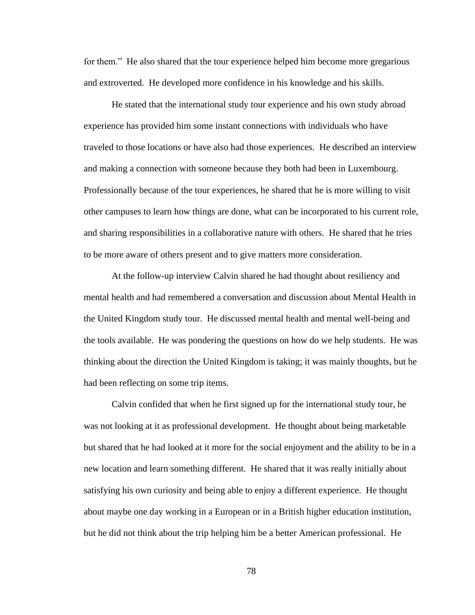for them." He also shared that the tour experience helped him become more gregarious and extroverted. He developed more confidence in his knowledge and his skills.

He stated that the international study tour experience and his own study abroad experience has provided him some instant connections with individuals who have traveled to those locations or have also had those experiences. He described an interview and making a connection with someone because they both had been in Luxembourg. Professionally because of the tour experiences, he shared that he is more willing to visit other campuses to learn how things are done, what can be incorporated to his current role, and sharing responsibilities in a collaborative nature with others. He shared that he tries to be more aware of others present and to give matters more consideration.

At the follow-up interview Calvin shared he had thought about resiliency and mental health and had remembered a conversation and discussion about Mental Health in the United Kingdom study tour. He discussed mental health and mental well-being and the tools available. He was pondering the questions on how do we help students. He was thinking about the direction the United Kingdom is taking; it was mainly thoughts, but he had been reflecting on some trip items.

Calvin confided that when he first signed up for the international study tour, he was not looking at it as professional development. He thought about being marketable but shared that he had looked at it more for the social enjoyment and the ability to be in a new location and learn something different. He shared that it was really initially about satisfying his own curiosity and being able to enjoy a different experience. He thought about maybe one day working in a European or in a British higher education institution, but he did not think about the trip helping him be a better American professional. He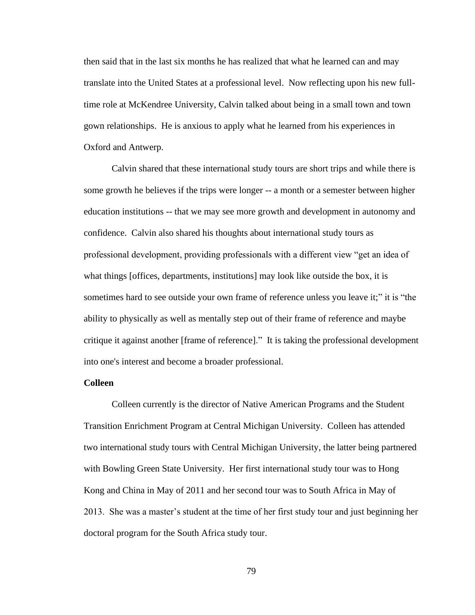then said that in the last six months he has realized that what he learned can and may translate into the United States at a professional level. Now reflecting upon his new fulltime role at McKendree University, Calvin talked about being in a small town and town gown relationships. He is anxious to apply what he learned from his experiences in Oxford and Antwerp.

Calvin shared that these international study tours are short trips and while there is some growth he believes if the trips were longer -- a month or a semester between higher education institutions -- that we may see more growth and development in autonomy and confidence. Calvin also shared his thoughts about international study tours as professional development, providing professionals with a different view "get an idea of what things [offices, departments, institutions] may look like outside the box, it is sometimes hard to see outside your own frame of reference unless you leave it;" it is "the ability to physically as well as mentally step out of their frame of reference and maybe critique it against another [frame of reference]." It is taking the professional development into one's interest and become a broader professional.

# **Colleen**

Colleen currently is the director of Native American Programs and the Student Transition Enrichment Program at Central Michigan University. Colleen has attended two international study tours with Central Michigan University, the latter being partnered with Bowling Green State University. Her first international study tour was to Hong Kong and China in May of 2011 and her second tour was to South Africa in May of 2013. She was a master's student at the time of her first study tour and just beginning her doctoral program for the South Africa study tour.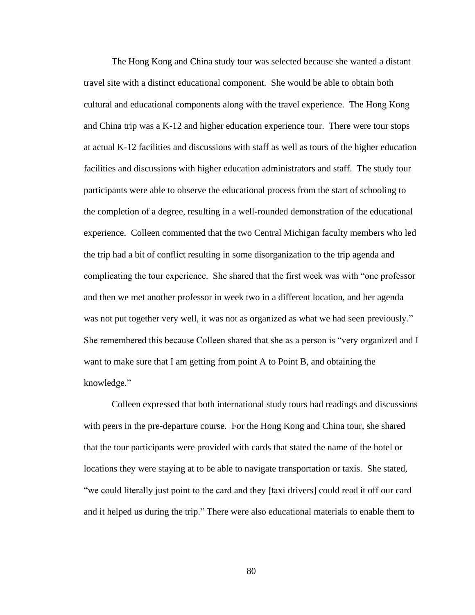The Hong Kong and China study tour was selected because she wanted a distant travel site with a distinct educational component. She would be able to obtain both cultural and educational components along with the travel experience. The Hong Kong and China trip was a K-12 and higher education experience tour. There were tour stops at actual K-12 facilities and discussions with staff as well as tours of the higher education facilities and discussions with higher education administrators and staff. The study tour participants were able to observe the educational process from the start of schooling to the completion of a degree, resulting in a well-rounded demonstration of the educational experience. Colleen commented that the two Central Michigan faculty members who led the trip had a bit of conflict resulting in some disorganization to the trip agenda and complicating the tour experience. She shared that the first week was with "one professor and then we met another professor in week two in a different location, and her agenda was not put together very well, it was not as organized as what we had seen previously." She remembered this because Colleen shared that she as a person is "very organized and I want to make sure that I am getting from point A to Point B, and obtaining the knowledge."

Colleen expressed that both international study tours had readings and discussions with peers in the pre-departure course. For the Hong Kong and China tour, she shared that the tour participants were provided with cards that stated the name of the hotel or locations they were staying at to be able to navigate transportation or taxis. She stated, "we could literally just point to the card and they [taxi drivers] could read it off our card and it helped us during the trip." There were also educational materials to enable them to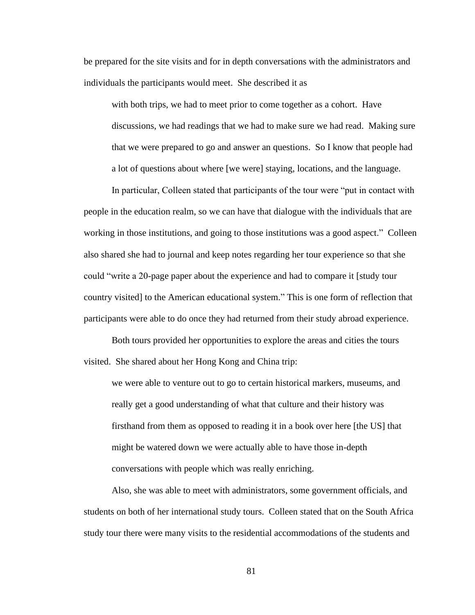be prepared for the site visits and for in depth conversations with the administrators and individuals the participants would meet. She described it as

with both trips, we had to meet prior to come together as a cohort. Have discussions, we had readings that we had to make sure we had read. Making sure that we were prepared to go and answer an questions. So I know that people had a lot of questions about where [we were] staying, locations, and the language.

In particular, Colleen stated that participants of the tour were "put in contact with people in the education realm, so we can have that dialogue with the individuals that are working in those institutions, and going to those institutions was a good aspect." Colleen also shared she had to journal and keep notes regarding her tour experience so that she could "write a 20-page paper about the experience and had to compare it [study tour country visited] to the American educational system." This is one form of reflection that participants were able to do once they had returned from their study abroad experience.

Both tours provided her opportunities to explore the areas and cities the tours visited. She shared about her Hong Kong and China trip:

we were able to venture out to go to certain historical markers, museums, and really get a good understanding of what that culture and their history was firsthand from them as opposed to reading it in a book over here [the US] that might be watered down we were actually able to have those in-depth conversations with people which was really enriching.

Also, she was able to meet with administrators, some government officials, and students on both of her international study tours. Colleen stated that on the South Africa study tour there were many visits to the residential accommodations of the students and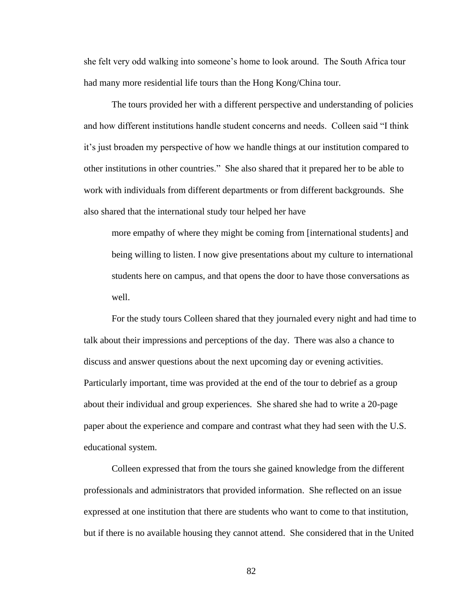she felt very odd walking into someone's home to look around. The South Africa tour had many more residential life tours than the Hong Kong/China tour.

The tours provided her with a different perspective and understanding of policies and how different institutions handle student concerns and needs. Colleen said "I think it's just broaden my perspective of how we handle things at our institution compared to other institutions in other countries." She also shared that it prepared her to be able to work with individuals from different departments or from different backgrounds. She also shared that the international study tour helped her have

more empathy of where they might be coming from [international students] and being willing to listen. I now give presentations about my culture to international students here on campus, and that opens the door to have those conversations as well.

For the study tours Colleen shared that they journaled every night and had time to talk about their impressions and perceptions of the day. There was also a chance to discuss and answer questions about the next upcoming day or evening activities. Particularly important, time was provided at the end of the tour to debrief as a group about their individual and group experiences. She shared she had to write a 20-page paper about the experience and compare and contrast what they had seen with the U.S. educational system.

Colleen expressed that from the tours she gained knowledge from the different professionals and administrators that provided information. She reflected on an issue expressed at one institution that there are students who want to come to that institution, but if there is no available housing they cannot attend. She considered that in the United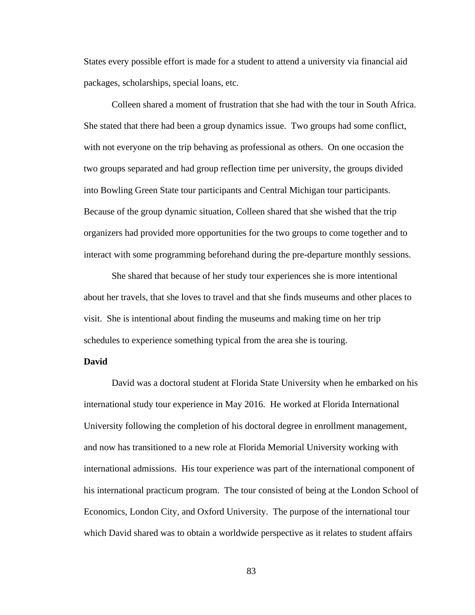States every possible effort is made for a student to attend a university via financial aid packages, scholarships, special loans, etc.

Colleen shared a moment of frustration that she had with the tour in South Africa. She stated that there had been a group dynamics issue. Two groups had some conflict, with not everyone on the trip behaving as professional as others. On one occasion the two groups separated and had group reflection time per university, the groups divided into Bowling Green State tour participants and Central Michigan tour participants. Because of the group dynamic situation, Colleen shared that she wished that the trip organizers had provided more opportunities for the two groups to come together and to interact with some programming beforehand during the pre-departure monthly sessions.

She shared that because of her study tour experiences she is more intentional about her travels, that she loves to travel and that she finds museums and other places to visit. She is intentional about finding the museums and making time on her trip schedules to experience something typical from the area she is touring.

# **David**

David was a doctoral student at Florida State University when he embarked on his international study tour experience in May 2016. He worked at Florida International University following the completion of his doctoral degree in enrollment management, and now has transitioned to a new role at Florida Memorial University working with international admissions. His tour experience was part of the international component of his international practicum program. The tour consisted of being at the London School of Economics, London City, and Oxford University. The purpose of the international tour which David shared was to obtain a worldwide perspective as it relates to student affairs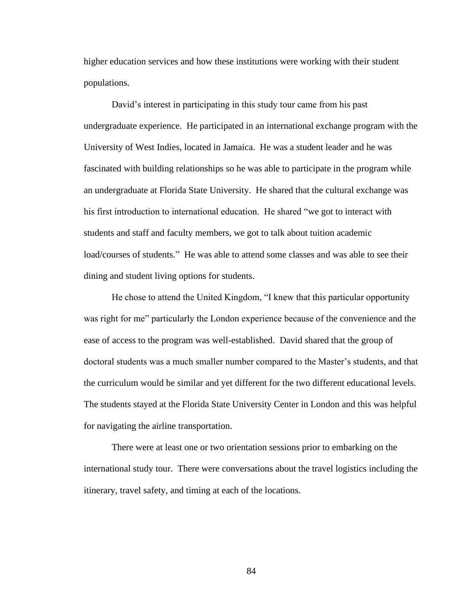higher education services and how these institutions were working with their student populations.

David's interest in participating in this study tour came from his past undergraduate experience. He participated in an international exchange program with the University of West Indies, located in Jamaica. He was a student leader and he was fascinated with building relationships so he was able to participate in the program while an undergraduate at Florida State University. He shared that the cultural exchange was his first introduction to international education. He shared "we got to interact with students and staff and faculty members, we got to talk about tuition academic load/courses of students." He was able to attend some classes and was able to see their dining and student living options for students.

He chose to attend the United Kingdom, "I knew that this particular opportunity was right for me" particularly the London experience because of the convenience and the ease of access to the program was well-established. David shared that the group of doctoral students was a much smaller number compared to the Master's students, and that the curriculum would be similar and yet different for the two different educational levels. The students stayed at the Florida State University Center in London and this was helpful for navigating the airline transportation.

There were at least one or two orientation sessions prior to embarking on the international study tour. There were conversations about the travel logistics including the itinerary, travel safety, and timing at each of the locations.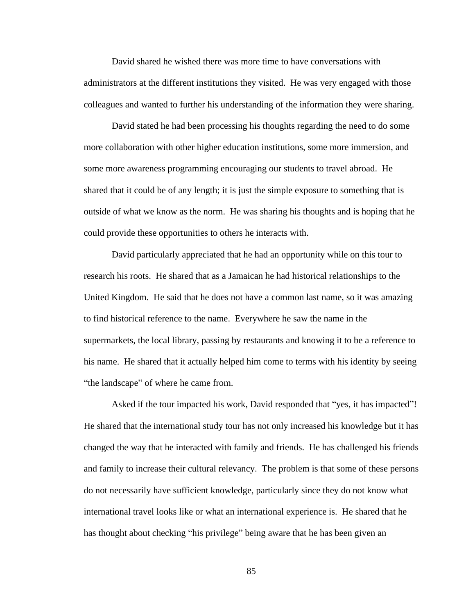David shared he wished there was more time to have conversations with administrators at the different institutions they visited. He was very engaged with those colleagues and wanted to further his understanding of the information they were sharing.

David stated he had been processing his thoughts regarding the need to do some more collaboration with other higher education institutions, some more immersion, and some more awareness programming encouraging our students to travel abroad. He shared that it could be of any length; it is just the simple exposure to something that is outside of what we know as the norm. He was sharing his thoughts and is hoping that he could provide these opportunities to others he interacts with.

David particularly appreciated that he had an opportunity while on this tour to research his roots. He shared that as a Jamaican he had historical relationships to the United Kingdom. He said that he does not have a common last name, so it was amazing to find historical reference to the name. Everywhere he saw the name in the supermarkets, the local library, passing by restaurants and knowing it to be a reference to his name. He shared that it actually helped him come to terms with his identity by seeing "the landscape" of where he came from.

Asked if the tour impacted his work, David responded that "yes, it has impacted"! He shared that the international study tour has not only increased his knowledge but it has changed the way that he interacted with family and friends. He has challenged his friends and family to increase their cultural relevancy. The problem is that some of these persons do not necessarily have sufficient knowledge, particularly since they do not know what international travel looks like or what an international experience is. He shared that he has thought about checking "his privilege" being aware that he has been given an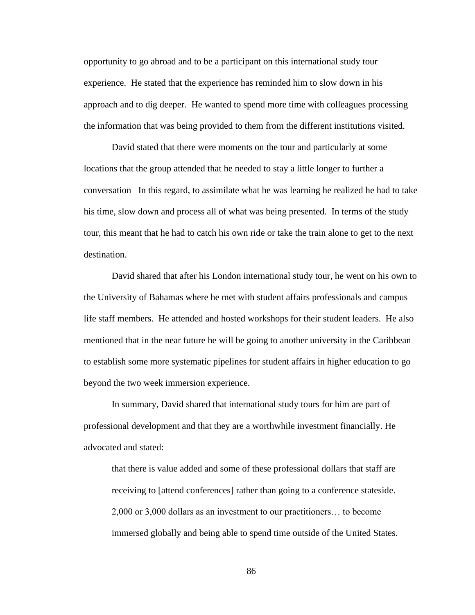opportunity to go abroad and to be a participant on this international study tour experience. He stated that the experience has reminded him to slow down in his approach and to dig deeper. He wanted to spend more time with colleagues processing the information that was being provided to them from the different institutions visited.

David stated that there were moments on the tour and particularly at some locations that the group attended that he needed to stay a little longer to further a conversation In this regard, to assimilate what he was learning he realized he had to take his time, slow down and process all of what was being presented. In terms of the study tour, this meant that he had to catch his own ride or take the train alone to get to the next destination.

David shared that after his London international study tour, he went on his own to the University of Bahamas where he met with student affairs professionals and campus life staff members. He attended and hosted workshops for their student leaders. He also mentioned that in the near future he will be going to another university in the Caribbean to establish some more systematic pipelines for student affairs in higher education to go beyond the two week immersion experience.

In summary, David shared that international study tours for him are part of professional development and that they are a worthwhile investment financially. He advocated and stated:

that there is value added and some of these professional dollars that staff are receiving to [attend conferences] rather than going to a conference stateside. 2,000 or 3,000 dollars as an investment to our practitioners… to become immersed globally and being able to spend time outside of the United States.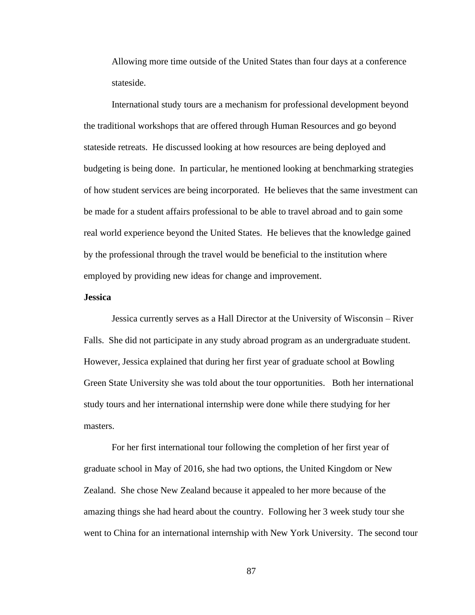Allowing more time outside of the United States than four days at a conference stateside.

International study tours are a mechanism for professional development beyond the traditional workshops that are offered through Human Resources and go beyond stateside retreats. He discussed looking at how resources are being deployed and budgeting is being done. In particular, he mentioned looking at benchmarking strategies of how student services are being incorporated. He believes that the same investment can be made for a student affairs professional to be able to travel abroad and to gain some real world experience beyond the United States. He believes that the knowledge gained by the professional through the travel would be beneficial to the institution where employed by providing new ideas for change and improvement.

# **Jessica**

Jessica currently serves as a Hall Director at the University of Wisconsin – River Falls. She did not participate in any study abroad program as an undergraduate student. However, Jessica explained that during her first year of graduate school at Bowling Green State University she was told about the tour opportunities. Both her international study tours and her international internship were done while there studying for her masters.

For her first international tour following the completion of her first year of graduate school in May of 2016, she had two options, the United Kingdom or New Zealand. She chose New Zealand because it appealed to her more because of the amazing things she had heard about the country. Following her 3 week study tour she went to China for an international internship with New York University. The second tour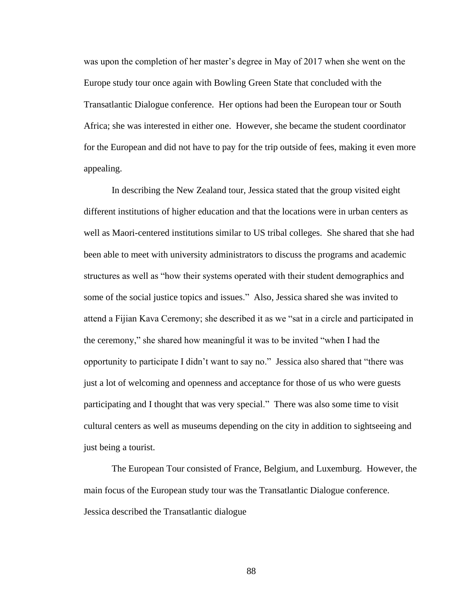was upon the completion of her master's degree in May of 2017 when she went on the Europe study tour once again with Bowling Green State that concluded with the Transatlantic Dialogue conference. Her options had been the European tour or South Africa; she was interested in either one. However, she became the student coordinator for the European and did not have to pay for the trip outside of fees, making it even more appealing.

In describing the New Zealand tour, Jessica stated that the group visited eight different institutions of higher education and that the locations were in urban centers as well as Maori-centered institutions similar to US tribal colleges. She shared that she had been able to meet with university administrators to discuss the programs and academic structures as well as "how their systems operated with their student demographics and some of the social justice topics and issues." Also, Jessica shared she was invited to attend a Fijian Kava Ceremony; she described it as we "sat in a circle and participated in the ceremony," she shared how meaningful it was to be invited "when I had the opportunity to participate I didn't want to say no." Jessica also shared that "there was just a lot of welcoming and openness and acceptance for those of us who were guests participating and I thought that was very special." There was also some time to visit cultural centers as well as museums depending on the city in addition to sightseeing and just being a tourist.

The European Tour consisted of France, Belgium, and Luxemburg. However, the main focus of the European study tour was the Transatlantic Dialogue conference. Jessica described the Transatlantic dialogue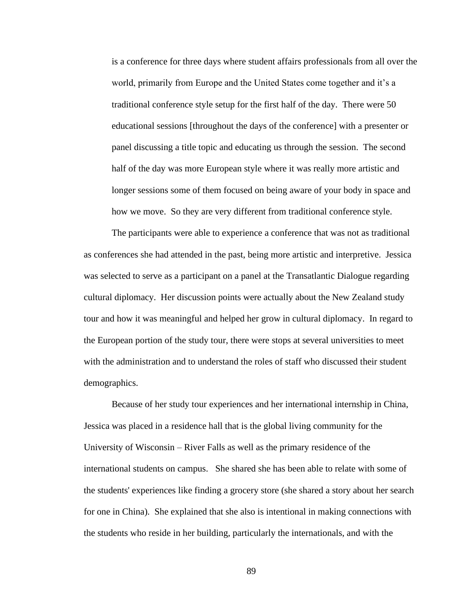is a conference for three days where student affairs professionals from all over the world, primarily from Europe and the United States come together and it's a traditional conference style setup for the first half of the day. There were 50 educational sessions [throughout the days of the conference] with a presenter or panel discussing a title topic and educating us through the session. The second half of the day was more European style where it was really more artistic and longer sessions some of them focused on being aware of your body in space and how we move. So they are very different from traditional conference style.

The participants were able to experience a conference that was not as traditional as conferences she had attended in the past, being more artistic and interpretive. Jessica was selected to serve as a participant on a panel at the Transatlantic Dialogue regarding cultural diplomacy. Her discussion points were actually about the New Zealand study tour and how it was meaningful and helped her grow in cultural diplomacy. In regard to the European portion of the study tour, there were stops at several universities to meet with the administration and to understand the roles of staff who discussed their student demographics.

Because of her study tour experiences and her international internship in China, Jessica was placed in a residence hall that is the global living community for the University of Wisconsin – River Falls as well as the primary residence of the international students on campus. She shared she has been able to relate with some of the students' experiences like finding a grocery store (she shared a story about her search for one in China). She explained that she also is intentional in making connections with the students who reside in her building, particularly the internationals, and with the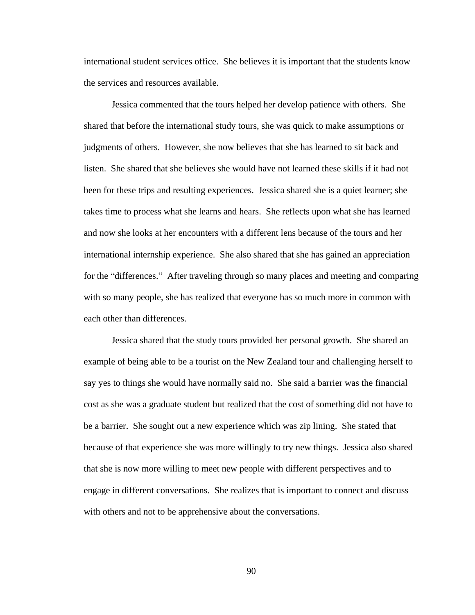international student services office. She believes it is important that the students know the services and resources available.

Jessica commented that the tours helped her develop patience with others. She shared that before the international study tours, she was quick to make assumptions or judgments of others. However, she now believes that she has learned to sit back and listen. She shared that she believes she would have not learned these skills if it had not been for these trips and resulting experiences. Jessica shared she is a quiet learner; she takes time to process what she learns and hears. She reflects upon what she has learned and now she looks at her encounters with a different lens because of the tours and her international internship experience. She also shared that she has gained an appreciation for the "differences." After traveling through so many places and meeting and comparing with so many people, she has realized that everyone has so much more in common with each other than differences.

Jessica shared that the study tours provided her personal growth. She shared an example of being able to be a tourist on the New Zealand tour and challenging herself to say yes to things she would have normally said no. She said a barrier was the financial cost as she was a graduate student but realized that the cost of something did not have to be a barrier. She sought out a new experience which was zip lining. She stated that because of that experience she was more willingly to try new things. Jessica also shared that she is now more willing to meet new people with different perspectives and to engage in different conversations. She realizes that is important to connect and discuss with others and not to be apprehensive about the conversations.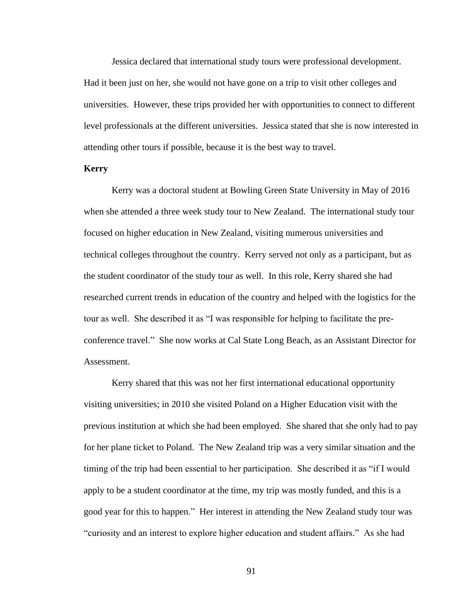Jessica declared that international study tours were professional development. Had it been just on her, she would not have gone on a trip to visit other colleges and universities. However, these trips provided her with opportunities to connect to different level professionals at the different universities. Jessica stated that she is now interested in attending other tours if possible, because it is the best way to travel.

# **Kerry**

Kerry was a doctoral student at Bowling Green State University in May of 2016 when she attended a three week study tour to New Zealand. The international study tour focused on higher education in New Zealand, visiting numerous universities and technical colleges throughout the country. Kerry served not only as a participant, but as the student coordinator of the study tour as well. In this role, Kerry shared she had researched current trends in education of the country and helped with the logistics for the tour as well. She described it as "I was responsible for helping to facilitate the preconference travel." She now works at Cal State Long Beach, as an Assistant Director for Assessment.

Kerry shared that this was not her first international educational opportunity visiting universities; in 2010 she visited Poland on a Higher Education visit with the previous institution at which she had been employed. She shared that she only had to pay for her plane ticket to Poland. The New Zealand trip was a very similar situation and the timing of the trip had been essential to her participation. She described it as "if I would apply to be a student coordinator at the time, my trip was mostly funded, and this is a good year for this to happen." Her interest in attending the New Zealand study tour was "curiosity and an interest to explore higher education and student affairs." As she had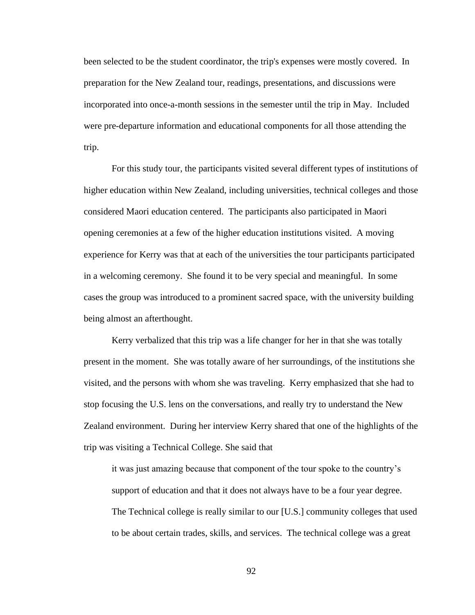been selected to be the student coordinator, the trip's expenses were mostly covered. In preparation for the New Zealand tour, readings, presentations, and discussions were incorporated into once-a-month sessions in the semester until the trip in May. Included were pre-departure information and educational components for all those attending the trip.

For this study tour, the participants visited several different types of institutions of higher education within New Zealand, including universities, technical colleges and those considered Maori education centered. The participants also participated in Maori opening ceremonies at a few of the higher education institutions visited. A moving experience for Kerry was that at each of the universities the tour participants participated in a welcoming ceremony. She found it to be very special and meaningful. In some cases the group was introduced to a prominent sacred space, with the university building being almost an afterthought.

Kerry verbalized that this trip was a life changer for her in that she was totally present in the moment. She was totally aware of her surroundings, of the institutions she visited, and the persons with whom she was traveling. Kerry emphasized that she had to stop focusing the U.S. lens on the conversations, and really try to understand the New Zealand environment. During her interview Kerry shared that one of the highlights of the trip was visiting a Technical College. She said that

it was just amazing because that component of the tour spoke to the country's support of education and that it does not always have to be a four year degree. The Technical college is really similar to our [U.S.] community colleges that used to be about certain trades, skills, and services. The technical college was a great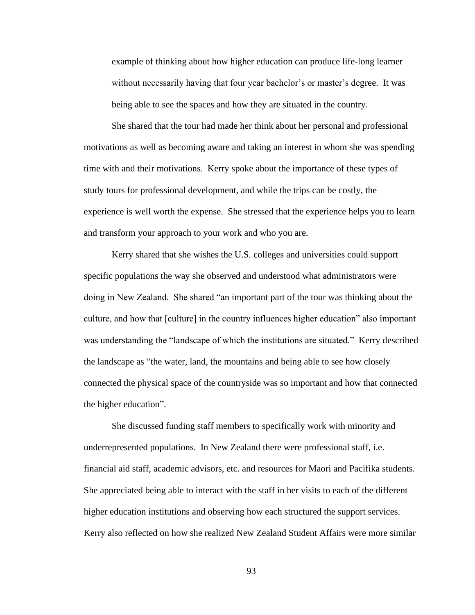example of thinking about how higher education can produce life-long learner without necessarily having that four year bachelor's or master's degree. It was being able to see the spaces and how they are situated in the country.

She shared that the tour had made her think about her personal and professional motivations as well as becoming aware and taking an interest in whom she was spending time with and their motivations. Kerry spoke about the importance of these types of study tours for professional development, and while the trips can be costly, the experience is well worth the expense. She stressed that the experience helps you to learn and transform your approach to your work and who you are.

Kerry shared that she wishes the U.S. colleges and universities could support specific populations the way she observed and understood what administrators were doing in New Zealand. She shared "an important part of the tour was thinking about the culture, and how that [culture] in the country influences higher education" also important was understanding the "landscape of which the institutions are situated." Kerry described the landscape as "the water, land, the mountains and being able to see how closely connected the physical space of the countryside was so important and how that connected the higher education".

She discussed funding staff members to specifically work with minority and underrepresented populations. In New Zealand there were professional staff, i.e. financial aid staff, academic advisors, etc. and resources for Maori and Pacifika students. She appreciated being able to interact with the staff in her visits to each of the different higher education institutions and observing how each structured the support services. Kerry also reflected on how she realized New Zealand Student Affairs were more similar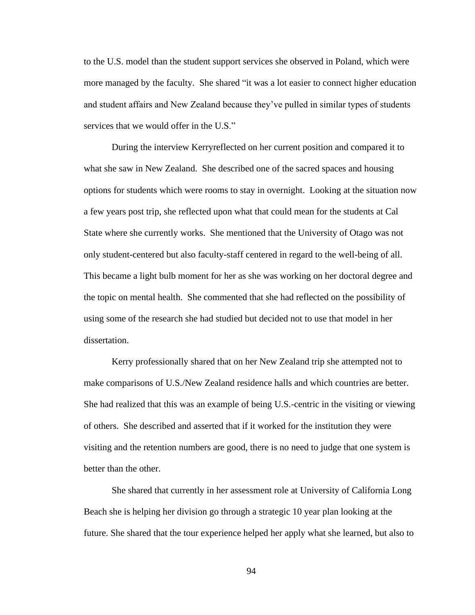to the U.S. model than the student support services she observed in Poland, which were more managed by the faculty. She shared "it was a lot easier to connect higher education and student affairs and New Zealand because they've pulled in similar types of students services that we would offer in the U.S."

During the interview Kerryreflected on her current position and compared it to what she saw in New Zealand. She described one of the sacred spaces and housing options for students which were rooms to stay in overnight. Looking at the situation now a few years post trip, she reflected upon what that could mean for the students at Cal State where she currently works. She mentioned that the University of Otago was not only student-centered but also faculty-staff centered in regard to the well-being of all. This became a light bulb moment for her as she was working on her doctoral degree and the topic on mental health. She commented that she had reflected on the possibility of using some of the research she had studied but decided not to use that model in her dissertation.

Kerry professionally shared that on her New Zealand trip she attempted not to make comparisons of U.S./New Zealand residence halls and which countries are better. She had realized that this was an example of being U.S.-centric in the visiting or viewing of others. She described and asserted that if it worked for the institution they were visiting and the retention numbers are good, there is no need to judge that one system is better than the other.

She shared that currently in her assessment role at University of California Long Beach she is helping her division go through a strategic 10 year plan looking at the future. She shared that the tour experience helped her apply what she learned, but also to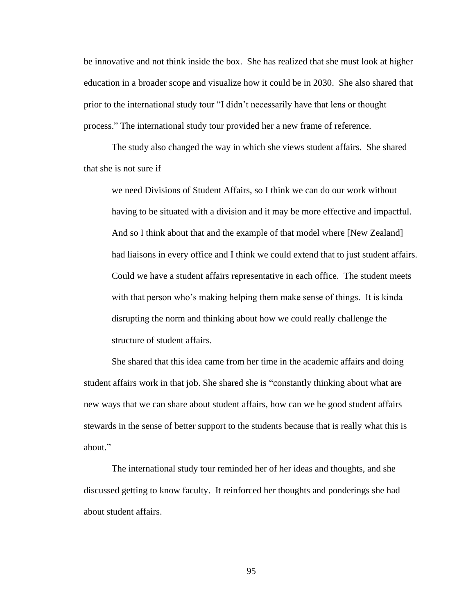be innovative and not think inside the box. She has realized that she must look at higher education in a broader scope and visualize how it could be in 2030. She also shared that prior to the international study tour "I didn't necessarily have that lens or thought process." The international study tour provided her a new frame of reference.

The study also changed the way in which she views student affairs. She shared that she is not sure if

we need Divisions of Student Affairs, so I think we can do our work without having to be situated with a division and it may be more effective and impactful. And so I think about that and the example of that model where [New Zealand] had liaisons in every office and I think we could extend that to just student affairs. Could we have a student affairs representative in each office. The student meets with that person who's making helping them make sense of things. It is kinda disrupting the norm and thinking about how we could really challenge the structure of student affairs.

She shared that this idea came from her time in the academic affairs and doing student affairs work in that job. She shared she is "constantly thinking about what are new ways that we can share about student affairs, how can we be good student affairs stewards in the sense of better support to the students because that is really what this is about."

The international study tour reminded her of her ideas and thoughts, and she discussed getting to know faculty. It reinforced her thoughts and ponderings she had about student affairs.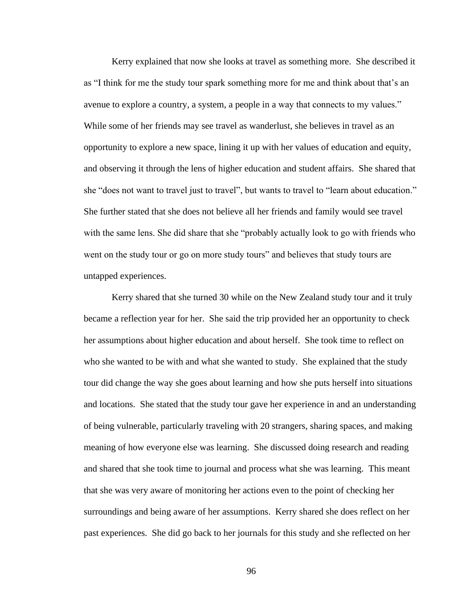Kerry explained that now she looks at travel as something more. She described it as "I think for me the study tour spark something more for me and think about that's an avenue to explore a country, a system, a people in a way that connects to my values." While some of her friends may see travel as wanderlust, she believes in travel as an opportunity to explore a new space, lining it up with her values of education and equity, and observing it through the lens of higher education and student affairs. She shared that she "does not want to travel just to travel", but wants to travel to "learn about education." She further stated that she does not believe all her friends and family would see travel with the same lens. She did share that she "probably actually look to go with friends who went on the study tour or go on more study tours" and believes that study tours are untapped experiences.

Kerry shared that she turned 30 while on the New Zealand study tour and it truly became a reflection year for her. She said the trip provided her an opportunity to check her assumptions about higher education and about herself. She took time to reflect on who she wanted to be with and what she wanted to study. She explained that the study tour did change the way she goes about learning and how she puts herself into situations and locations. She stated that the study tour gave her experience in and an understanding of being vulnerable, particularly traveling with 20 strangers, sharing spaces, and making meaning of how everyone else was learning. She discussed doing research and reading and shared that she took time to journal and process what she was learning. This meant that she was very aware of monitoring her actions even to the point of checking her surroundings and being aware of her assumptions. Kerry shared she does reflect on her past experiences. She did go back to her journals for this study and she reflected on her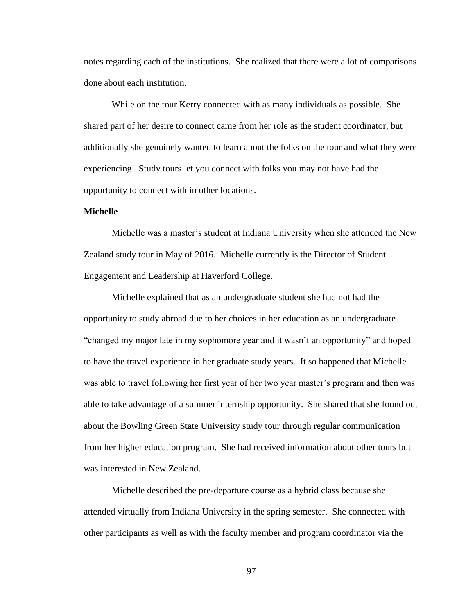notes regarding each of the institutions. She realized that there were a lot of comparisons done about each institution.

While on the tour Kerry connected with as many individuals as possible. She shared part of her desire to connect came from her role as the student coordinator, but additionally she genuinely wanted to learn about the folks on the tour and what they were experiencing. Study tours let you connect with folks you may not have had the opportunity to connect with in other locations.

# **Michelle**

Michelle was a master's student at Indiana University when she attended the New Zealand study tour in May of 2016. Michelle currently is the Director of Student Engagement and Leadership at Haverford College.

Michelle explained that as an undergraduate student she had not had the opportunity to study abroad due to her choices in her education as an undergraduate "changed my major late in my sophomore year and it wasn't an opportunity" and hoped to have the travel experience in her graduate study years. It so happened that Michelle was able to travel following her first year of her two year master's program and then was able to take advantage of a summer internship opportunity. She shared that she found out about the Bowling Green State University study tour through regular communication from her higher education program. She had received information about other tours but was interested in New Zealand.

Michelle described the pre-departure course as a hybrid class because she attended virtually from Indiana University in the spring semester. She connected with other participants as well as with the faculty member and program coordinator via the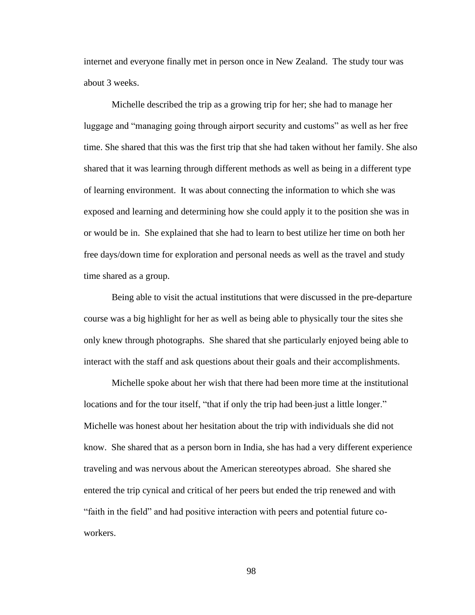internet and everyone finally met in person once in New Zealand. The study tour was about 3 weeks.

Michelle described the trip as a growing trip for her; she had to manage her luggage and "managing going through airport security and customs" as well as her free time. She shared that this was the first trip that she had taken without her family. She also shared that it was learning through different methods as well as being in a different type of learning environment. It was about connecting the information to which she was exposed and learning and determining how she could apply it to the position she was in or would be in. She explained that she had to learn to best utilize her time on both her free days/down time for exploration and personal needs as well as the travel and study time shared as a group.

Being able to visit the actual institutions that were discussed in the pre-departure course was a big highlight for her as well as being able to physically tour the sites she only knew through photographs. She shared that she particularly enjoyed being able to interact with the staff and ask questions about their goals and their accomplishments.

Michelle spoke about her wish that there had been more time at the institutional locations and for the tour itself, "that if only the trip had been-just a little longer." Michelle was honest about her hesitation about the trip with individuals she did not know. She shared that as a person born in India, she has had a very different experience traveling and was nervous about the American stereotypes abroad. She shared she entered the trip cynical and critical of her peers but ended the trip renewed and with "faith in the field" and had positive interaction with peers and potential future coworkers.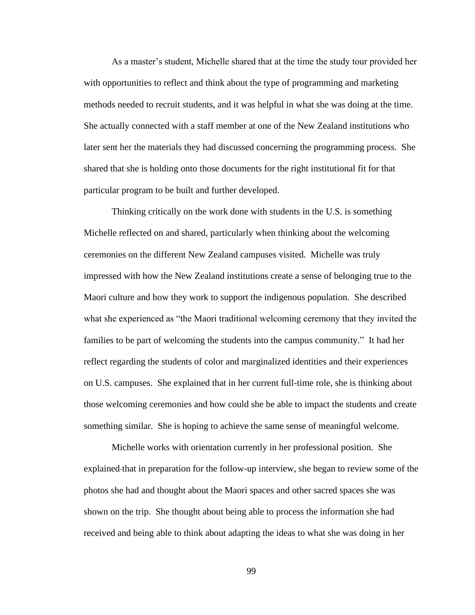As a master's student, Michelle shared that at the time the study tour provided her with opportunities to reflect and think about the type of programming and marketing methods needed to recruit students, and it was helpful in what she was doing at the time. She actually connected with a staff member at one of the New Zealand institutions who later sent her the materials they had discussed concerning the programming process. She shared that she is holding onto those documents for the right institutional fit for that particular program to be built and further developed.

Thinking critically on the work done with students in the U.S. is something Michelle reflected on and shared, particularly when thinking about the welcoming ceremonies on the different New Zealand campuses visited. Michelle was truly impressed with how the New Zealand institutions create a sense of belonging true to the Maori culture and how they work to support the indigenous population. She described what she experienced as "the Maori traditional welcoming ceremony that they invited the families to be part of welcoming the students into the campus community." It had her reflect regarding the students of color and marginalized identities and their experiences on U.S. campuses. She explained that in her current full-time role, she is thinking about those welcoming ceremonies and how could she be able to impact the students and create something similar. She is hoping to achieve the same sense of meaningful welcome.

Michelle works with orientation currently in her professional position. She explained that in preparation for the follow-up interview, she began to review some of the photos she had and thought about the Maori spaces and other sacred spaces she was shown on the trip. She thought about being able to process the information she had received and being able to think about adapting the ideas to what she was doing in her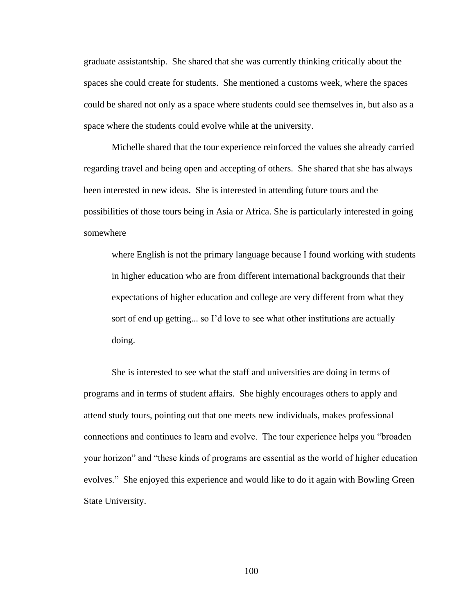graduate assistantship. She shared that she was currently thinking critically about the spaces she could create for students. She mentioned a customs week, where the spaces could be shared not only as a space where students could see themselves in, but also as a space where the students could evolve while at the university.

Michelle shared that the tour experience reinforced the values she already carried regarding travel and being open and accepting of others. She shared that she has always been interested in new ideas. She is interested in attending future tours and the possibilities of those tours being in Asia or Africa. She is particularly interested in going somewhere

where English is not the primary language because I found working with students in higher education who are from different international backgrounds that their expectations of higher education and college are very different from what they sort of end up getting... so I'd love to see what other institutions are actually doing.

She is interested to see what the staff and universities are doing in terms of programs and in terms of student affairs. She highly encourages others to apply and attend study tours, pointing out that one meets new individuals, makes professional connections and continues to learn and evolve. The tour experience helps you "broaden your horizon" and "these kinds of programs are essential as the world of higher education evolves." She enjoyed this experience and would like to do it again with Bowling Green State University.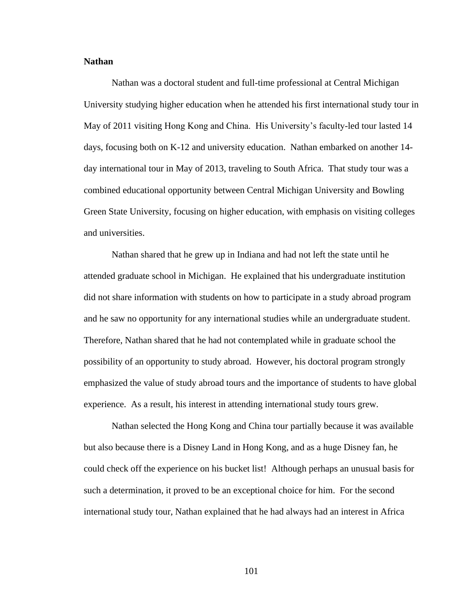# **Nathan**

Nathan was a doctoral student and full-time professional at Central Michigan University studying higher education when he attended his first international study tour in May of 2011 visiting Hong Kong and China. His University's faculty-led tour lasted 14 days, focusing both on K-12 and university education. Nathan embarked on another 14 day international tour in May of 2013, traveling to South Africa. That study tour was a combined educational opportunity between Central Michigan University and Bowling Green State University, focusing on higher education, with emphasis on visiting colleges and universities.

Nathan shared that he grew up in Indiana and had not left the state until he attended graduate school in Michigan. He explained that his undergraduate institution did not share information with students on how to participate in a study abroad program and he saw no opportunity for any international studies while an undergraduate student. Therefore, Nathan shared that he had not contemplated while in graduate school the possibility of an opportunity to study abroad. However, his doctoral program strongly emphasized the value of study abroad tours and the importance of students to have global experience. As a result, his interest in attending international study tours grew.

Nathan selected the Hong Kong and China tour partially because it was available but also because there is a Disney Land in Hong Kong, and as a huge Disney fan, he could check off the experience on his bucket list! Although perhaps an unusual basis for such a determination, it proved to be an exceptional choice for him. For the second international study tour, Nathan explained that he had always had an interest in Africa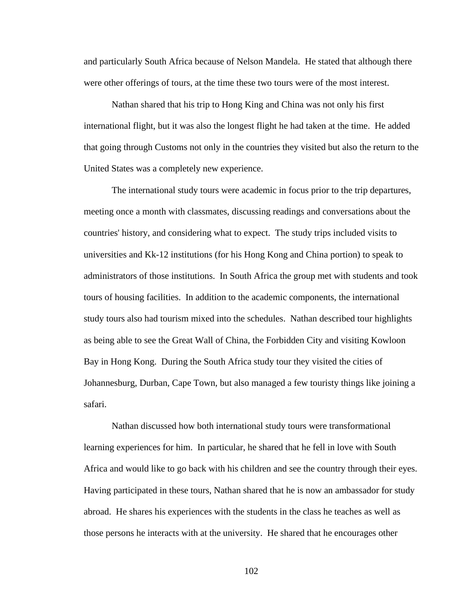and particularly South Africa because of Nelson Mandela. He stated that although there were other offerings of tours, at the time these two tours were of the most interest.

Nathan shared that his trip to Hong King and China was not only his first international flight, but it was also the longest flight he had taken at the time. He added that going through Customs not only in the countries they visited but also the return to the United States was a completely new experience.

The international study tours were academic in focus prior to the trip departures, meeting once a month with classmates, discussing readings and conversations about the countries' history, and considering what to expect. The study trips included visits to universities and Kk-12 institutions (for his Hong Kong and China portion) to speak to administrators of those institutions. In South Africa the group met with students and took tours of housing facilities. In addition to the academic components, the international study tours also had tourism mixed into the schedules. Nathan described tour highlights as being able to see the Great Wall of China, the Forbidden City and visiting Kowloon Bay in Hong Kong. During the South Africa study tour they visited the cities of Johannesburg, Durban, Cape Town, but also managed a few touristy things like joining a safari.

Nathan discussed how both international study tours were transformational learning experiences for him. In particular, he shared that he fell in love with South Africa and would like to go back with his children and see the country through their eyes. Having participated in these tours, Nathan shared that he is now an ambassador for study abroad. He shares his experiences with the students in the class he teaches as well as those persons he interacts with at the university. He shared that he encourages other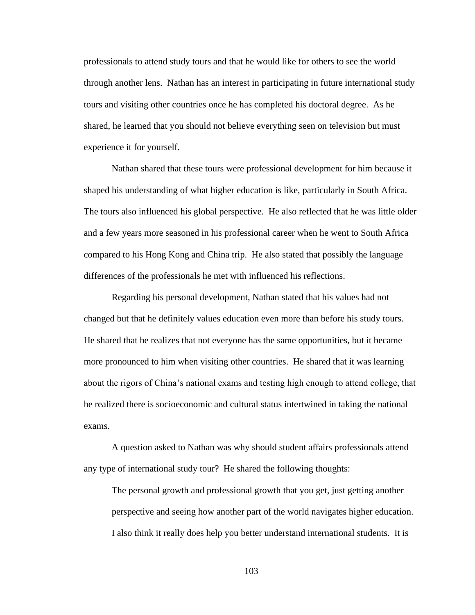professionals to attend study tours and that he would like for others to see the world through another lens. Nathan has an interest in participating in future international study tours and visiting other countries once he has completed his doctoral degree. As he shared, he learned that you should not believe everything seen on television but must experience it for yourself.

Nathan shared that these tours were professional development for him because it shaped his understanding of what higher education is like, particularly in South Africa. The tours also influenced his global perspective. He also reflected that he was little older and a few years more seasoned in his professional career when he went to South Africa compared to his Hong Kong and China trip. He also stated that possibly the language differences of the professionals he met with influenced his reflections.

Regarding his personal development, Nathan stated that his values had not changed but that he definitely values education even more than before his study tours. He shared that he realizes that not everyone has the same opportunities, but it became more pronounced to him when visiting other countries. He shared that it was learning about the rigors of China's national exams and testing high enough to attend college, that he realized there is socioeconomic and cultural status intertwined in taking the national exams.

A question asked to Nathan was why should student affairs professionals attend any type of international study tour? He shared the following thoughts:

The personal growth and professional growth that you get, just getting another perspective and seeing how another part of the world navigates higher education. I also think it really does help you better understand international students. It is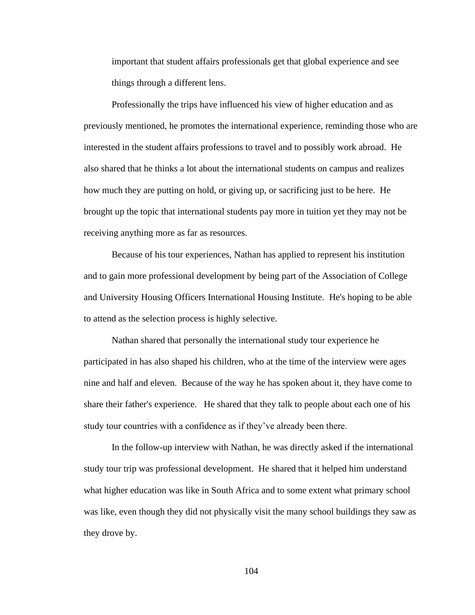important that student affairs professionals get that global experience and see things through a different lens.

Professionally the trips have influenced his view of higher education and as previously mentioned, he promotes the international experience, reminding those who are interested in the student affairs professions to travel and to possibly work abroad. He also shared that he thinks a lot about the international students on campus and realizes how much they are putting on hold, or giving up, or sacrificing just to be here. He brought up the topic that international students pay more in tuition yet they may not be receiving anything more as far as resources.

Because of his tour experiences, Nathan has applied to represent his institution and to gain more professional development by being part of the Association of College and University Housing Officers International Housing Institute. He's hoping to be able to attend as the selection process is highly selective.

Nathan shared that personally the international study tour experience he participated in has also shaped his children, who at the time of the interview were ages nine and half and eleven. Because of the way he has spoken about it, they have come to share their father's experience. He shared that they talk to people about each one of his study tour countries with a confidence as if they've already been there.

In the follow-up interview with Nathan, he was directly asked if the international study tour trip was professional development. He shared that it helped him understand what higher education was like in South Africa and to some extent what primary school was like, even though they did not physically visit the many school buildings they saw as they drove by.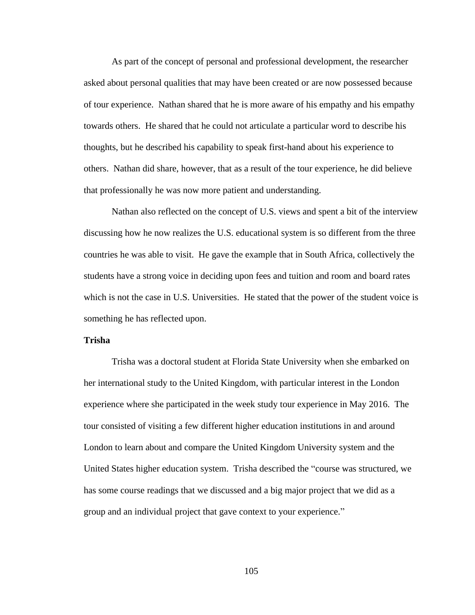As part of the concept of personal and professional development, the researcher asked about personal qualities that may have been created or are now possessed because of tour experience. Nathan shared that he is more aware of his empathy and his empathy towards others. He shared that he could not articulate a particular word to describe his thoughts, but he described his capability to speak first-hand about his experience to others. Nathan did share, however, that as a result of the tour experience, he did believe that professionally he was now more patient and understanding.

Nathan also reflected on the concept of U.S. views and spent a bit of the interview discussing how he now realizes the U.S. educational system is so different from the three countries he was able to visit. He gave the example that in South Africa, collectively the students have a strong voice in deciding upon fees and tuition and room and board rates which is not the case in U.S. Universities. He stated that the power of the student voice is something he has reflected upon.

### **Trisha**

Trisha was a doctoral student at Florida State University when she embarked on her international study to the United Kingdom, with particular interest in the London experience where she participated in the week study tour experience in May 2016. The tour consisted of visiting a few different higher education institutions in and around London to learn about and compare the United Kingdom University system and the United States higher education system. Trisha described the "course was structured, we has some course readings that we discussed and a big major project that we did as a group and an individual project that gave context to your experience."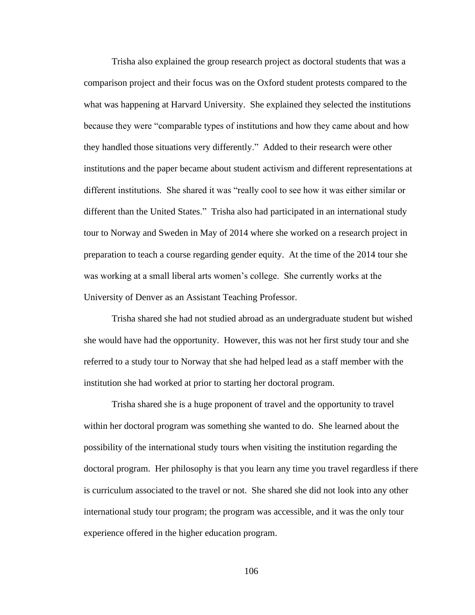Trisha also explained the group research project as doctoral students that was a comparison project and their focus was on the Oxford student protests compared to the what was happening at Harvard University. She explained they selected the institutions because they were "comparable types of institutions and how they came about and how they handled those situations very differently." Added to their research were other institutions and the paper became about student activism and different representations at different institutions. She shared it was "really cool to see how it was either similar or different than the United States." Trisha also had participated in an international study tour to Norway and Sweden in May of 2014 where she worked on a research project in preparation to teach a course regarding gender equity. At the time of the 2014 tour she was working at a small liberal arts women's college. She currently works at the University of Denver as an Assistant Teaching Professor.

Trisha shared she had not studied abroad as an undergraduate student but wished she would have had the opportunity. However, this was not her first study tour and she referred to a study tour to Norway that she had helped lead as a staff member with the institution she had worked at prior to starting her doctoral program.

Trisha shared she is a huge proponent of travel and the opportunity to travel within her doctoral program was something she wanted to do. She learned about the possibility of the international study tours when visiting the institution regarding the doctoral program. Her philosophy is that you learn any time you travel regardless if there is curriculum associated to the travel or not. She shared she did not look into any other international study tour program; the program was accessible, and it was the only tour experience offered in the higher education program.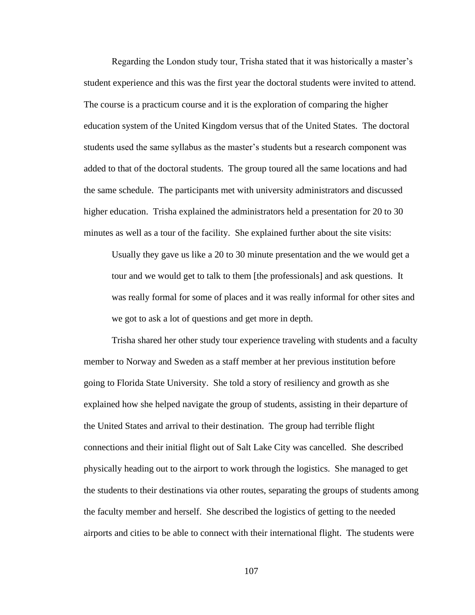Regarding the London study tour, Trisha stated that it was historically a master's student experience and this was the first year the doctoral students were invited to attend. The course is a practicum course and it is the exploration of comparing the higher education system of the United Kingdom versus that of the United States. The doctoral students used the same syllabus as the master's students but a research component was added to that of the doctoral students. The group toured all the same locations and had the same schedule. The participants met with university administrators and discussed higher education. Trisha explained the administrators held a presentation for 20 to 30 minutes as well as a tour of the facility. She explained further about the site visits:

Usually they gave us like a 20 to 30 minute presentation and the we would get a tour and we would get to talk to them [the professionals] and ask questions. It was really formal for some of places and it was really informal for other sites and we got to ask a lot of questions and get more in depth.

Trisha shared her other study tour experience traveling with students and a faculty member to Norway and Sweden as a staff member at her previous institution before going to Florida State University. She told a story of resiliency and growth as she explained how she helped navigate the group of students, assisting in their departure of the United States and arrival to their destination. The group had terrible flight connections and their initial flight out of Salt Lake City was cancelled. She described physically heading out to the airport to work through the logistics. She managed to get the students to their destinations via other routes, separating the groups of students among the faculty member and herself. She described the logistics of getting to the needed airports and cities to be able to connect with their international flight. The students were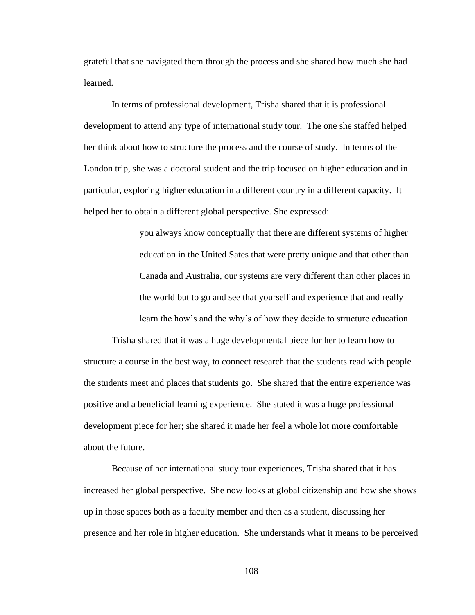grateful that she navigated them through the process and she shared how much she had learned.

In terms of professional development, Trisha shared that it is professional development to attend any type of international study tour. The one she staffed helped her think about how to structure the process and the course of study. In terms of the London trip, she was a doctoral student and the trip focused on higher education and in particular, exploring higher education in a different country in a different capacity. It helped her to obtain a different global perspective. She expressed:

> you always know conceptually that there are different systems of higher education in the United Sates that were pretty unique and that other than Canada and Australia, our systems are very different than other places in the world but to go and see that yourself and experience that and really learn the how's and the why's of how they decide to structure education.

Trisha shared that it was a huge developmental piece for her to learn how to structure a course in the best way, to connect research that the students read with people the students meet and places that students go. She shared that the entire experience was positive and a beneficial learning experience. She stated it was a huge professional development piece for her; she shared it made her feel a whole lot more comfortable about the future.

Because of her international study tour experiences, Trisha shared that it has increased her global perspective. She now looks at global citizenship and how she shows up in those spaces both as a faculty member and then as a student, discussing her presence and her role in higher education. She understands what it means to be perceived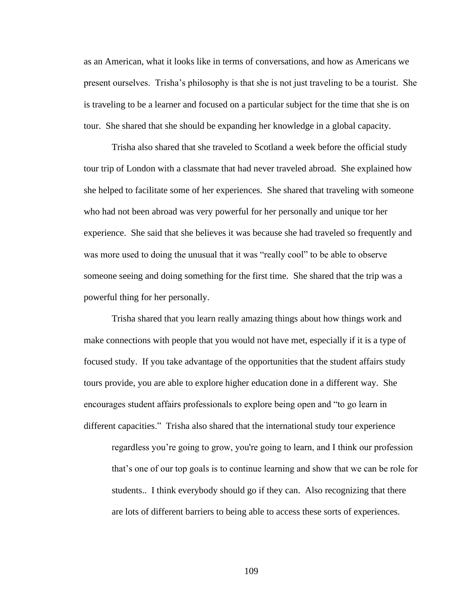as an American, what it looks like in terms of conversations, and how as Americans we present ourselves. Trisha's philosophy is that she is not just traveling to be a tourist. She is traveling to be a learner and focused on a particular subject for the time that she is on tour. She shared that she should be expanding her knowledge in a global capacity.

Trisha also shared that she traveled to Scotland a week before the official study tour trip of London with a classmate that had never traveled abroad. She explained how she helped to facilitate some of her experiences. She shared that traveling with someone who had not been abroad was very powerful for her personally and unique tor her experience. She said that she believes it was because she had traveled so frequently and was more used to doing the unusual that it was "really cool" to be able to observe someone seeing and doing something for the first time. She shared that the trip was a powerful thing for her personally.

Trisha shared that you learn really amazing things about how things work and make connections with people that you would not have met, especially if it is a type of focused study. If you take advantage of the opportunities that the student affairs study tours provide, you are able to explore higher education done in a different way. She encourages student affairs professionals to explore being open and "to go learn in different capacities." Trisha also shared that the international study tour experience regardless you're going to grow, you're going to learn, and I think our profession that's one of our top goals is to continue learning and show that we can be role for students.. I think everybody should go if they can. Also recognizing that there are lots of different barriers to being able to access these sorts of experiences.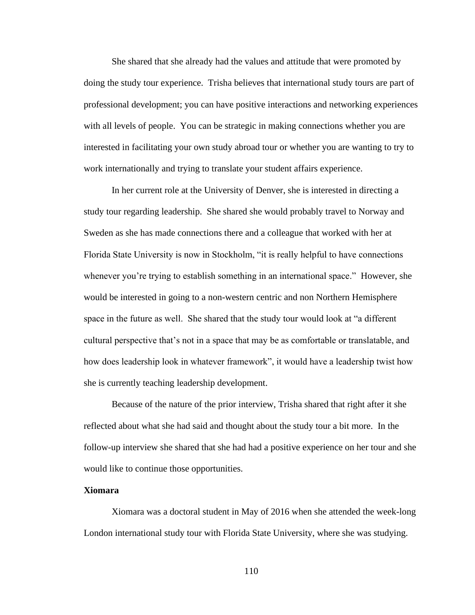She shared that she already had the values and attitude that were promoted by doing the study tour experience. Trisha believes that international study tours are part of professional development; you can have positive interactions and networking experiences with all levels of people. You can be strategic in making connections whether you are interested in facilitating your own study abroad tour or whether you are wanting to try to work internationally and trying to translate your student affairs experience.

In her current role at the University of Denver, she is interested in directing a study tour regarding leadership. She shared she would probably travel to Norway and Sweden as she has made connections there and a colleague that worked with her at Florida State University is now in Stockholm, "it is really helpful to have connections whenever you're trying to establish something in an international space." However, she would be interested in going to a non-western centric and non Northern Hemisphere space in the future as well. She shared that the study tour would look at "a different cultural perspective that's not in a space that may be as comfortable or translatable, and how does leadership look in whatever framework", it would have a leadership twist how she is currently teaching leadership development.

Because of the nature of the prior interview, Trisha shared that right after it she reflected about what she had said and thought about the study tour a bit more. In the follow-up interview she shared that she had had a positive experience on her tour and she would like to continue those opportunities.

### **Xiomara**

Xiomara was a doctoral student in May of 2016 when she attended the week-long London international study tour with Florida State University, where she was studying.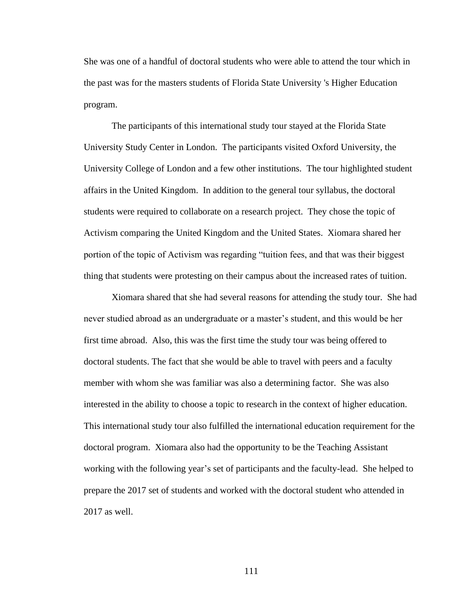She was one of a handful of doctoral students who were able to attend the tour which in the past was for the masters students of Florida State University 's Higher Education program.

The participants of this international study tour stayed at the Florida State University Study Center in London. The participants visited Oxford University, the University College of London and a few other institutions. The tour highlighted student affairs in the United Kingdom. In addition to the general tour syllabus, the doctoral students were required to collaborate on a research project. They chose the topic of Activism comparing the United Kingdom and the United States. Xiomara shared her portion of the topic of Activism was regarding "tuition fees, and that was their biggest thing that students were protesting on their campus about the increased rates of tuition.

Xiomara shared that she had several reasons for attending the study tour. She had never studied abroad as an undergraduate or a master's student, and this would be her first time abroad. Also, this was the first time the study tour was being offered to doctoral students. The fact that she would be able to travel with peers and a faculty member with whom she was familiar was also a determining factor. She was also interested in the ability to choose a topic to research in the context of higher education. This international study tour also fulfilled the international education requirement for the doctoral program. Xiomara also had the opportunity to be the Teaching Assistant working with the following year's set of participants and the faculty-lead. She helped to prepare the 2017 set of students and worked with the doctoral student who attended in 2017 as well.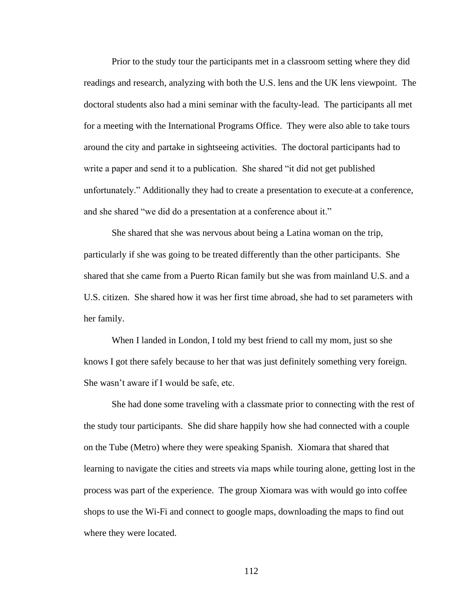Prior to the study tour the participants met in a classroom setting where they did readings and research, analyzing with both the U.S. lens and the UK lens viewpoint. The doctoral students also had a mini seminar with the faculty-lead. The participants all met for a meeting with the International Programs Office. They were also able to take tours around the city and partake in sightseeing activities. The doctoral participants had to write a paper and send it to a publication. She shared "it did not get published unfortunately." Additionally they had to create a presentation to execute at a conference, and she shared "we did do a presentation at a conference about it."

She shared that she was nervous about being a Latina woman on the trip, particularly if she was going to be treated differently than the other participants. She shared that she came from a Puerto Rican family but she was from mainland U.S. and a U.S. citizen. She shared how it was her first time abroad, she had to set parameters with her family.

When I landed in London, I told my best friend to call my mom, just so she knows I got there safely because to her that was just definitely something very foreign. She wasn't aware if I would be safe, etc.

She had done some traveling with a classmate prior to connecting with the rest of the study tour participants. She did share happily how she had connected with a couple on the Tube (Metro) where they were speaking Spanish. Xiomara that shared that learning to navigate the cities and streets via maps while touring alone, getting lost in the process was part of the experience. The group Xiomara was with would go into coffee shops to use the Wi-Fi and connect to google maps, downloading the maps to find out where they were located.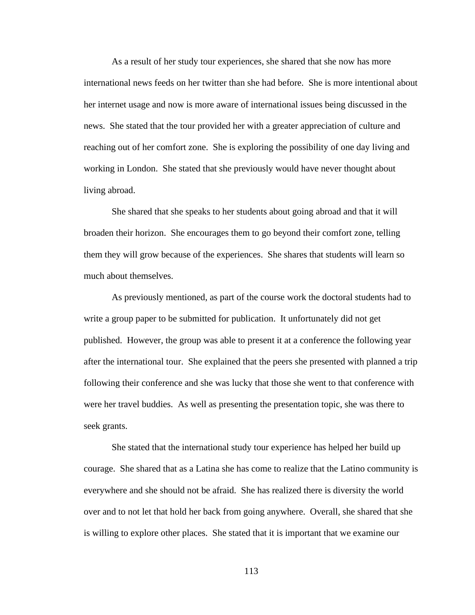As a result of her study tour experiences, she shared that she now has more international news feeds on her twitter than she had before. She is more intentional about her internet usage and now is more aware of international issues being discussed in the news. She stated that the tour provided her with a greater appreciation of culture and reaching out of her comfort zone. She is exploring the possibility of one day living and working in London. She stated that she previously would have never thought about living abroad.

She shared that she speaks to her students about going abroad and that it will broaden their horizon. She encourages them to go beyond their comfort zone, telling them they will grow because of the experiences. She shares that students will learn so much about themselves.

As previously mentioned, as part of the course work the doctoral students had to write a group paper to be submitted for publication. It unfortunately did not get published. However, the group was able to present it at a conference the following year after the international tour. She explained that the peers she presented with planned a trip following their conference and she was lucky that those she went to that conference with were her travel buddies. As well as presenting the presentation topic, she was there to seek grants.

She stated that the international study tour experience has helped her build up courage. She shared that as a Latina she has come to realize that the Latino community is everywhere and she should not be afraid. She has realized there is diversity the world over and to not let that hold her back from going anywhere. Overall, she shared that she is willing to explore other places. She stated that it is important that we examine our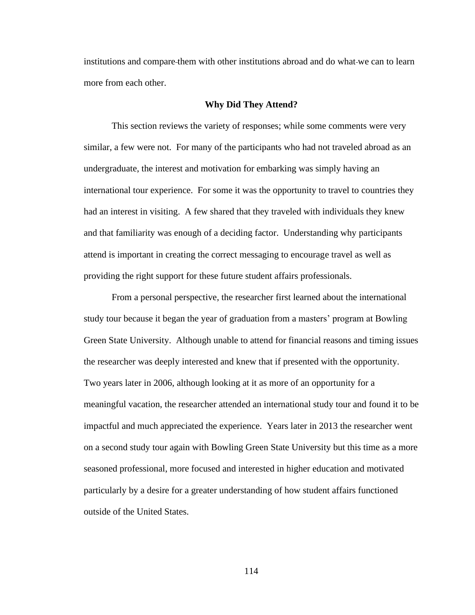institutions and compare them with other institutions abroad and do what we can to learn more from each other.

### **Why Did They Attend?**

This section reviews the variety of responses; while some comments were very similar, a few were not. For many of the participants who had not traveled abroad as an undergraduate, the interest and motivation for embarking was simply having an international tour experience. For some it was the opportunity to travel to countries they had an interest in visiting. A few shared that they traveled with individuals they knew and that familiarity was enough of a deciding factor. Understanding why participants attend is important in creating the correct messaging to encourage travel as well as providing the right support for these future student affairs professionals.

From a personal perspective, the researcher first learned about the international study tour because it began the year of graduation from a masters' program at Bowling Green State University. Although unable to attend for financial reasons and timing issues the researcher was deeply interested and knew that if presented with the opportunity. Two years later in 2006, although looking at it as more of an opportunity for a meaningful vacation, the researcher attended an international study tour and found it to be impactful and much appreciated the experience. Years later in 2013 the researcher went on a second study tour again with Bowling Green State University but this time as a more seasoned professional, more focused and interested in higher education and motivated particularly by a desire for a greater understanding of how student affairs functioned outside of the United States.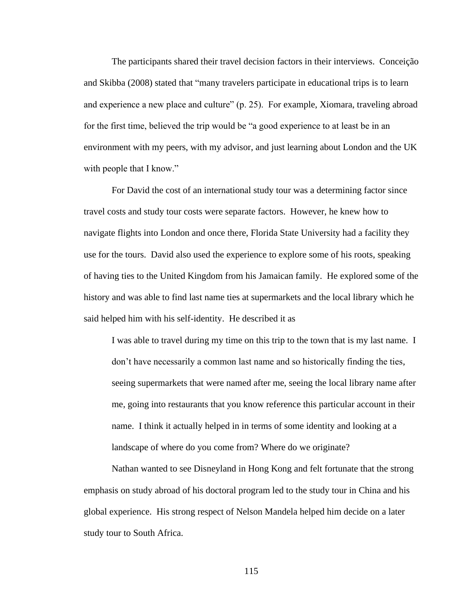The participants shared their travel decision factors in their interviews. Conceição and Skibba (2008) stated that "many travelers participate in educational trips is to learn and experience a new place and culture" (p. 25). For example, Xiomara, traveling abroad for the first time, believed the trip would be "a good experience to at least be in an environment with my peers, with my advisor, and just learning about London and the UK with people that I know."

For David the cost of an international study tour was a determining factor since travel costs and study tour costs were separate factors. However, he knew how to navigate flights into London and once there, Florida State University had a facility they use for the tours. David also used the experience to explore some of his roots, speaking of having ties to the United Kingdom from his Jamaican family. He explored some of the history and was able to find last name ties at supermarkets and the local library which he said helped him with his self-identity. He described it as

I was able to travel during my time on this trip to the town that is my last name. I don't have necessarily a common last name and so historically finding the ties, seeing supermarkets that were named after me, seeing the local library name after me, going into restaurants that you know reference this particular account in their name. I think it actually helped in in terms of some identity and looking at a landscape of where do you come from? Where do we originate?

Nathan wanted to see Disneyland in Hong Kong and felt fortunate that the strong emphasis on study abroad of his doctoral program led to the study tour in China and his global experience. His strong respect of Nelson Mandela helped him decide on a later study tour to South Africa.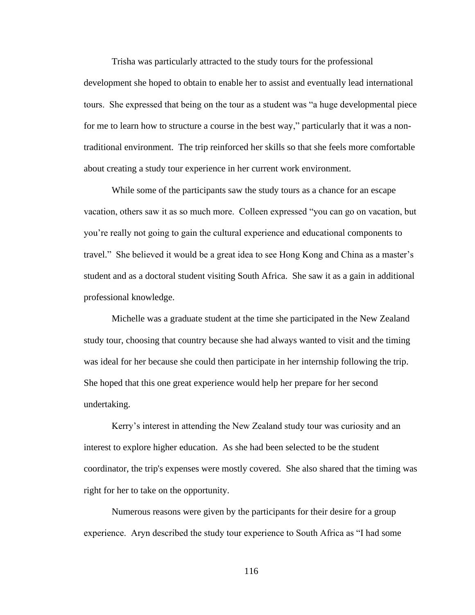Trisha was particularly attracted to the study tours for the professional development she hoped to obtain to enable her to assist and eventually lead international tours. She expressed that being on the tour as a student was "a huge developmental piece for me to learn how to structure a course in the best way," particularly that it was a nontraditional environment. The trip reinforced her skills so that she feels more comfortable about creating a study tour experience in her current work environment.

While some of the participants saw the study tours as a chance for an escape vacation, others saw it as so much more. Colleen expressed "you can go on vacation, but you're really not going to gain the cultural experience and educational components to travel." She believed it would be a great idea to see Hong Kong and China as a master's student and as a doctoral student visiting South Africa. She saw it as a gain in additional professional knowledge.

Michelle was a graduate student at the time she participated in the New Zealand study tour, choosing that country because she had always wanted to visit and the timing was ideal for her because she could then participate in her internship following the trip. She hoped that this one great experience would help her prepare for her second undertaking.

Kerry's interest in attending the New Zealand study tour was curiosity and an interest to explore higher education. As she had been selected to be the student coordinator, the trip's expenses were mostly covered. She also shared that the timing was right for her to take on the opportunity.

Numerous reasons were given by the participants for their desire for a group experience. Aryn described the study tour experience to South Africa as "I had some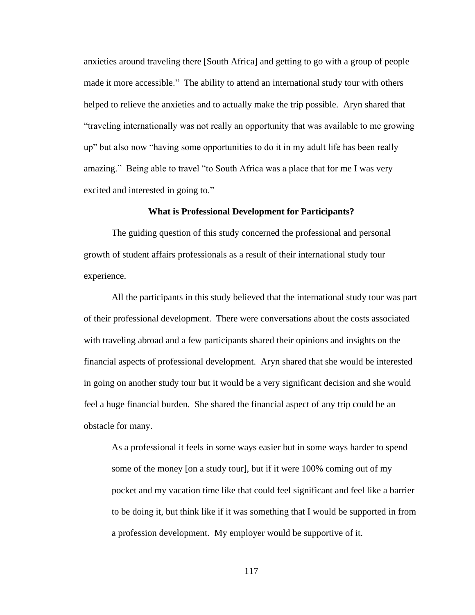anxieties around traveling there [South Africa] and getting to go with a group of people made it more accessible." The ability to attend an international study tour with others helped to relieve the anxieties and to actually make the trip possible. Aryn shared that "traveling internationally was not really an opportunity that was available to me growing up" but also now "having some opportunities to do it in my adult life has been really amazing." Being able to travel "to South Africa was a place that for me I was very excited and interested in going to."

### **What is Professional Development for Participants?**

The guiding question of this study concerned the professional and personal growth of student affairs professionals as a result of their international study tour experience.

All the participants in this study believed that the international study tour was part of their professional development. There were conversations about the costs associated with traveling abroad and a few participants shared their opinions and insights on the financial aspects of professional development. Aryn shared that she would be interested in going on another study tour but it would be a very significant decision and she would feel a huge financial burden. She shared the financial aspect of any trip could be an obstacle for many.

As a professional it feels in some ways easier but in some ways harder to spend some of the money [on a study tour], but if it were 100% coming out of my pocket and my vacation time like that could feel significant and feel like a barrier to be doing it, but think like if it was something that I would be supported in from a profession development. My employer would be supportive of it.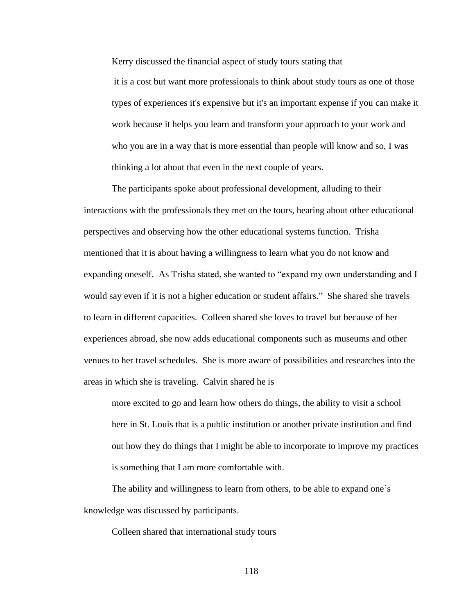Kerry discussed the financial aspect of study tours stating that

it is a cost but want more professionals to think about study tours as one of those types of experiences it's expensive but it's an important expense if you can make it work because it helps you learn and transform your approach to your work and who you are in a way that is more essential than people will know and so, I was thinking a lot about that even in the next couple of years.

The participants spoke about professional development, alluding to their interactions with the professionals they met on the tours, hearing about other educational perspectives and observing how the other educational systems function. Trisha mentioned that it is about having a willingness to learn what you do not know and expanding oneself. As Trisha stated, she wanted to "expand my own understanding and I would say even if it is not a higher education or student affairs." She shared she travels to learn in different capacities. Colleen shared she loves to travel but because of her experiences abroad, she now adds educational components such as museums and other venues to her travel schedules. She is more aware of possibilities and researches into the areas in which she is traveling. Calvin shared he is

more excited to go and learn how others do things, the ability to visit a school here in St. Louis that is a public institution or another private institution and find out how they do things that I might be able to incorporate to improve my practices is something that I am more comfortable with.

The ability and willingness to learn from others, to be able to expand one's knowledge was discussed by participants.

Colleen shared that international study tours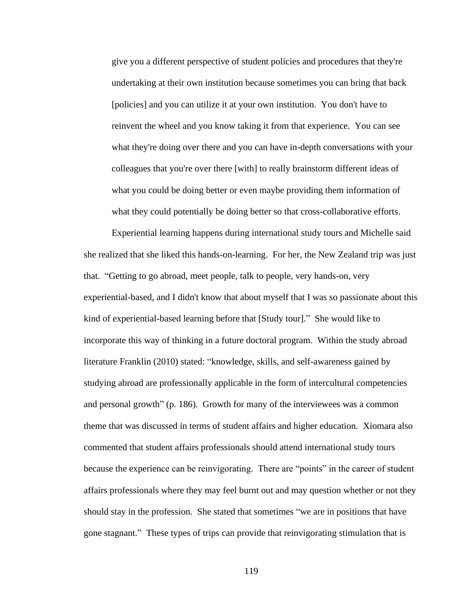give you a different perspective of student policies and procedures that they're undertaking at their own institution because sometimes you can bring that back [policies] and you can utilize it at your own institution. You don't have to reinvent the wheel and you know taking it from that experience. You can see what they're doing over there and you can have in-depth conversations with your colleagues that you're over there [with] to really brainstorm different ideas of what you could be doing better or even maybe providing them information of what they could potentially be doing better so that cross-collaborative efforts.

Experiential learning happens during international study tours and Michelle said she realized that she liked this hands-on-learning. For her, the New Zealand trip was just that. "Getting to go abroad, meet people, talk to people, very hands-on, very experiential-based, and I didn't know that about myself that I was so passionate about this kind of experiential-based learning before that [Study tour]." She would like to incorporate this way of thinking in a future doctoral program. Within the study abroad literature Franklin (2010) stated: "knowledge, skills, and self-awareness gained by studying abroad are professionally applicable in the form of intercultural competencies and personal growth" (p. 186). Growth for many of the interviewees was a common theme that was discussed in terms of student affairs and higher education. Xiomara also commented that student affairs professionals should attend international study tours because the experience can be reinvigorating. There are "points" in the career of student affairs professionals where they may feel burnt out and may question whether or not they should stay in the profession. She stated that sometimes "we are in positions that have gone stagnant." These types of trips can provide that reinvigorating stimulation that is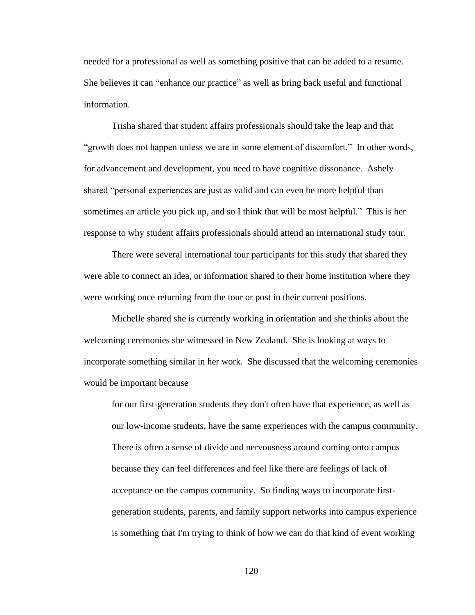needed for a professional as well as something positive that can be added to a resume. She believes it can "enhance our practice" as well as bring back useful and functional information.

Trisha shared that student affairs professionals should take the leap and that "growth does not happen unless we are in some element of discomfort." In other words, for advancement and development, you need to have cognitive dissonance. Ashely shared "personal experiences are just as valid and can even be more helpful than sometimes an article you pick up, and so I think that will be most helpful." This is her response to why student affairs professionals should attend an international study tour.

There were several international tour participants for this study that shared they were able to connect an idea, or information shared to their home institution where they were working once returning from the tour or post in their current positions.

Michelle shared she is currently working in orientation and she thinks about the welcoming ceremonies she witnessed in New Zealand. She is looking at ways to incorporate something similar in her work. She discussed that the welcoming ceremonies would be important because

for our first-generation students they don't often have that experience, as well as our low-income students, have the same experiences with the campus community. There is often a sense of divide and nervousness around coming onto campus because they can feel differences and feel like there are feelings of lack of acceptance on the campus community. So finding ways to incorporate firstgeneration students, parents, and family support networks into campus experience is something that I'm trying to think of how we can do that kind of event working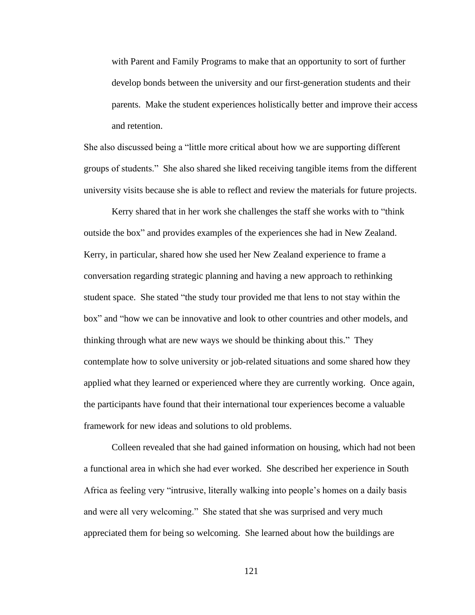with Parent and Family Programs to make that an opportunity to sort of further develop bonds between the university and our first-generation students and their parents. Make the student experiences holistically better and improve their access and retention.

She also discussed being a "little more critical about how we are supporting different groups of students." She also shared she liked receiving tangible items from the different university visits because she is able to reflect and review the materials for future projects.

Kerry shared that in her work she challenges the staff she works with to "think outside the box" and provides examples of the experiences she had in New Zealand. Kerry, in particular, shared how she used her New Zealand experience to frame a conversation regarding strategic planning and having a new approach to rethinking student space. She stated "the study tour provided me that lens to not stay within the box" and "how we can be innovative and look to other countries and other models, and thinking through what are new ways we should be thinking about this." They contemplate how to solve university or job-related situations and some shared how they applied what they learned or experienced where they are currently working. Once again, the participants have found that their international tour experiences become a valuable framework for new ideas and solutions to old problems.

Colleen revealed that she had gained information on housing, which had not been a functional area in which she had ever worked. She described her experience in South Africa as feeling very "intrusive, literally walking into people's homes on a daily basis and were all very welcoming." She stated that she was surprised and very much appreciated them for being so welcoming. She learned about how the buildings are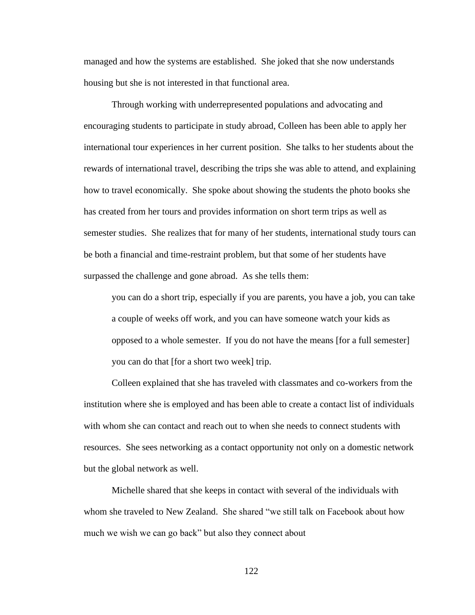managed and how the systems are established. She joked that she now understands housing but she is not interested in that functional area.

Through working with underrepresented populations and advocating and encouraging students to participate in study abroad, Colleen has been able to apply her international tour experiences in her current position. She talks to her students about the rewards of international travel, describing the trips she was able to attend, and explaining how to travel economically. She spoke about showing the students the photo books she has created from her tours and provides information on short term trips as well as semester studies. She realizes that for many of her students, international study tours can be both a financial and time-restraint problem, but that some of her students have surpassed the challenge and gone abroad. As she tells them:

you can do a short trip, especially if you are parents, you have a job, you can take a couple of weeks off work, and you can have someone watch your kids as opposed to a whole semester. If you do not have the means [for a full semester] you can do that [for a short two week] trip.

Colleen explained that she has traveled with classmates and co-workers from the institution where she is employed and has been able to create a contact list of individuals with whom she can contact and reach out to when she needs to connect students with resources. She sees networking as a contact opportunity not only on a domestic network but the global network as well.

Michelle shared that she keeps in contact with several of the individuals with whom she traveled to New Zealand. She shared "we still talk on Facebook about how much we wish we can go back" but also they connect about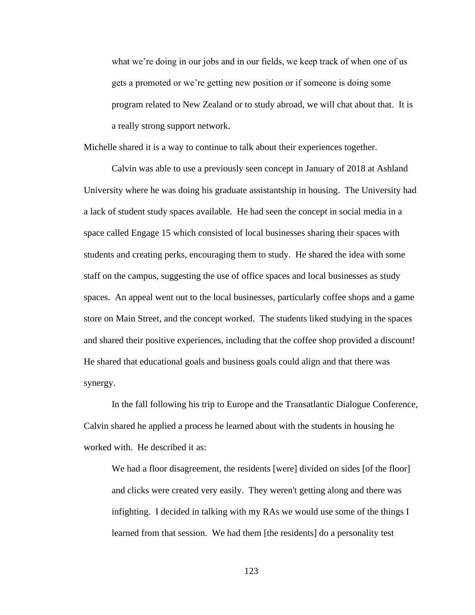what we're doing in our jobs and in our fields, we keep track of when one of us gets a promoted or we're getting new position or if someone is doing some program related to New Zealand or to study abroad, we will chat about that. It is a really strong support network.

Michelle shared it is a way to continue to talk about their experiences together.

Calvin was able to use a previously seen concept in January of 2018 at Ashland University where he was doing his graduate assistantship in housing. The University had a lack of student study spaces available. He had seen the concept in social media in a space called Engage 15 which consisted of local businesses sharing their spaces with students and creating perks, encouraging them to study. He shared the idea with some staff on the campus, suggesting the use of office spaces and local businesses as study spaces. An appeal went out to the local businesses, particularly coffee shops and a game store on Main Street, and the concept worked. The students liked studying in the spaces and shared their positive experiences, including that the coffee shop provided a discount! He shared that educational goals and business goals could align and that there was synergy.

In the fall following his trip to Europe and the Transatlantic Dialogue Conference, Calvin shared he applied a process he learned about with the students in housing he worked with. He described it as:

We had a floor disagreement, the residents [were] divided on sides [of the floor] and clicks were created very easily. They weren't getting along and there was infighting. I decided in talking with my RAs we would use some of the things I learned from that session. We had them [the residents] do a personality test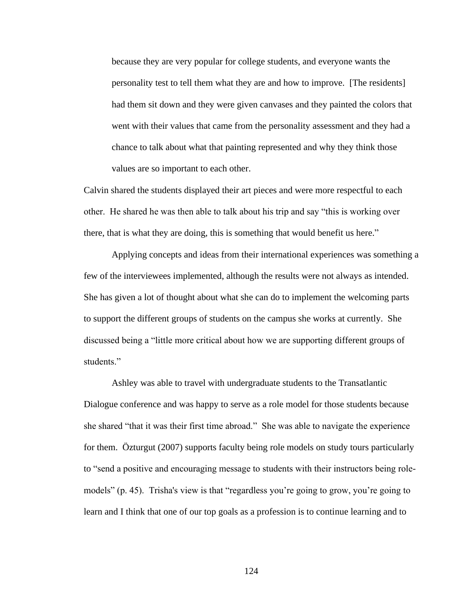because they are very popular for college students, and everyone wants the personality test to tell them what they are and how to improve. [The residents] had them sit down and they were given canvases and they painted the colors that went with their values that came from the personality assessment and they had a chance to talk about what that painting represented and why they think those values are so important to each other.

Calvin shared the students displayed their art pieces and were more respectful to each other. He shared he was then able to talk about his trip and say "this is working over there, that is what they are doing, this is something that would benefit us here."

Applying concepts and ideas from their international experiences was something a few of the interviewees implemented, although the results were not always as intended. She has given a lot of thought about what she can do to implement the welcoming parts to support the different groups of students on the campus she works at currently. She discussed being a "little more critical about how we are supporting different groups of students."

Ashley was able to travel with undergraduate students to the Transatlantic Dialogue conference and was happy to serve as a role model for those students because she shared "that it was their first time abroad." She was able to navigate the experience for them. Özturgut (2007) supports faculty being role models on study tours particularly to "send a positive and encouraging message to students with their instructors being rolemodels" (p. 45). Trisha's view is that "regardless you're going to grow, you're going to learn and I think that one of our top goals as a profession is to continue learning and to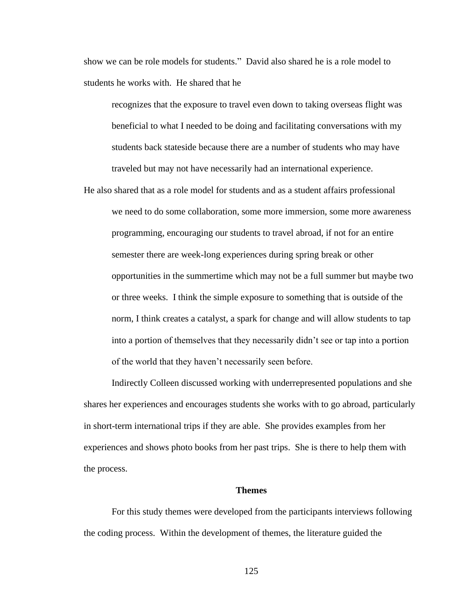show we can be role models for students." David also shared he is a role model to students he works with. He shared that he

recognizes that the exposure to travel even down to taking overseas flight was beneficial to what I needed to be doing and facilitating conversations with my students back stateside because there are a number of students who may have traveled but may not have necessarily had an international experience.

He also shared that as a role model for students and as a student affairs professional we need to do some collaboration, some more immersion, some more awareness programming, encouraging our students to travel abroad, if not for an entire semester there are week-long experiences during spring break or other opportunities in the summertime which may not be a full summer but maybe two or three weeks. I think the simple exposure to something that is outside of the norm, I think creates a catalyst, a spark for change and will allow students to tap into a portion of themselves that they necessarily didn't see or tap into a portion of the world that they haven't necessarily seen before.

Indirectly Colleen discussed working with underrepresented populations and she shares her experiences and encourages students she works with to go abroad, particularly in short-term international trips if they are able. She provides examples from her experiences and shows photo books from her past trips. She is there to help them with the process.

#### **Themes**

For this study themes were developed from the participants interviews following the coding process. Within the development of themes, the literature guided the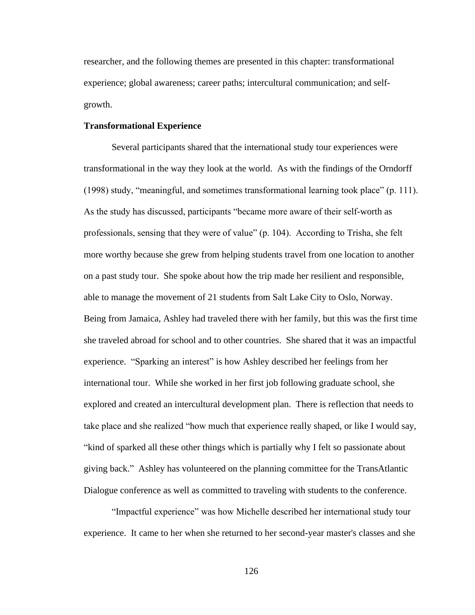researcher, and the following themes are presented in this chapter: transformational experience; global awareness; career paths; intercultural communication; and selfgrowth.

# **Transformational Experience**

Several participants shared that the international study tour experiences were transformational in the way they look at the world. As with the findings of the Orndorff (1998) study, "meaningful, and sometimes transformational learning took place" (p. 111). As the study has discussed, participants "became more aware of their self-worth as professionals, sensing that they were of value" (p. 104). According to Trisha, she felt more worthy because she grew from helping students travel from one location to another on a past study tour. She spoke about how the trip made her resilient and responsible, able to manage the movement of 21 students from Salt Lake City to Oslo, Norway. Being from Jamaica, Ashley had traveled there with her family, but this was the first time she traveled abroad for school and to other countries. She shared that it was an impactful experience. "Sparking an interest" is how Ashley described her feelings from her international tour. While she worked in her first job following graduate school, she explored and created an intercultural development plan. There is reflection that needs to take place and she realized "how much that experience really shaped, or like I would say, "kind of sparked all these other things which is partially why I felt so passionate about giving back." Ashley has volunteered on the planning committee for the TransAtlantic Dialogue conference as well as committed to traveling with students to the conference.

"Impactful experience" was how Michelle described her international study tour experience. It came to her when she returned to her second-year master's classes and she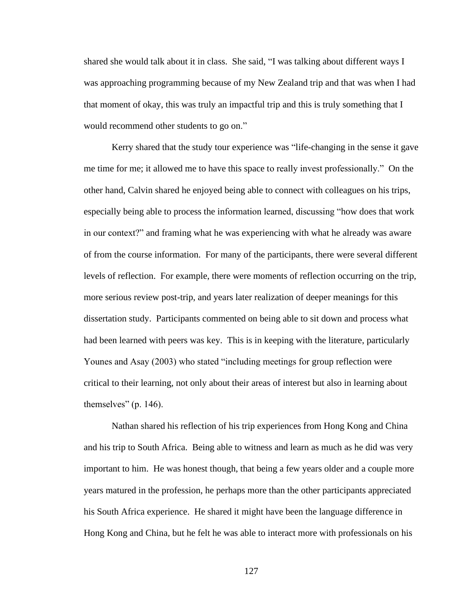shared she would talk about it in class. She said, "I was talking about different ways I was approaching programming because of my New Zealand trip and that was when I had that moment of okay, this was truly an impactful trip and this is truly something that I would recommend other students to go on."

Kerry shared that the study tour experience was "life-changing in the sense it gave me time for me; it allowed me to have this space to really invest professionally." On the other hand, Calvin shared he enjoyed being able to connect with colleagues on his trips, especially being able to process the information learned, discussing "how does that work in our context?" and framing what he was experiencing with what he already was aware of from the course information. For many of the participants, there were several different levels of reflection. For example, there were moments of reflection occurring on the trip, more serious review post-trip, and years later realization of deeper meanings for this dissertation study. Participants commented on being able to sit down and process what had been learned with peers was key. This is in keeping with the literature, particularly Younes and Asay (2003) who stated "including meetings for group reflection were critical to their learning, not only about their areas of interest but also in learning about themselves" (p. 146).

Nathan shared his reflection of his trip experiences from Hong Kong and China and his trip to South Africa. Being able to witness and learn as much as he did was very important to him. He was honest though, that being a few years older and a couple more years matured in the profession, he perhaps more than the other participants appreciated his South Africa experience. He shared it might have been the language difference in Hong Kong and China, but he felt he was able to interact more with professionals on his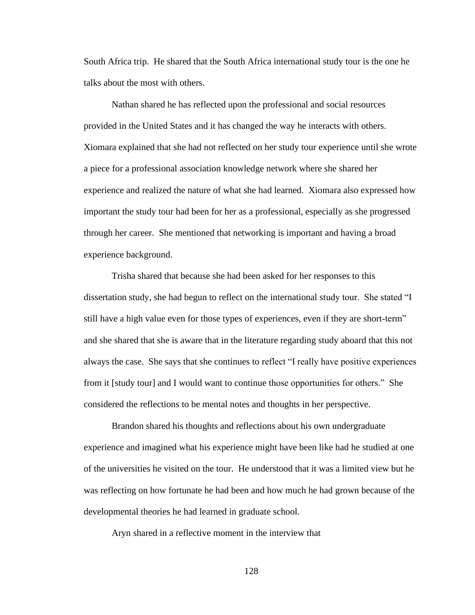South Africa trip. He shared that the South Africa international study tour is the one he talks about the most with others.

Nathan shared he has reflected upon the professional and social resources provided in the United States and it has changed the way he interacts with others. Xiomara explained that she had not reflected on her study tour experience until she wrote a piece for a professional association knowledge network where she shared her experience and realized the nature of what she had learned. Xiomara also expressed how important the study tour had been for her as a professional, especially as she progressed through her career. She mentioned that networking is important and having a broad experience background.

Trisha shared that because she had been asked for her responses to this dissertation study, she had begun to reflect on the international study tour. She stated "I still have a high value even for those types of experiences, even if they are short-term" and she shared that she is aware that in the literature regarding study aboard that this not always the case. She says that she continues to reflect "I really have positive experiences from it [study tour] and I would want to continue those opportunities for others." She considered the reflections to be mental notes and thoughts in her perspective.

Brandon shared his thoughts and reflections about his own undergraduate experience and imagined what his experience might have been like had he studied at one of the universities he visited on the tour. He understood that it was a limited view but he was reflecting on how fortunate he had been and how much he had grown because of the developmental theories he had learned in graduate school.

Aryn shared in a reflective moment in the interview that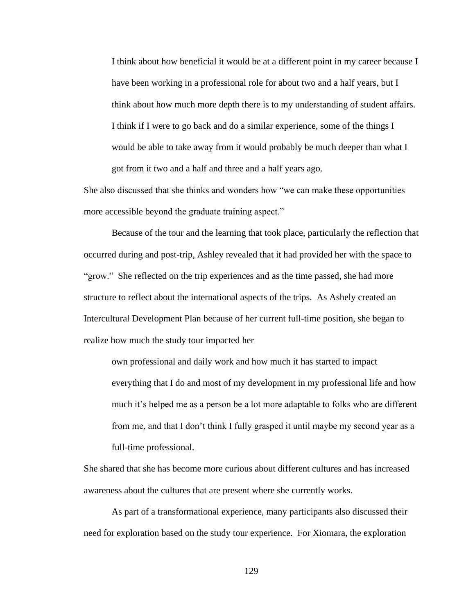I think about how beneficial it would be at a different point in my career because I have been working in a professional role for about two and a half years, but I think about how much more depth there is to my understanding of student affairs. I think if I were to go back and do a similar experience, some of the things I would be able to take away from it would probably be much deeper than what I got from it two and a half and three and a half years ago.

She also discussed that she thinks and wonders how "we can make these opportunities more accessible beyond the graduate training aspect."

Because of the tour and the learning that took place, particularly the reflection that occurred during and post-trip, Ashley revealed that it had provided her with the space to "grow." She reflected on the trip experiences and as the time passed, she had more structure to reflect about the international aspects of the trips. As Ashely created an Intercultural Development Plan because of her current full-time position, she began to realize how much the study tour impacted her

own professional and daily work and how much it has started to impact everything that I do and most of my development in my professional life and how much it's helped me as a person be a lot more adaptable to folks who are different from me, and that I don't think I fully grasped it until maybe my second year as a full-time professional.

She shared that she has become more curious about different cultures and has increased awareness about the cultures that are present where she currently works.

As part of a transformational experience, many participants also discussed their need for exploration based on the study tour experience. For Xiomara, the exploration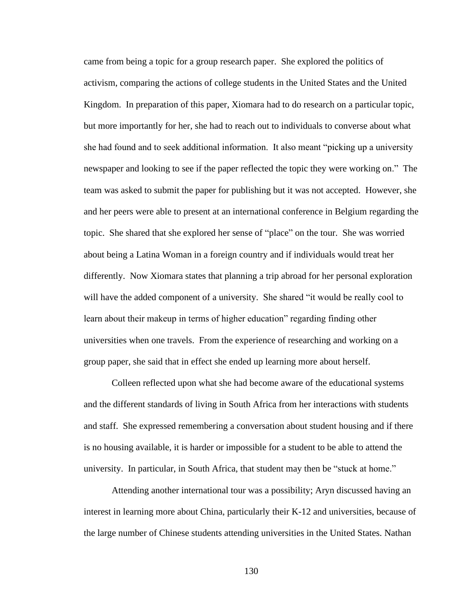came from being a topic for a group research paper. She explored the politics of activism, comparing the actions of college students in the United States and the United Kingdom. In preparation of this paper, Xiomara had to do research on a particular topic, but more importantly for her, she had to reach out to individuals to converse about what she had found and to seek additional information. It also meant "picking up a university newspaper and looking to see if the paper reflected the topic they were working on." The team was asked to submit the paper for publishing but it was not accepted. However, she and her peers were able to present at an international conference in Belgium regarding the topic. She shared that she explored her sense of "place" on the tour. She was worried about being a Latina Woman in a foreign country and if individuals would treat her differently. Now Xiomara states that planning a trip abroad for her personal exploration will have the added component of a university. She shared "it would be really cool to learn about their makeup in terms of higher education" regarding finding other universities when one travels. From the experience of researching and working on a group paper, she said that in effect she ended up learning more about herself.

Colleen reflected upon what she had become aware of the educational systems and the different standards of living in South Africa from her interactions with students and staff. She expressed remembering a conversation about student housing and if there is no housing available, it is harder or impossible for a student to be able to attend the university. In particular, in South Africa, that student may then be "stuck at home."

Attending another international tour was a possibility; Aryn discussed having an interest in learning more about China, particularly their K-12 and universities, because of the large number of Chinese students attending universities in the United States. Nathan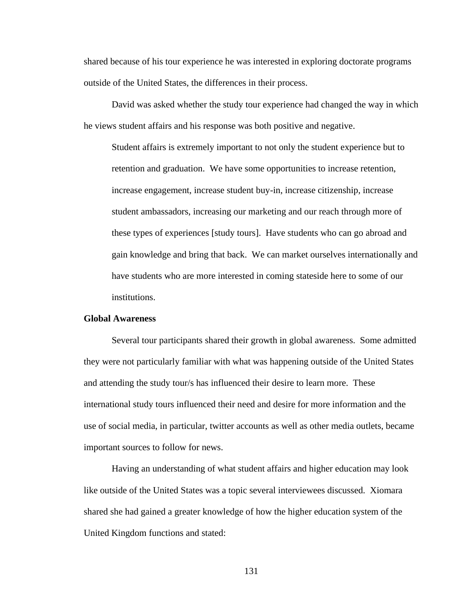shared because of his tour experience he was interested in exploring doctorate programs outside of the United States, the differences in their process.

David was asked whether the study tour experience had changed the way in which he views student affairs and his response was both positive and negative.

Student affairs is extremely important to not only the student experience but to retention and graduation. We have some opportunities to increase retention, increase engagement, increase student buy-in, increase citizenship, increase student ambassadors, increasing our marketing and our reach through more of these types of experiences [study tours]. Have students who can go abroad and gain knowledge and bring that back. We can market ourselves internationally and have students who are more interested in coming stateside here to some of our institutions.

# **Global Awareness**

Several tour participants shared their growth in global awareness. Some admitted they were not particularly familiar with what was happening outside of the United States and attending the study tour/s has influenced their desire to learn more. These international study tours influenced their need and desire for more information and the use of social media, in particular, twitter accounts as well as other media outlets, became important sources to follow for news.

Having an understanding of what student affairs and higher education may look like outside of the United States was a topic several interviewees discussed. Xiomara shared she had gained a greater knowledge of how the higher education system of the United Kingdom functions and stated: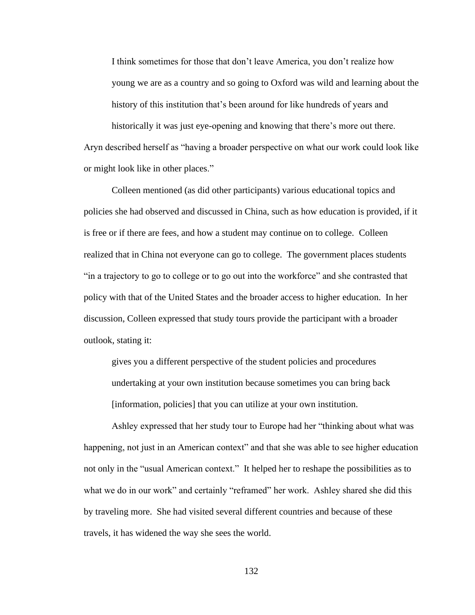I think sometimes for those that don't leave America, you don't realize how young we are as a country and so going to Oxford was wild and learning about the history of this institution that's been around for like hundreds of years and

historically it was just eye-opening and knowing that there's more out there. Aryn described herself as "having a broader perspective on what our work could look like or might look like in other places."

Colleen mentioned (as did other participants) various educational topics and policies she had observed and discussed in China, such as how education is provided, if it is free or if there are fees, and how a student may continue on to college. Colleen realized that in China not everyone can go to college. The government places students "in a trajectory to go to college or to go out into the workforce" and she contrasted that policy with that of the United States and the broader access to higher education. In her discussion, Colleen expressed that study tours provide the participant with a broader outlook, stating it:

gives you a different perspective of the student policies and procedures undertaking at your own institution because sometimes you can bring back [information, policies] that you can utilize at your own institution.

Ashley expressed that her study tour to Europe had her "thinking about what was happening, not just in an American context" and that she was able to see higher education not only in the "usual American context." It helped her to reshape the possibilities as to what we do in our work" and certainly "reframed" her work. Ashley shared she did this by traveling more. She had visited several different countries and because of these travels, it has widened the way she sees the world.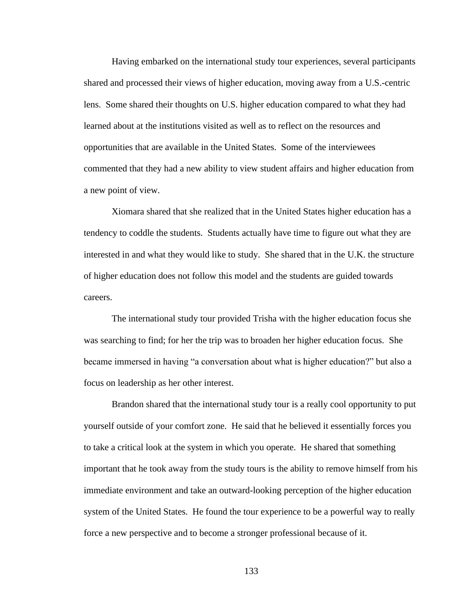Having embarked on the international study tour experiences, several participants shared and processed their views of higher education, moving away from a U.S.-centric lens. Some shared their thoughts on U.S. higher education compared to what they had learned about at the institutions visited as well as to reflect on the resources and opportunities that are available in the United States. Some of the interviewees commented that they had a new ability to view student affairs and higher education from a new point of view.

Xiomara shared that she realized that in the United States higher education has a tendency to coddle the students. Students actually have time to figure out what they are interested in and what they would like to study. She shared that in the U.K. the structure of higher education does not follow this model and the students are guided towards careers.

The international study tour provided Trisha with the higher education focus she was searching to find; for her the trip was to broaden her higher education focus. She became immersed in having "a conversation about what is higher education?" but also a focus on leadership as her other interest.

Brandon shared that the international study tour is a really cool opportunity to put yourself outside of your comfort zone. He said that he believed it essentially forces you to take a critical look at the system in which you operate. He shared that something important that he took away from the study tours is the ability to remove himself from his immediate environment and take an outward-looking perception of the higher education system of the United States. He found the tour experience to be a powerful way to really force a new perspective and to become a stronger professional because of it.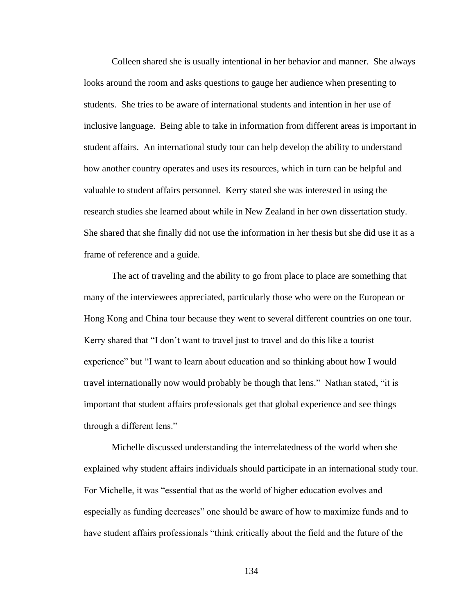Colleen shared she is usually intentional in her behavior and manner. She always looks around the room and asks questions to gauge her audience when presenting to students. She tries to be aware of international students and intention in her use of inclusive language. Being able to take in information from different areas is important in student affairs. An international study tour can help develop the ability to understand how another country operates and uses its resources, which in turn can be helpful and valuable to student affairs personnel. Kerry stated she was interested in using the research studies she learned about while in New Zealand in her own dissertation study. She shared that she finally did not use the information in her thesis but she did use it as a frame of reference and a guide.

The act of traveling and the ability to go from place to place are something that many of the interviewees appreciated, particularly those who were on the European or Hong Kong and China tour because they went to several different countries on one tour. Kerry shared that "I don't want to travel just to travel and do this like a tourist experience" but "I want to learn about education and so thinking about how I would travel internationally now would probably be though that lens." Nathan stated, "it is important that student affairs professionals get that global experience and see things through a different lens."

Michelle discussed understanding the interrelatedness of the world when she explained why student affairs individuals should participate in an international study tour. For Michelle, it was "essential that as the world of higher education evolves and especially as funding decreases" one should be aware of how to maximize funds and to have student affairs professionals "think critically about the field and the future of the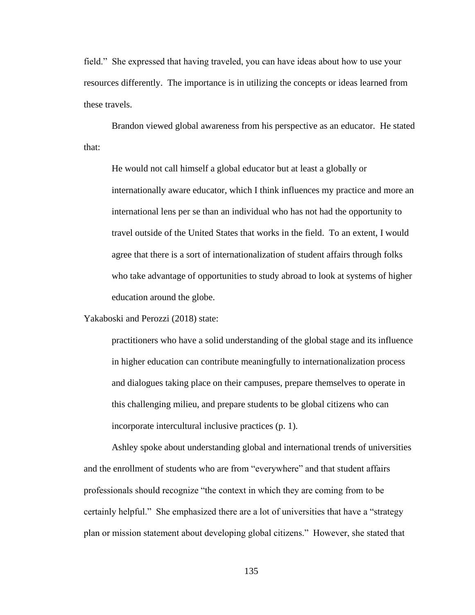field." She expressed that having traveled, you can have ideas about how to use your resources differently. The importance is in utilizing the concepts or ideas learned from these travels.

Brandon viewed global awareness from his perspective as an educator. He stated that:

He would not call himself a global educator but at least a globally or internationally aware educator, which I think influences my practice and more an international lens per se than an individual who has not had the opportunity to travel outside of the United States that works in the field. To an extent, I would agree that there is a sort of internationalization of student affairs through folks who take advantage of opportunities to study abroad to look at systems of higher education around the globe.

Yakaboski and Perozzi (2018) state:

practitioners who have a solid understanding of the global stage and its influence in higher education can contribute meaningfully to internationalization process and dialogues taking place on their campuses, prepare themselves to operate in this challenging milieu, and prepare students to be global citizens who can incorporate intercultural inclusive practices (p. 1).

Ashley spoke about understanding global and international trends of universities and the enrollment of students who are from "everywhere" and that student affairs professionals should recognize "the context in which they are coming from to be certainly helpful." She emphasized there are a lot of universities that have a "strategy plan or mission statement about developing global citizens." However, she stated that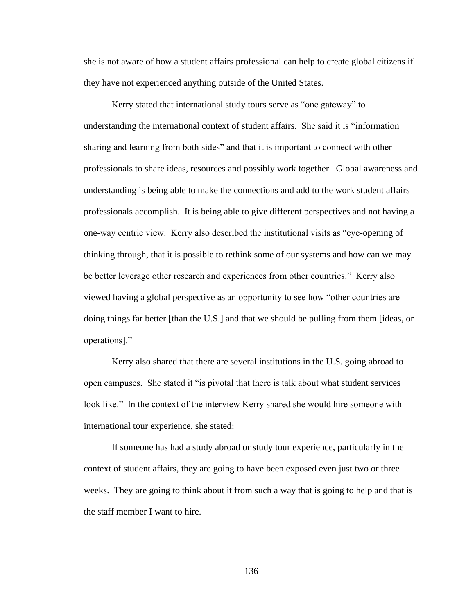she is not aware of how a student affairs professional can help to create global citizens if they have not experienced anything outside of the United States.

Kerry stated that international study tours serve as "one gateway" to understanding the international context of student affairs. She said it is "information sharing and learning from both sides" and that it is important to connect with other professionals to share ideas, resources and possibly work together. Global awareness and understanding is being able to make the connections and add to the work student affairs professionals accomplish. It is being able to give different perspectives and not having a one-way centric view. Kerry also described the institutional visits as "eye-opening of thinking through, that it is possible to rethink some of our systems and how can we may be better leverage other research and experiences from other countries." Kerry also viewed having a global perspective as an opportunity to see how "other countries are doing things far better [than the U.S.] and that we should be pulling from them [ideas, or operations]."

Kerry also shared that there are several institutions in the U.S. going abroad to open campuses. She stated it "is pivotal that there is talk about what student services look like." In the context of the interview Kerry shared she would hire someone with international tour experience, she stated:

If someone has had a study abroad or study tour experience, particularly in the context of student affairs, they are going to have been exposed even just two or three weeks. They are going to think about it from such a way that is going to help and that is the staff member I want to hire.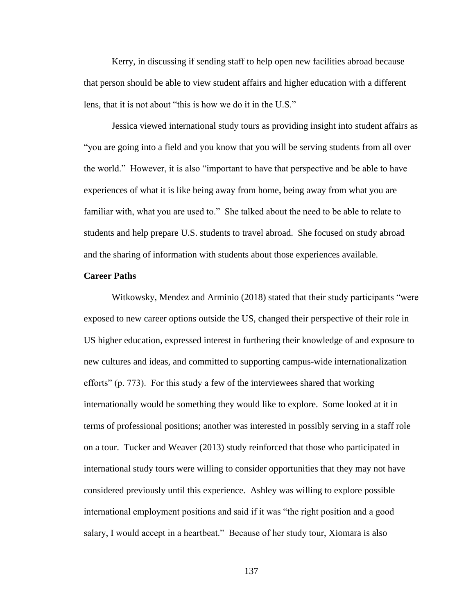Kerry, in discussing if sending staff to help open new facilities abroad because that person should be able to view student affairs and higher education with a different lens, that it is not about "this is how we do it in the U.S."

Jessica viewed international study tours as providing insight into student affairs as "you are going into a field and you know that you will be serving students from all over the world." However, it is also "important to have that perspective and be able to have experiences of what it is like being away from home, being away from what you are familiar with, what you are used to." She talked about the need to be able to relate to students and help prepare U.S. students to travel abroad. She focused on study abroad and the sharing of information with students about those experiences available.

# **Career Paths**

Witkowsky, Mendez and Arminio (2018) stated that their study participants "were exposed to new career options outside the US, changed their perspective of their role in US higher education, expressed interest in furthering their knowledge of and exposure to new cultures and ideas, and committed to supporting campus-wide internationalization efforts" (p. 773). For this study a few of the interviewees shared that working internationally would be something they would like to explore. Some looked at it in terms of professional positions; another was interested in possibly serving in a staff role on a tour. Tucker and Weaver (2013) study reinforced that those who participated in international study tours were willing to consider opportunities that they may not have considered previously until this experience. Ashley was willing to explore possible international employment positions and said if it was "the right position and a good salary, I would accept in a heartbeat." Because of her study tour, Xiomara is also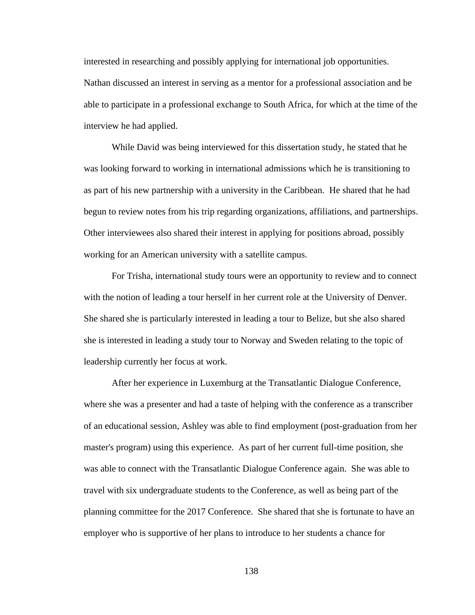interested in researching and possibly applying for international job opportunities. Nathan discussed an interest in serving as a mentor for a professional association and be able to participate in a professional exchange to South Africa, for which at the time of the

interview he had applied.

While David was being interviewed for this dissertation study, he stated that he was looking forward to working in international admissions which he is transitioning to as part of his new partnership with a university in the Caribbean. He shared that he had begun to review notes from his trip regarding organizations, affiliations, and partnerships. Other interviewees also shared their interest in applying for positions abroad, possibly working for an American university with a satellite campus.

For Trisha, international study tours were an opportunity to review and to connect with the notion of leading a tour herself in her current role at the University of Denver. She shared she is particularly interested in leading a tour to Belize, but she also shared she is interested in leading a study tour to Norway and Sweden relating to the topic of leadership currently her focus at work.

After her experience in Luxemburg at the Transatlantic Dialogue Conference, where she was a presenter and had a taste of helping with the conference as a transcriber of an educational session, Ashley was able to find employment (post-graduation from her master's program) using this experience. As part of her current full-time position, she was able to connect with the Transatlantic Dialogue Conference again. She was able to travel with six undergraduate students to the Conference, as well as being part of the planning committee for the 2017 Conference. She shared that she is fortunate to have an employer who is supportive of her plans to introduce to her students a chance for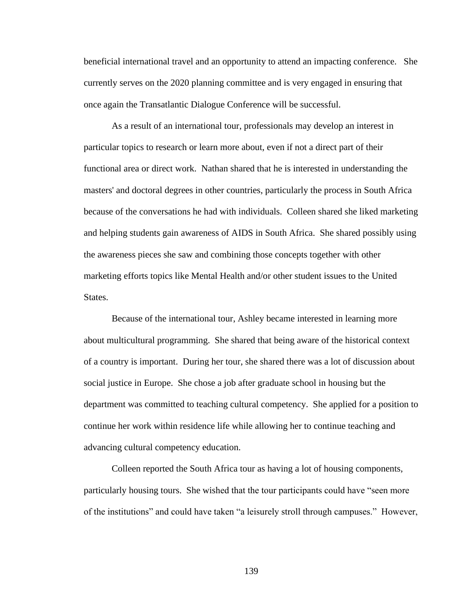beneficial international travel and an opportunity to attend an impacting conference. She currently serves on the 2020 planning committee and is very engaged in ensuring that once again the Transatlantic Dialogue Conference will be successful.

As a result of an international tour, professionals may develop an interest in particular topics to research or learn more about, even if not a direct part of their functional area or direct work. Nathan shared that he is interested in understanding the masters' and doctoral degrees in other countries, particularly the process in South Africa because of the conversations he had with individuals. Colleen shared she liked marketing and helping students gain awareness of AIDS in South Africa. She shared possibly using the awareness pieces she saw and combining those concepts together with other marketing efforts topics like Mental Health and/or other student issues to the United States.

Because of the international tour, Ashley became interested in learning more about multicultural programming. She shared that being aware of the historical context of a country is important. During her tour, she shared there was a lot of discussion about social justice in Europe. She chose a job after graduate school in housing but the department was committed to teaching cultural competency. She applied for a position to continue her work within residence life while allowing her to continue teaching and advancing cultural competency education.

Colleen reported the South Africa tour as having a lot of housing components, particularly housing tours. She wished that the tour participants could have "seen more of the institutions" and could have taken "a leisurely stroll through campuses." However,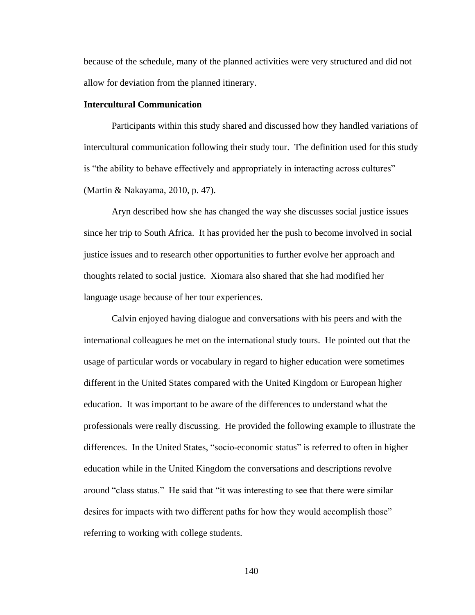because of the schedule, many of the planned activities were very structured and did not allow for deviation from the planned itinerary.

# **Intercultural Communication**

Participants within this study shared and discussed how they handled variations of intercultural communication following their study tour. The definition used for this study is "the ability to behave effectively and appropriately in interacting across cultures" (Martin & Nakayama, 2010, p. 47).

Aryn described how she has changed the way she discusses social justice issues since her trip to South Africa. It has provided her the push to become involved in social justice issues and to research other opportunities to further evolve her approach and thoughts related to social justice. Xiomara also shared that she had modified her language usage because of her tour experiences.

Calvin enjoyed having dialogue and conversations with his peers and with the international colleagues he met on the international study tours. He pointed out that the usage of particular words or vocabulary in regard to higher education were sometimes different in the United States compared with the United Kingdom or European higher education. It was important to be aware of the differences to understand what the professionals were really discussing. He provided the following example to illustrate the differences. In the United States, "socio-economic status" is referred to often in higher education while in the United Kingdom the conversations and descriptions revolve around "class status." He said that "it was interesting to see that there were similar desires for impacts with two different paths for how they would accomplish those" referring to working with college students.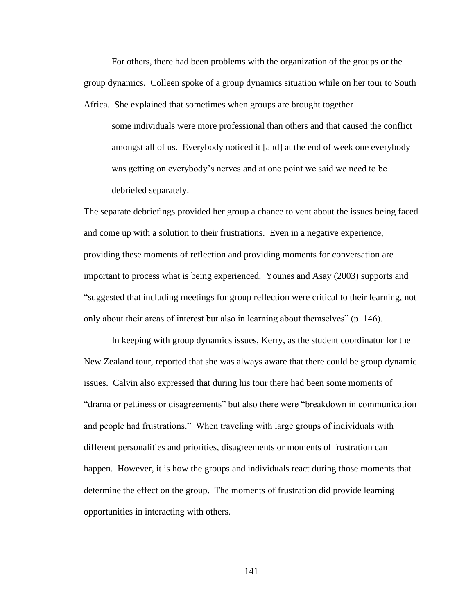For others, there had been problems with the organization of the groups or the group dynamics. Colleen spoke of a group dynamics situation while on her tour to South Africa. She explained that sometimes when groups are brought together

some individuals were more professional than others and that caused the conflict amongst all of us. Everybody noticed it [and] at the end of week one everybody was getting on everybody's nerves and at one point we said we need to be debriefed separately.

The separate debriefings provided her group a chance to vent about the issues being faced and come up with a solution to their frustrations. Even in a negative experience, providing these moments of reflection and providing moments for conversation are important to process what is being experienced. Younes and Asay (2003) supports and "suggested that including meetings for group reflection were critical to their learning, not only about their areas of interest but also in learning about themselves" (p. 146).

In keeping with group dynamics issues, Kerry, as the student coordinator for the New Zealand tour, reported that she was always aware that there could be group dynamic issues. Calvin also expressed that during his tour there had been some moments of "drama or pettiness or disagreements" but also there were "breakdown in communication and people had frustrations." When traveling with large groups of individuals with different personalities and priorities, disagreements or moments of frustration can happen. However, it is how the groups and individuals react during those moments that determine the effect on the group. The moments of frustration did provide learning opportunities in interacting with others.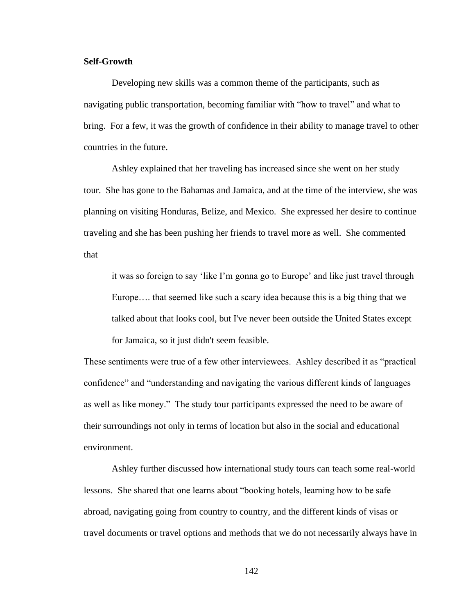# **Self-Growth**

Developing new skills was a common theme of the participants, such as navigating public transportation, becoming familiar with "how to travel" and what to bring. For a few, it was the growth of confidence in their ability to manage travel to other countries in the future.

Ashley explained that her traveling has increased since she went on her study tour. She has gone to the Bahamas and Jamaica, and at the time of the interview, she was planning on visiting Honduras, Belize, and Mexico. She expressed her desire to continue traveling and she has been pushing her friends to travel more as well. She commented that

it was so foreign to say 'like I'm gonna go to Europe' and like just travel through Europe…. that seemed like such a scary idea because this is a big thing that we talked about that looks cool, but I've never been outside the United States except for Jamaica, so it just didn't seem feasible.

These sentiments were true of a few other interviewees. Ashley described it as "practical confidence" and "understanding and navigating the various different kinds of languages as well as like money." The study tour participants expressed the need to be aware of their surroundings not only in terms of location but also in the social and educational environment.

Ashley further discussed how international study tours can teach some real-world lessons. She shared that one learns about "booking hotels, learning how to be safe abroad, navigating going from country to country, and the different kinds of visas or travel documents or travel options and methods that we do not necessarily always have in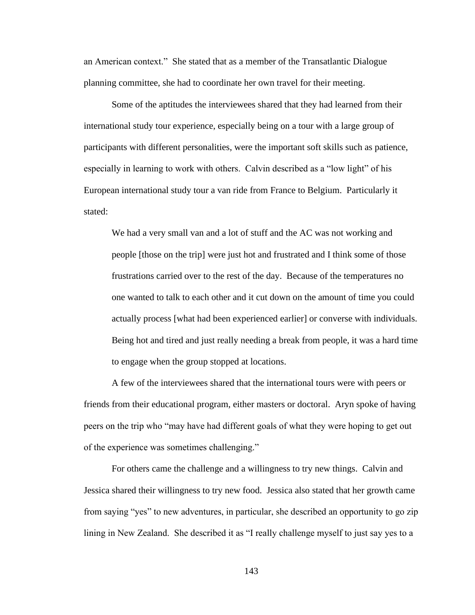an American context." She stated that as a member of the Transatlantic Dialogue planning committee, she had to coordinate her own travel for their meeting.

Some of the aptitudes the interviewees shared that they had learned from their international study tour experience, especially being on a tour with a large group of participants with different personalities, were the important soft skills such as patience, especially in learning to work with others. Calvin described as a "low light" of his European international study tour a van ride from France to Belgium. Particularly it stated:

We had a very small van and a lot of stuff and the AC was not working and people [those on the trip] were just hot and frustrated and I think some of those frustrations carried over to the rest of the day. Because of the temperatures no one wanted to talk to each other and it cut down on the amount of time you could actually process [what had been experienced earlier] or converse with individuals. Being hot and tired and just really needing a break from people, it was a hard time to engage when the group stopped at locations.

A few of the interviewees shared that the international tours were with peers or friends from their educational program, either masters or doctoral. Aryn spoke of having peers on the trip who "may have had different goals of what they were hoping to get out of the experience was sometimes challenging."

For others came the challenge and a willingness to try new things. Calvin and Jessica shared their willingness to try new food. Jessica also stated that her growth came from saying "yes" to new adventures, in particular, she described an opportunity to go zip lining in New Zealand. She described it as "I really challenge myself to just say yes to a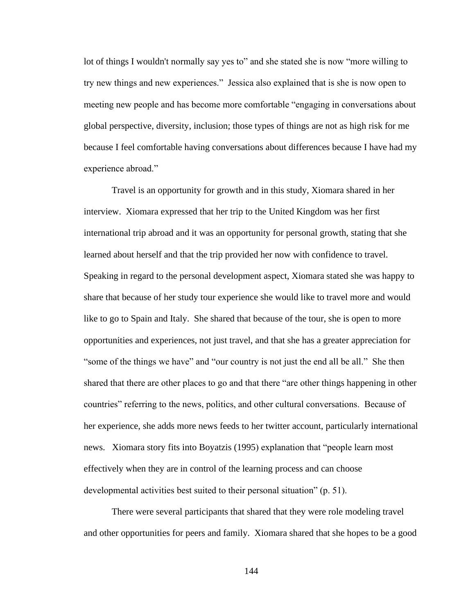lot of things I wouldn't normally say yes to" and she stated she is now "more willing to try new things and new experiences." Jessica also explained that is she is now open to meeting new people and has become more comfortable "engaging in conversations about global perspective, diversity, inclusion; those types of things are not as high risk for me because I feel comfortable having conversations about differences because I have had my experience abroad."

Travel is an opportunity for growth and in this study, Xiomara shared in her interview. Xiomara expressed that her trip to the United Kingdom was her first international trip abroad and it was an opportunity for personal growth, stating that she learned about herself and that the trip provided her now with confidence to travel. Speaking in regard to the personal development aspect, Xiomara stated she was happy to share that because of her study tour experience she would like to travel more and would like to go to Spain and Italy. She shared that because of the tour, she is open to more opportunities and experiences, not just travel, and that she has a greater appreciation for "some of the things we have" and "our country is not just the end all be all." She then shared that there are other places to go and that there "are other things happening in other countries" referring to the news, politics, and other cultural conversations. Because of her experience, she adds more news feeds to her twitter account, particularly international news. Xiomara story fits into Boyatzis (1995) explanation that "people learn most effectively when they are in control of the learning process and can choose developmental activities best suited to their personal situation" (p. 51).

There were several participants that shared that they were role modeling travel and other opportunities for peers and family. Xiomara shared that she hopes to be a good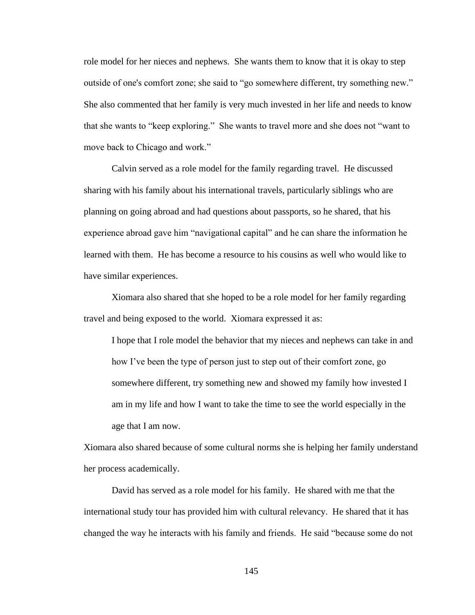role model for her nieces and nephews. She wants them to know that it is okay to step outside of one's comfort zone; she said to "go somewhere different, try something new." She also commented that her family is very much invested in her life and needs to know that she wants to "keep exploring." She wants to travel more and she does not "want to move back to Chicago and work."

Calvin served as a role model for the family regarding travel. He discussed sharing with his family about his international travels, particularly siblings who are planning on going abroad and had questions about passports, so he shared, that his experience abroad gave him "navigational capital" and he can share the information he learned with them. He has become a resource to his cousins as well who would like to have similar experiences.

Xiomara also shared that she hoped to be a role model for her family regarding travel and being exposed to the world. Xiomara expressed it as:

I hope that I role model the behavior that my nieces and nephews can take in and how I've been the type of person just to step out of their comfort zone, go somewhere different, try something new and showed my family how invested I am in my life and how I want to take the time to see the world especially in the age that I am now.

Xiomara also shared because of some cultural norms she is helping her family understand her process academically.

David has served as a role model for his family. He shared with me that the international study tour has provided him with cultural relevancy. He shared that it has changed the way he interacts with his family and friends. He said "because some do not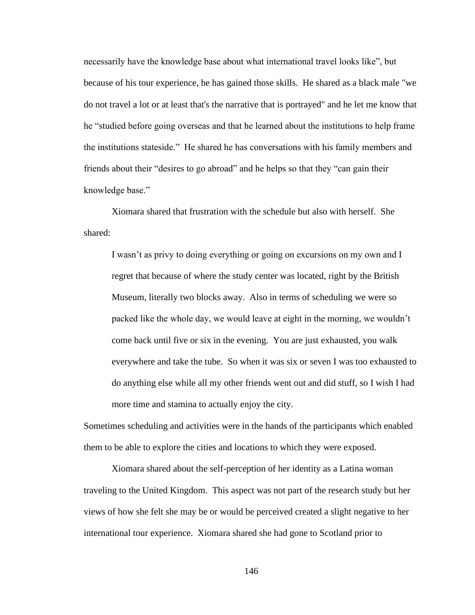necessarily have the knowledge base about what international travel looks like", but because of his tour experience, he has gained those skills. He shared as a black male "we do not travel a lot or at least that's the narrative that is portrayed" and he let me know that he "studied before going overseas and that he learned about the institutions to help frame the institutions stateside." He shared he has conversations with his family members and friends about their "desires to go abroad" and he helps so that they "can gain their knowledge base."

Xiomara shared that frustration with the schedule but also with herself. She shared:

I wasn't as privy to doing everything or going on excursions on my own and I regret that because of where the study center was located, right by the British Museum, literally two blocks away. Also in terms of scheduling we were so packed like the whole day, we would leave at eight in the morning, we wouldn't come back until five or six in the evening. You are just exhausted, you walk everywhere and take the tube. So when it was six or seven I was too exhausted to do anything else while all my other friends went out and did stuff, so I wish I had more time and stamina to actually enjoy the city.

Sometimes scheduling and activities were in the hands of the participants which enabled them to be able to explore the cities and locations to which they were exposed.

Xiomara shared about the self-perception of her identity as a Latina woman traveling to the United Kingdom. This aspect was not part of the research study but her views of how she felt she may be or would be perceived created a slight negative to her international tour experience. Xiomara shared she had gone to Scotland prior to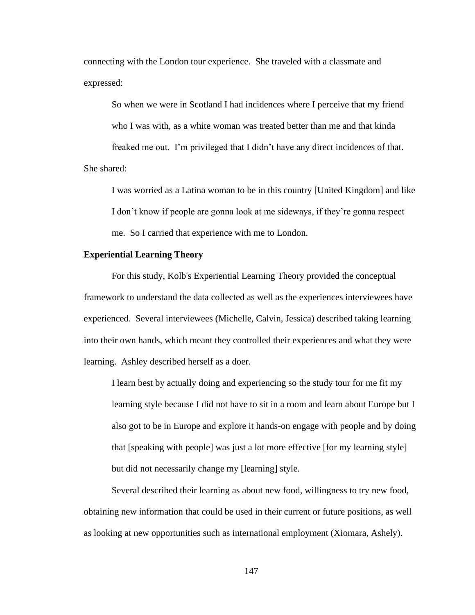connecting with the London tour experience. She traveled with a classmate and expressed:

So when we were in Scotland I had incidences where I perceive that my friend who I was with, as a white woman was treated better than me and that kinda freaked me out. I'm privileged that I didn't have any direct incidences of that. She shared:

I was worried as a Latina woman to be in this country [United Kingdom] and like I don't know if people are gonna look at me sideways, if they're gonna respect me. So I carried that experience with me to London.

### **Experiential Learning Theory**

For this study, Kolb's Experiential Learning Theory provided the conceptual framework to understand the data collected as well as the experiences interviewees have experienced. Several interviewees (Michelle, Calvin, Jessica) described taking learning into their own hands, which meant they controlled their experiences and what they were learning. Ashley described herself as a doer.

I learn best by actually doing and experiencing so the study tour for me fit my learning style because I did not have to sit in a room and learn about Europe but I also got to be in Europe and explore it hands-on engage with people and by doing that [speaking with people] was just a lot more effective [for my learning style] but did not necessarily change my [learning] style.

Several described their learning as about new food, willingness to try new food, obtaining new information that could be used in their current or future positions, as well as looking at new opportunities such as international employment (Xiomara, Ashely).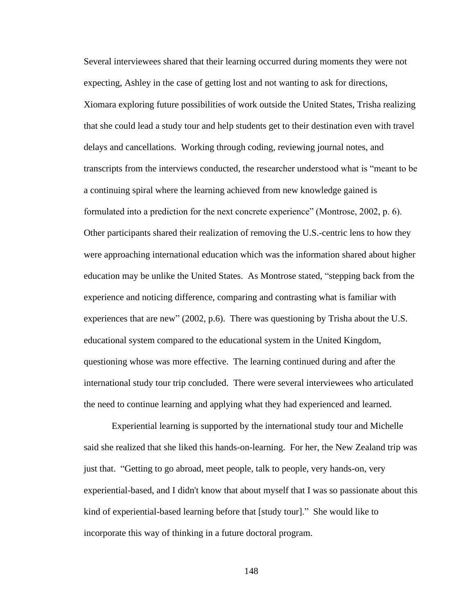Several interviewees shared that their learning occurred during moments they were not expecting, Ashley in the case of getting lost and not wanting to ask for directions, Xiomara exploring future possibilities of work outside the United States, Trisha realizing that she could lead a study tour and help students get to their destination even with travel delays and cancellations. Working through coding, reviewing journal notes, and transcripts from the interviews conducted, the researcher understood what is "meant to be a continuing spiral where the learning achieved from new knowledge gained is formulated into a prediction for the next concrete experience" (Montrose, 2002, p. 6). Other participants shared their realization of removing the U.S.-centric lens to how they were approaching international education which was the information shared about higher education may be unlike the United States. As Montrose stated, "stepping back from the experience and noticing difference, comparing and contrasting what is familiar with experiences that are new" (2002, p.6). There was questioning by Trisha about the U.S. educational system compared to the educational system in the United Kingdom, questioning whose was more effective. The learning continued during and after the international study tour trip concluded. There were several interviewees who articulated the need to continue learning and applying what they had experienced and learned.

Experiential learning is supported by the international study tour and Michelle said she realized that she liked this hands-on-learning. For her, the New Zealand trip was just that. "Getting to go abroad, meet people, talk to people, very hands-on, very experiential-based, and I didn't know that about myself that I was so passionate about this kind of experiential-based learning before that [study tour]." She would like to incorporate this way of thinking in a future doctoral program.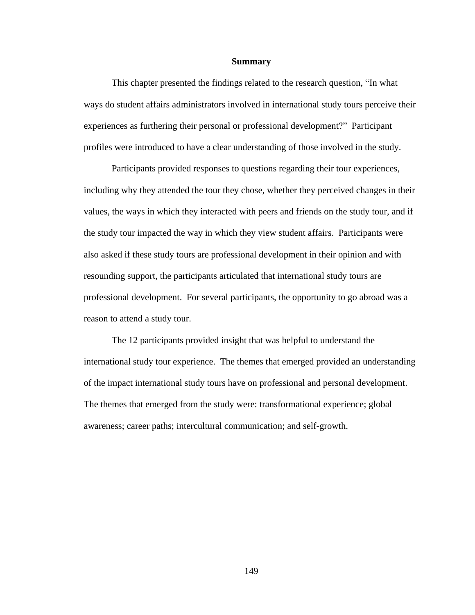### **Summary**

This chapter presented the findings related to the research question, "In what ways do student affairs administrators involved in international study tours perceive their experiences as furthering their personal or professional development?" Participant profiles were introduced to have a clear understanding of those involved in the study.

Participants provided responses to questions regarding their tour experiences, including why they attended the tour they chose, whether they perceived changes in their values, the ways in which they interacted with peers and friends on the study tour, and if the study tour impacted the way in which they view student affairs. Participants were also asked if these study tours are professional development in their opinion and with resounding support, the participants articulated that international study tours are professional development. For several participants, the opportunity to go abroad was a reason to attend a study tour.

The 12 participants provided insight that was helpful to understand the international study tour experience. The themes that emerged provided an understanding of the impact international study tours have on professional and personal development. The themes that emerged from the study were: transformational experience; global awareness; career paths; intercultural communication; and self-growth.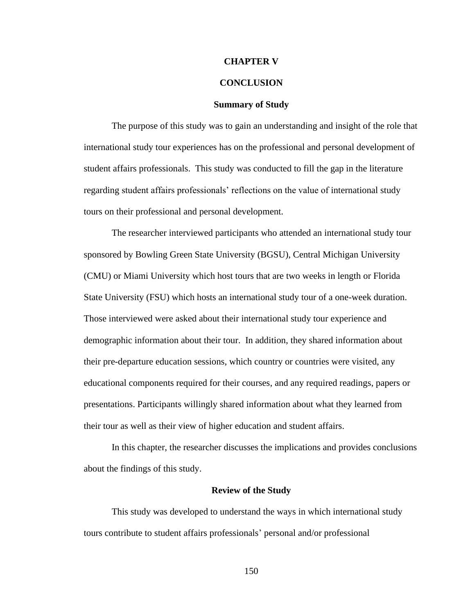### **CHAPTER V**

## **CONCLUSION**

#### **Summary of Study**

The purpose of this study was to gain an understanding and insight of the role that international study tour experiences has on the professional and personal development of student affairs professionals. This study was conducted to fill the gap in the literature regarding student affairs professionals' reflections on the value of international study tours on their professional and personal development.

The researcher interviewed participants who attended an international study tour sponsored by Bowling Green State University (BGSU), Central Michigan University (CMU) or Miami University which host tours that are two weeks in length or Florida State University (FSU) which hosts an international study tour of a one-week duration. Those interviewed were asked about their international study tour experience and demographic information about their tour. In addition, they shared information about their pre-departure education sessions, which country or countries were visited, any educational components required for their courses, and any required readings, papers or presentations. Participants willingly shared information about what they learned from their tour as well as their view of higher education and student affairs.

In this chapter, the researcher discusses the implications and provides conclusions about the findings of this study.

### **Review of the Study**

This study was developed to understand the ways in which international study tours contribute to student affairs professionals' personal and/or professional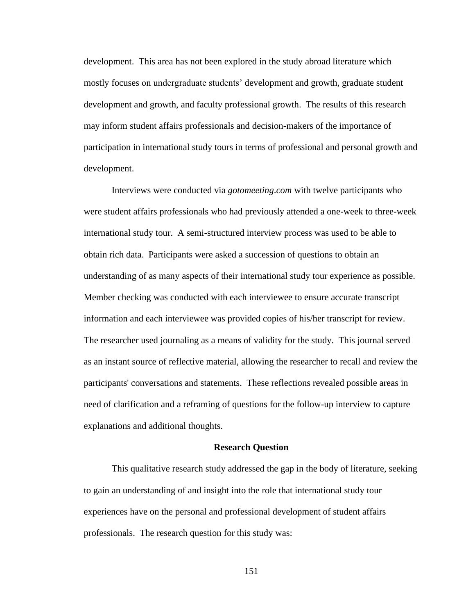development. This area has not been explored in the study abroad literature which mostly focuses on undergraduate students' development and growth, graduate student development and growth, and faculty professional growth. The results of this research may inform student affairs professionals and decision-makers of the importance of participation in international study tours in terms of professional and personal growth and development.

Interviews were conducted via *gotomeeting*.*com* with twelve participants who were student affairs professionals who had previously attended a one-week to three-week international study tour. A semi-structured interview process was used to be able to obtain rich data. Participants were asked a succession of questions to obtain an understanding of as many aspects of their international study tour experience as possible. Member checking was conducted with each interviewee to ensure accurate transcript information and each interviewee was provided copies of his/her transcript for review. The researcher used journaling as a means of validity for the study. This journal served as an instant source of reflective material, allowing the researcher to recall and review the participants' conversations and statements. These reflections revealed possible areas in need of clarification and a reframing of questions for the follow-up interview to capture explanations and additional thoughts.

#### **Research Question**

This qualitative research study addressed the gap in the body of literature, seeking to gain an understanding of and insight into the role that international study tour experiences have on the personal and professional development of student affairs professionals. The research question for this study was: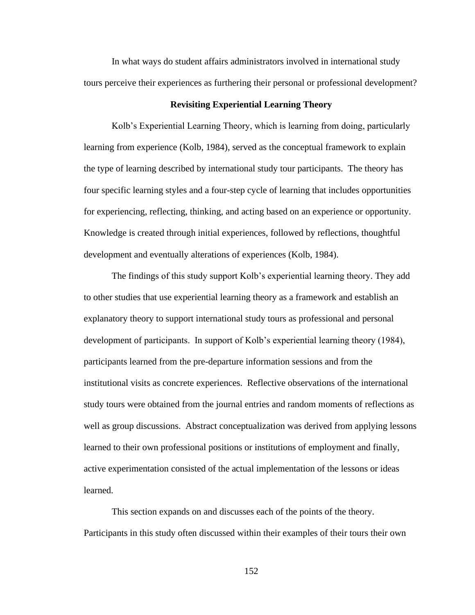In what ways do student affairs administrators involved in international study tours perceive their experiences as furthering their personal or professional development?

### **Revisiting Experiential Learning Theory**

Kolb's Experiential Learning Theory, which is learning from doing, particularly learning from experience (Kolb, 1984), served as the conceptual framework to explain the type of learning described by international study tour participants. The theory has four specific learning styles and a four-step cycle of learning that includes opportunities for experiencing, reflecting, thinking, and acting based on an experience or opportunity. Knowledge is created through initial experiences, followed by reflections, thoughtful development and eventually alterations of experiences (Kolb, 1984).

The findings of this study support Kolb's experiential learning theory. They add to other studies that use experiential learning theory as a framework and establish an explanatory theory to support international study tours as professional and personal development of participants. In support of Kolb's experiential learning theory (1984), participants learned from the pre-departure information sessions and from the institutional visits as concrete experiences. Reflective observations of the international study tours were obtained from the journal entries and random moments of reflections as well as group discussions. Abstract conceptualization was derived from applying lessons learned to their own professional positions or institutions of employment and finally, active experimentation consisted of the actual implementation of the lessons or ideas learned.

This section expands on and discusses each of the points of the theory. Participants in this study often discussed within their examples of their tours their own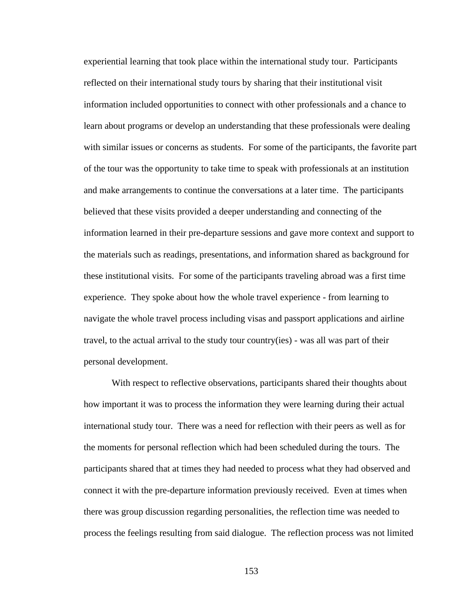experiential learning that took place within the international study tour. Participants reflected on their international study tours by sharing that their institutional visit information included opportunities to connect with other professionals and a chance to learn about programs or develop an understanding that these professionals were dealing with similar issues or concerns as students. For some of the participants, the favorite part of the tour was the opportunity to take time to speak with professionals at an institution and make arrangements to continue the conversations at a later time. The participants believed that these visits provided a deeper understanding and connecting of the information learned in their pre-departure sessions and gave more context and support to the materials such as readings, presentations, and information shared as background for these institutional visits. For some of the participants traveling abroad was a first time experience. They spoke about how the whole travel experience - from learning to navigate the whole travel process including visas and passport applications and airline travel, to the actual arrival to the study tour country(ies) - was all was part of their personal development.

With respect to reflective observations, participants shared their thoughts about how important it was to process the information they were learning during their actual international study tour. There was a need for reflection with their peers as well as for the moments for personal reflection which had been scheduled during the tours. The participants shared that at times they had needed to process what they had observed and connect it with the pre-departure information previously received. Even at times when there was group discussion regarding personalities, the reflection time was needed to process the feelings resulting from said dialogue. The reflection process was not limited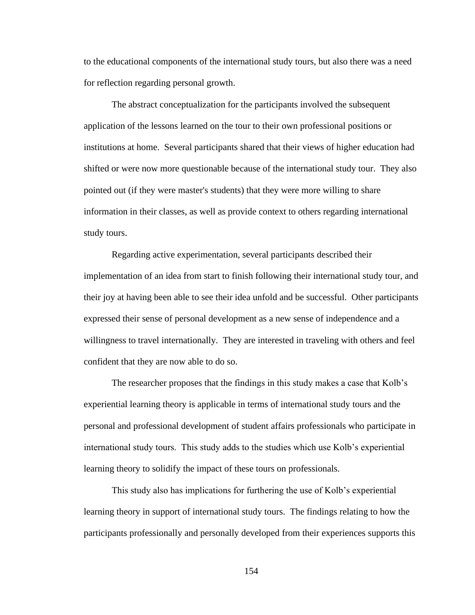to the educational components of the international study tours, but also there was a need for reflection regarding personal growth.

The abstract conceptualization for the participants involved the subsequent application of the lessons learned on the tour to their own professional positions or institutions at home. Several participants shared that their views of higher education had shifted or were now more questionable because of the international study tour. They also pointed out (if they were master's students) that they were more willing to share information in their classes, as well as provide context to others regarding international study tours.

Regarding active experimentation, several participants described their implementation of an idea from start to finish following their international study tour, and their joy at having been able to see their idea unfold and be successful. Other participants expressed their sense of personal development as a new sense of independence and a willingness to travel internationally. They are interested in traveling with others and feel confident that they are now able to do so.

The researcher proposes that the findings in this study makes a case that Kolb's experiential learning theory is applicable in terms of international study tours and the personal and professional development of student affairs professionals who participate in international study tours. This study adds to the studies which use Kolb's experiential learning theory to solidify the impact of these tours on professionals.

This study also has implications for furthering the use of Kolb's experiential learning theory in support of international study tours. The findings relating to how the participants professionally and personally developed from their experiences supports this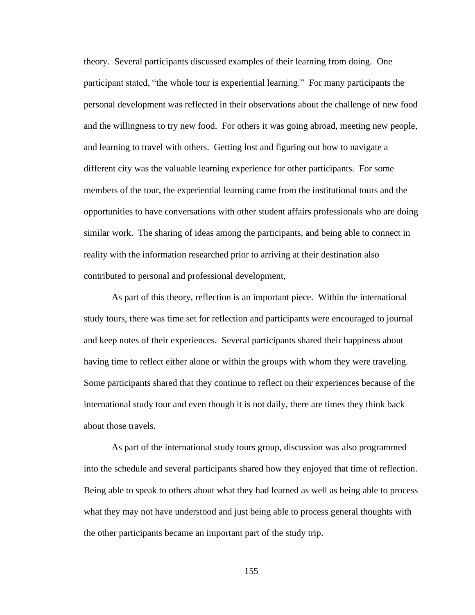theory. Several participants discussed examples of their learning from doing. One participant stated, "the whole tour is experiential learning." For many participants the personal development was reflected in their observations about the challenge of new food and the willingness to try new food. For others it was going abroad, meeting new people, and learning to travel with others. Getting lost and figuring out how to navigate a different city was the valuable learning experience for other participants. For some members of the tour, the experiential learning came from the institutional tours and the opportunities to have conversations with other student affairs professionals who are doing similar work. The sharing of ideas among the participants, and being able to connect in reality with the information researched prior to arriving at their destination also contributed to personal and professional development,

As part of this theory, reflection is an important piece. Within the international study tours, there was time set for reflection and participants were encouraged to journal and keep notes of their experiences. Several participants shared their happiness about having time to reflect either alone or within the groups with whom they were traveling. Some participants shared that they continue to reflect on their experiences because of the international study tour and even though it is not daily, there are times they think back about those travels.

As part of the international study tours group, discussion was also programmed into the schedule and several participants shared how they enjoyed that time of reflection. Being able to speak to others about what they had learned as well as being able to process what they may not have understood and just being able to process general thoughts with the other participants became an important part of the study trip.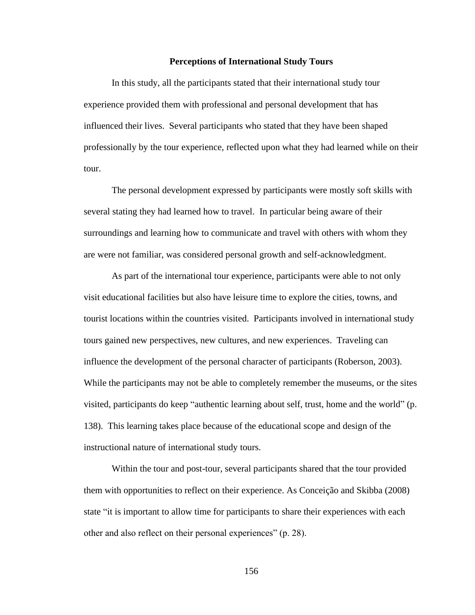### **Perceptions of International Study Tours**

In this study, all the participants stated that their international study tour experience provided them with professional and personal development that has influenced their lives. Several participants who stated that they have been shaped professionally by the tour experience, reflected upon what they had learned while on their tour.

The personal development expressed by participants were mostly soft skills with several stating they had learned how to travel. In particular being aware of their surroundings and learning how to communicate and travel with others with whom they are were not familiar, was considered personal growth and self-acknowledgment.

As part of the international tour experience, participants were able to not only visit educational facilities but also have leisure time to explore the cities, towns, and tourist locations within the countries visited. Participants involved in international study tours gained new perspectives, new cultures, and new experiences. Traveling can influence the development of the personal character of participants (Roberson, 2003). While the participants may not be able to completely remember the museums, or the sites visited, participants do keep "authentic learning about self, trust, home and the world" (p. 138). This learning takes place because of the educational scope and design of the instructional nature of international study tours.

Within the tour and post-tour, several participants shared that the tour provided them with opportunities to reflect on their experience. As Conceição and Skibba (2008) state "it is important to allow time for participants to share their experiences with each other and also reflect on their personal experiences" (p. 28).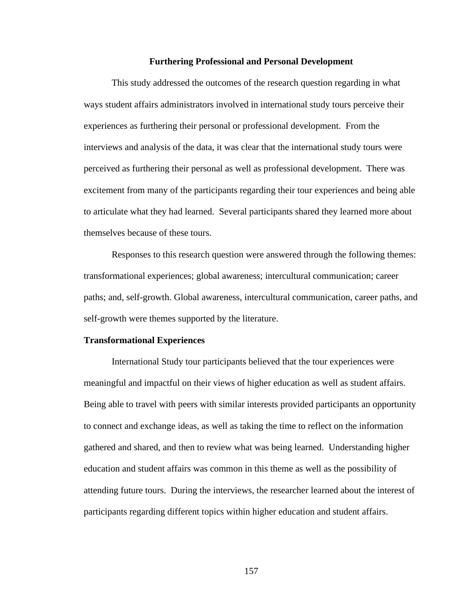#### **Furthering Professional and Personal Development**

This study addressed the outcomes of the research question regarding in what ways student affairs administrators involved in international study tours perceive their experiences as furthering their personal or professional development. From the interviews and analysis of the data, it was clear that the international study tours were perceived as furthering their personal as well as professional development. There was excitement from many of the participants regarding their tour experiences and being able to articulate what they had learned. Several participants shared they learned more about themselves because of these tours.

Responses to this research question were answered through the following themes: transformational experiences; global awareness; intercultural communication; career paths; and, self-growth. Global awareness, intercultural communication, career paths, and self-growth were themes supported by the literature.

#### **Transformational Experiences**

International Study tour participants believed that the tour experiences were meaningful and impactful on their views of higher education as well as student affairs. Being able to travel with peers with similar interests provided participants an opportunity to connect and exchange ideas, as well as taking the time to reflect on the information gathered and shared, and then to review what was being learned. Understanding higher education and student affairs was common in this theme as well as the possibility of attending future tours. During the interviews, the researcher learned about the interest of participants regarding different topics within higher education and student affairs.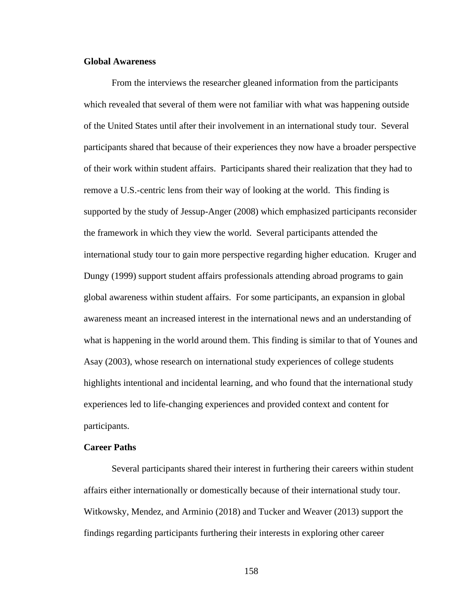# **Global Awareness**

From the interviews the researcher gleaned information from the participants which revealed that several of them were not familiar with what was happening outside of the United States until after their involvement in an international study tour. Several participants shared that because of their experiences they now have a broader perspective of their work within student affairs. Participants shared their realization that they had to remove a U.S.-centric lens from their way of looking at the world. This finding is supported by the study of Jessup-Anger (2008) which emphasized participants reconsider the framework in which they view the world. Several participants attended the international study tour to gain more perspective regarding higher education. Kruger and Dungy (1999) support student affairs professionals attending abroad programs to gain global awareness within student affairs. For some participants, an expansion in global awareness meant an increased interest in the international news and an understanding of what is happening in the world around them. This finding is similar to that of Younes and Asay (2003), whose research on international study experiences of college students highlights intentional and incidental learning, and who found that the international study experiences led to life-changing experiences and provided context and content for participants.

## **Career Paths**

Several participants shared their interest in furthering their careers within student affairs either internationally or domestically because of their international study tour. Witkowsky, Mendez, and Arminio (2018) and Tucker and Weaver (2013) support the findings regarding participants furthering their interests in exploring other career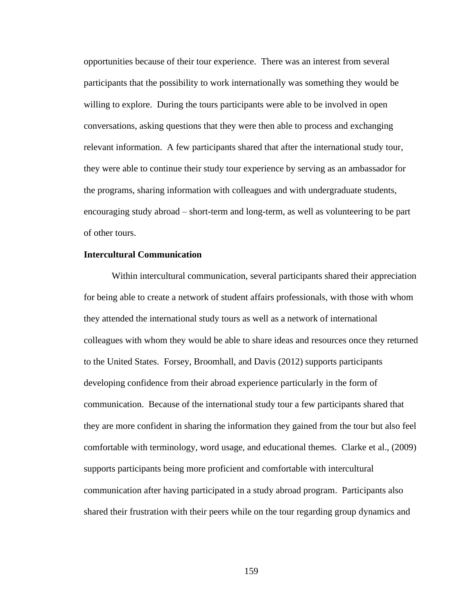opportunities because of their tour experience. There was an interest from several participants that the possibility to work internationally was something they would be willing to explore. During the tours participants were able to be involved in open conversations, asking questions that they were then able to process and exchanging relevant information. A few participants shared that after the international study tour, they were able to continue their study tour experience by serving as an ambassador for the programs, sharing information with colleagues and with undergraduate students, encouraging study abroad – short-term and long-term, as well as volunteering to be part of other tours.

# **Intercultural Communication**

Within intercultural communication, several participants shared their appreciation for being able to create a network of student affairs professionals, with those with whom they attended the international study tours as well as a network of international colleagues with whom they would be able to share ideas and resources once they returned to the United States. Forsey, Broomhall, and Davis (2012) supports participants developing confidence from their abroad experience particularly in the form of communication. Because of the international study tour a few participants shared that they are more confident in sharing the information they gained from the tour but also feel comfortable with terminology, word usage, and educational themes. Clarke et al., (2009) supports participants being more proficient and comfortable with intercultural communication after having participated in a study abroad program. Participants also shared their frustration with their peers while on the tour regarding group dynamics and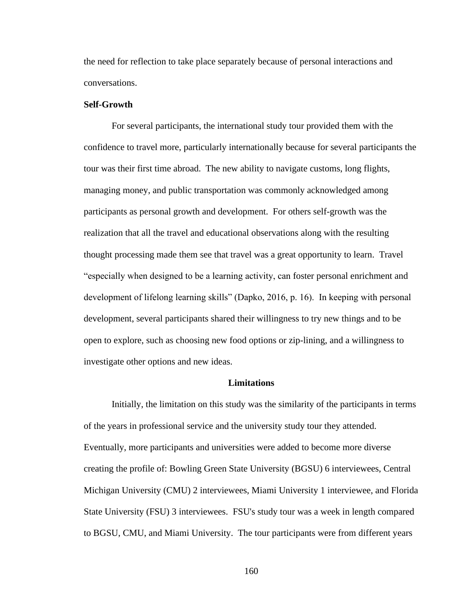the need for reflection to take place separately because of personal interactions and conversations.

## **Self-Growth**

For several participants, the international study tour provided them with the confidence to travel more, particularly internationally because for several participants the tour was their first time abroad. The new ability to navigate customs, long flights, managing money, and public transportation was commonly acknowledged among participants as personal growth and development. For others self-growth was the realization that all the travel and educational observations along with the resulting thought processing made them see that travel was a great opportunity to learn. Travel "especially when designed to be a learning activity, can foster personal enrichment and development of lifelong learning skills" (Dapko, 2016, p. 16). In keeping with personal development, several participants shared their willingness to try new things and to be open to explore, such as choosing new food options or zip-lining, and a willingness to investigate other options and new ideas.

### **Limitations**

Initially, the limitation on this study was the similarity of the participants in terms of the years in professional service and the university study tour they attended. Eventually, more participants and universities were added to become more diverse creating the profile of: Bowling Green State University (BGSU) 6 interviewees, Central Michigan University (CMU) 2 interviewees, Miami University 1 interviewee, and Florida State University (FSU) 3 interviewees. FSU's study tour was a week in length compared to BGSU, CMU, and Miami University. The tour participants were from different years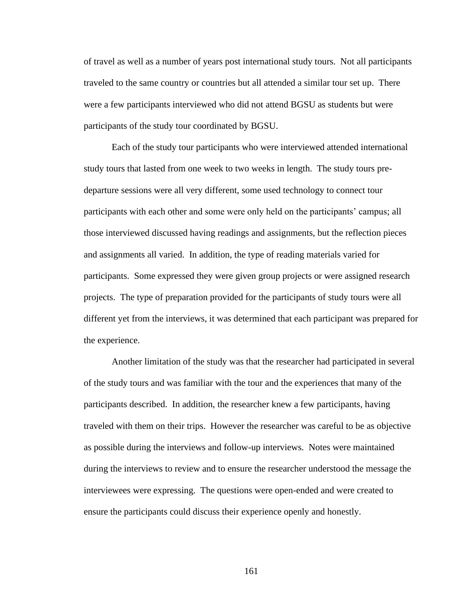of travel as well as a number of years post international study tours. Not all participants traveled to the same country or countries but all attended a similar tour set up. There were a few participants interviewed who did not attend BGSU as students but were participants of the study tour coordinated by BGSU.

Each of the study tour participants who were interviewed attended international study tours that lasted from one week to two weeks in length. The study tours predeparture sessions were all very different, some used technology to connect tour participants with each other and some were only held on the participants' campus; all those interviewed discussed having readings and assignments, but the reflection pieces and assignments all varied. In addition, the type of reading materials varied for participants. Some expressed they were given group projects or were assigned research projects. The type of preparation provided for the participants of study tours were all different yet from the interviews, it was determined that each participant was prepared for the experience.

Another limitation of the study was that the researcher had participated in several of the study tours and was familiar with the tour and the experiences that many of the participants described. In addition, the researcher knew a few participants, having traveled with them on their trips. However the researcher was careful to be as objective as possible during the interviews and follow-up interviews. Notes were maintained during the interviews to review and to ensure the researcher understood the message the interviewees were expressing. The questions were open-ended and were created to ensure the participants could discuss their experience openly and honestly.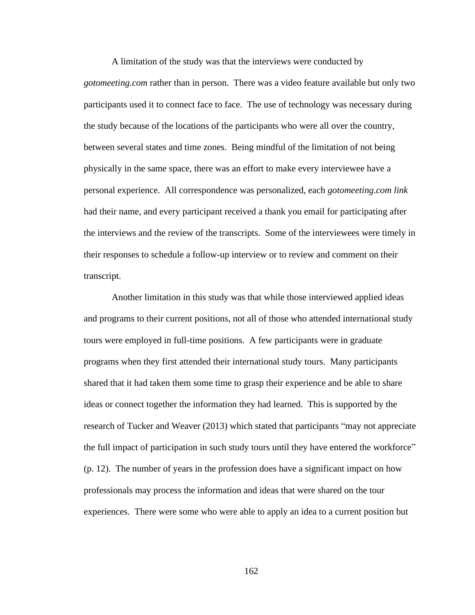A limitation of the study was that the interviews were conducted by *gotomeeting.com* rather than in person. There was a video feature available but only two participants used it to connect face to face. The use of technology was necessary during the study because of the locations of the participants who were all over the country, between several states and time zones. Being mindful of the limitation of not being physically in the same space, there was an effort to make every interviewee have a personal experience. All correspondence was personalized, each *gotomeeting.com link* had their name, and every participant received a thank you email for participating after the interviews and the review of the transcripts. Some of the interviewees were timely in their responses to schedule a follow-up interview or to review and comment on their transcript.

Another limitation in this study was that while those interviewed applied ideas and programs to their current positions, not all of those who attended international study tours were employed in full-time positions. A few participants were in graduate programs when they first attended their international study tours. Many participants shared that it had taken them some time to grasp their experience and be able to share ideas or connect together the information they had learned. This is supported by the research of Tucker and Weaver (2013) which stated that participants "may not appreciate the full impact of participation in such study tours until they have entered the workforce" (p. 12). The number of years in the profession does have a significant impact on how professionals may process the information and ideas that were shared on the tour experiences. There were some who were able to apply an idea to a current position but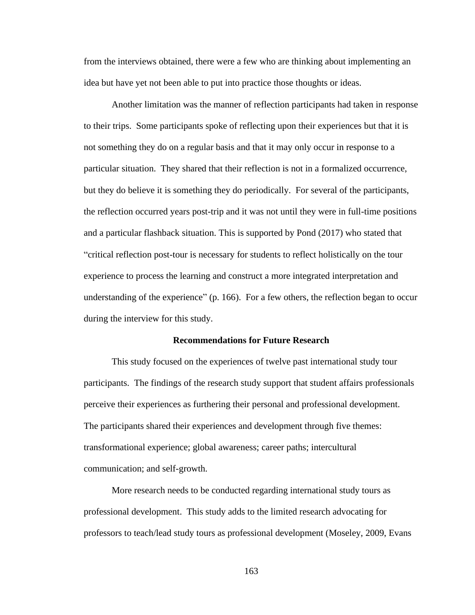from the interviews obtained, there were a few who are thinking about implementing an idea but have yet not been able to put into practice those thoughts or ideas.

Another limitation was the manner of reflection participants had taken in response to their trips. Some participants spoke of reflecting upon their experiences but that it is not something they do on a regular basis and that it may only occur in response to a particular situation. They shared that their reflection is not in a formalized occurrence, but they do believe it is something they do periodically. For several of the participants, the reflection occurred years post-trip and it was not until they were in full-time positions and a particular flashback situation. This is supported by Pond (2017) who stated that "critical reflection post-tour is necessary for students to reflect holistically on the tour experience to process the learning and construct a more integrated interpretation and understanding of the experience" (p. 166). For a few others, the reflection began to occur during the interview for this study.

#### **Recommendations for Future Research**

This study focused on the experiences of twelve past international study tour participants. The findings of the research study support that student affairs professionals perceive their experiences as furthering their personal and professional development. The participants shared their experiences and development through five themes: transformational experience; global awareness; career paths; intercultural communication; and self-growth.

More research needs to be conducted regarding international study tours as professional development. This study adds to the limited research advocating for professors to teach/lead study tours as professional development (Moseley, 2009, Evans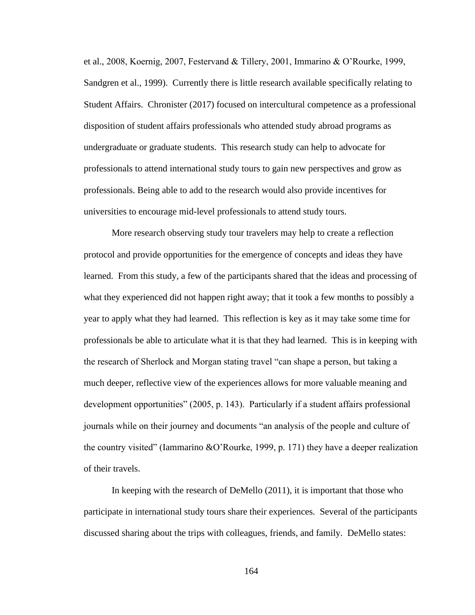et al., 2008, Koernig, 2007, Festervand & Tillery, 2001, Immarino & O'Rourke, 1999, Sandgren et al., 1999). Currently there is little research available specifically relating to Student Affairs. Chronister (2017) focused on intercultural competence as a professional disposition of student affairs professionals who attended study abroad programs as undergraduate or graduate students. This research study can help to advocate for professionals to attend international study tours to gain new perspectives and grow as professionals. Being able to add to the research would also provide incentives for universities to encourage mid-level professionals to attend study tours.

More research observing study tour travelers may help to create a reflection protocol and provide opportunities for the emergence of concepts and ideas they have learned. From this study, a few of the participants shared that the ideas and processing of what they experienced did not happen right away; that it took a few months to possibly a year to apply what they had learned. This reflection is key as it may take some time for professionals be able to articulate what it is that they had learned. This is in keeping with the research of Sherlock and Morgan stating travel "can shape a person, but taking a much deeper, reflective view of the experiences allows for more valuable meaning and development opportunities" (2005, p. 143). Particularly if a student affairs professional journals while on their journey and documents "an analysis of the people and culture of the country visited" (Iammarino &O'Rourke, 1999, p. 171) they have a deeper realization of their travels.

In keeping with the research of DeMello (2011), it is important that those who participate in international study tours share their experiences. Several of the participants discussed sharing about the trips with colleagues, friends, and family. DeMello states: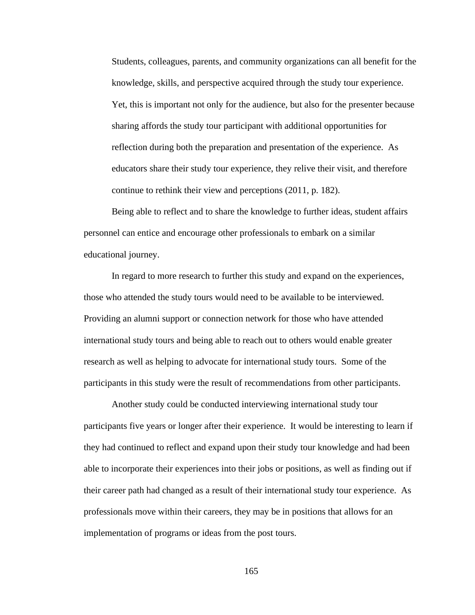Students, colleagues, parents, and community organizations can all benefit for the knowledge, skills, and perspective acquired through the study tour experience. Yet, this is important not only for the audience, but also for the presenter because sharing affords the study tour participant with additional opportunities for reflection during both the preparation and presentation of the experience. As educators share their study tour experience, they relive their visit, and therefore continue to rethink their view and perceptions (2011, p. 182).

Being able to reflect and to share the knowledge to further ideas, student affairs personnel can entice and encourage other professionals to embark on a similar educational journey.

In regard to more research to further this study and expand on the experiences, those who attended the study tours would need to be available to be interviewed. Providing an alumni support or connection network for those who have attended international study tours and being able to reach out to others would enable greater research as well as helping to advocate for international study tours. Some of the participants in this study were the result of recommendations from other participants.

Another study could be conducted interviewing international study tour participants five years or longer after their experience. It would be interesting to learn if they had continued to reflect and expand upon their study tour knowledge and had been able to incorporate their experiences into their jobs or positions, as well as finding out if their career path had changed as a result of their international study tour experience. As professionals move within their careers, they may be in positions that allows for an implementation of programs or ideas from the post tours.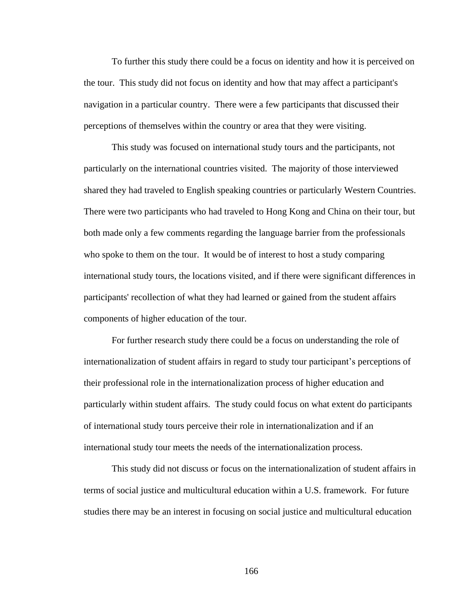To further this study there could be a focus on identity and how it is perceived on the tour. This study did not focus on identity and how that may affect a participant's navigation in a particular country. There were a few participants that discussed their perceptions of themselves within the country or area that they were visiting.

This study was focused on international study tours and the participants, not particularly on the international countries visited. The majority of those interviewed shared they had traveled to English speaking countries or particularly Western Countries. There were two participants who had traveled to Hong Kong and China on their tour, but both made only a few comments regarding the language barrier from the professionals who spoke to them on the tour. It would be of interest to host a study comparing international study tours, the locations visited, and if there were significant differences in participants' recollection of what they had learned or gained from the student affairs components of higher education of the tour.

For further research study there could be a focus on understanding the role of internationalization of student affairs in regard to study tour participant's perceptions of their professional role in the internationalization process of higher education and particularly within student affairs. The study could focus on what extent do participants of international study tours perceive their role in internationalization and if an international study tour meets the needs of the internationalization process.

This study did not discuss or focus on the internationalization of student affairs in terms of social justice and multicultural education within a U.S. framework. For future studies there may be an interest in focusing on social justice and multicultural education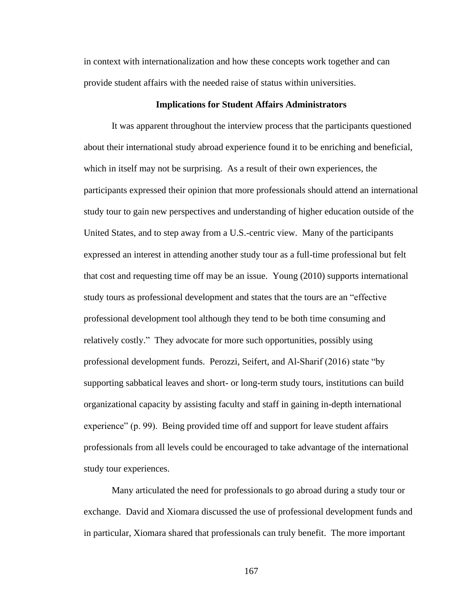in context with internationalization and how these concepts work together and can provide student affairs with the needed raise of status within universities.

## **Implications for Student Affairs Administrators**

It was apparent throughout the interview process that the participants questioned about their international study abroad experience found it to be enriching and beneficial, which in itself may not be surprising. As a result of their own experiences, the participants expressed their opinion that more professionals should attend an international study tour to gain new perspectives and understanding of higher education outside of the United States, and to step away from a U.S.-centric view. Many of the participants expressed an interest in attending another study tour as a full-time professional but felt that cost and requesting time off may be an issue. Young (2010) supports international study tours as professional development and states that the tours are an "effective professional development tool although they tend to be both time consuming and relatively costly." They advocate for more such opportunities, possibly using professional development funds. Perozzi, Seifert, and Al-Sharif (2016) state "by supporting sabbatical leaves and short- or long-term study tours, institutions can build organizational capacity by assisting faculty and staff in gaining in-depth international experience" (p. 99). Being provided time off and support for leave student affairs professionals from all levels could be encouraged to take advantage of the international study tour experiences.

Many articulated the need for professionals to go abroad during a study tour or exchange. David and Xiomara discussed the use of professional development funds and in particular, Xiomara shared that professionals can truly benefit. The more important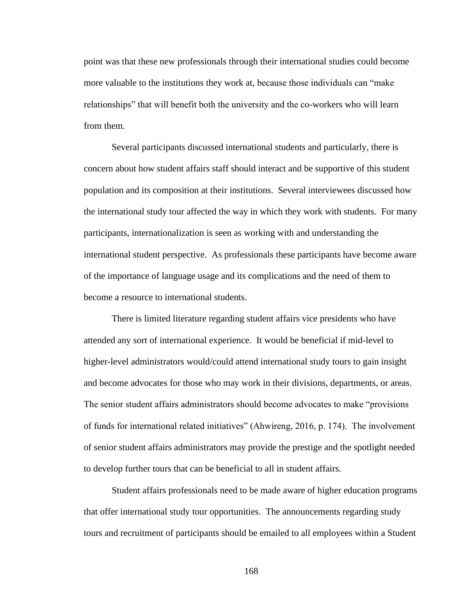point was that these new professionals through their international studies could become more valuable to the institutions they work at, because those individuals can "make relationships" that will benefit both the university and the co-workers who will learn from them.

Several participants discussed international students and particularly, there is concern about how student affairs staff should interact and be supportive of this student population and its composition at their institutions. Several interviewees discussed how the international study tour affected the way in which they work with students. For many participants, internationalization is seen as working with and understanding the international student perspective. As professionals these participants have become aware of the importance of language usage and its complications and the need of them to become a resource to international students.

There is limited literature regarding student affairs vice presidents who have attended any sort of international experience. It would be beneficial if mid-level to higher-level administrators would/could attend international study tours to gain insight and become advocates for those who may work in their divisions, departments, or areas. The senior student affairs administrators should become advocates to make "provisions of funds for international related initiatives" (Ahwireng, 2016, p. 174). The involvement of senior student affairs administrators may provide the prestige and the spotlight needed to develop further tours that can be beneficial to all in student affairs.

Student affairs professionals need to be made aware of higher education programs that offer international study tour opportunities. The announcements regarding study tours and recruitment of participants should be emailed to all employees within a Student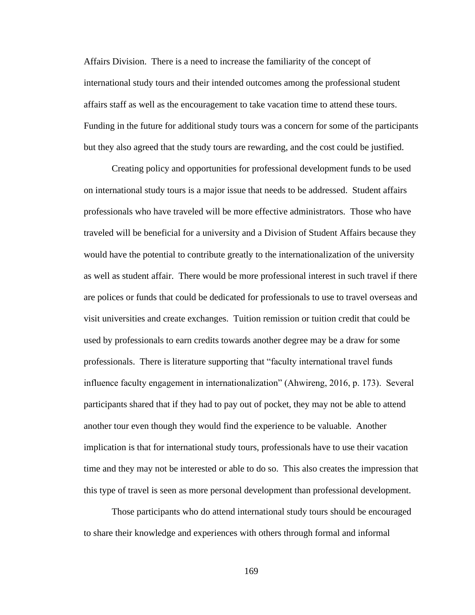Affairs Division. There is a need to increase the familiarity of the concept of international study tours and their intended outcomes among the professional student affairs staff as well as the encouragement to take vacation time to attend these tours. Funding in the future for additional study tours was a concern for some of the participants but they also agreed that the study tours are rewarding, and the cost could be justified.

Creating policy and opportunities for professional development funds to be used on international study tours is a major issue that needs to be addressed. Student affairs professionals who have traveled will be more effective administrators. Those who have traveled will be beneficial for a university and a Division of Student Affairs because they would have the potential to contribute greatly to the internationalization of the university as well as student affair. There would be more professional interest in such travel if there are polices or funds that could be dedicated for professionals to use to travel overseas and visit universities and create exchanges. Tuition remission or tuition credit that could be used by professionals to earn credits towards another degree may be a draw for some professionals. There is literature supporting that "faculty international travel funds influence faculty engagement in internationalization" (Ahwireng, 2016, p. 173). Several participants shared that if they had to pay out of pocket, they may not be able to attend another tour even though they would find the experience to be valuable. Another implication is that for international study tours, professionals have to use their vacation time and they may not be interested or able to do so. This also creates the impression that this type of travel is seen as more personal development than professional development.

Those participants who do attend international study tours should be encouraged to share their knowledge and experiences with others through formal and informal

169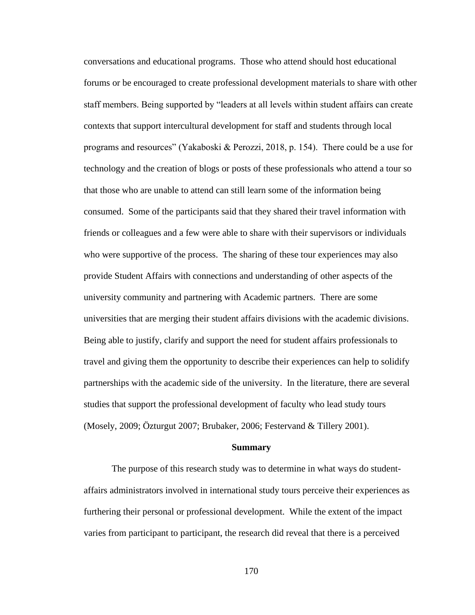conversations and educational programs. Those who attend should host educational forums or be encouraged to create professional development materials to share with other staff members. Being supported by "leaders at all levels within student affairs can create contexts that support intercultural development for staff and students through local programs and resources" (Yakaboski & Perozzi, 2018, p. 154). There could be a use for technology and the creation of blogs or posts of these professionals who attend a tour so that those who are unable to attend can still learn some of the information being consumed. Some of the participants said that they shared their travel information with friends or colleagues and a few were able to share with their supervisors or individuals who were supportive of the process. The sharing of these tour experiences may also provide Student Affairs with connections and understanding of other aspects of the university community and partnering with Academic partners. There are some universities that are merging their student affairs divisions with the academic divisions. Being able to justify, clarify and support the need for student affairs professionals to travel and giving them the opportunity to describe their experiences can help to solidify partnerships with the academic side of the university. In the literature, there are several studies that support the professional development of faculty who lead study tours (Mosely, 2009; Özturgut 2007; Brubaker, 2006; Festervand & Tillery 2001).

#### **Summary**

The purpose of this research study was to determine in what ways do studentaffairs administrators involved in international study tours perceive their experiences as furthering their personal or professional development. While the extent of the impact varies from participant to participant, the research did reveal that there is a perceived

170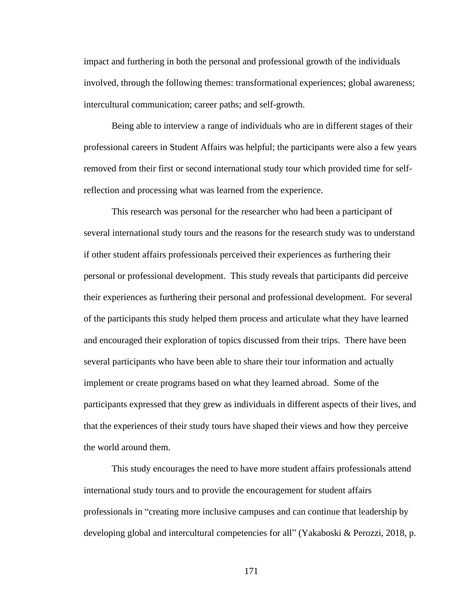impact and furthering in both the personal and professional growth of the individuals involved, through the following themes: transformational experiences; global awareness; intercultural communication; career paths; and self-growth.

Being able to interview a range of individuals who are in different stages of their professional careers in Student Affairs was helpful; the participants were also a few years removed from their first or second international study tour which provided time for selfreflection and processing what was learned from the experience.

This research was personal for the researcher who had been a participant of several international study tours and the reasons for the research study was to understand if other student affairs professionals perceived their experiences as furthering their personal or professional development. This study reveals that participants did perceive their experiences as furthering their personal and professional development. For several of the participants this study helped them process and articulate what they have learned and encouraged their exploration of topics discussed from their trips. There have been several participants who have been able to share their tour information and actually implement or create programs based on what they learned abroad. Some of the participants expressed that they grew as individuals in different aspects of their lives, and that the experiences of their study tours have shaped their views and how they perceive the world around them.

This study encourages the need to have more student affairs professionals attend international study tours and to provide the encouragement for student affairs professionals in "creating more inclusive campuses and can continue that leadership by developing global and intercultural competencies for all" (Yakaboski & Perozzi, 2018, p.

171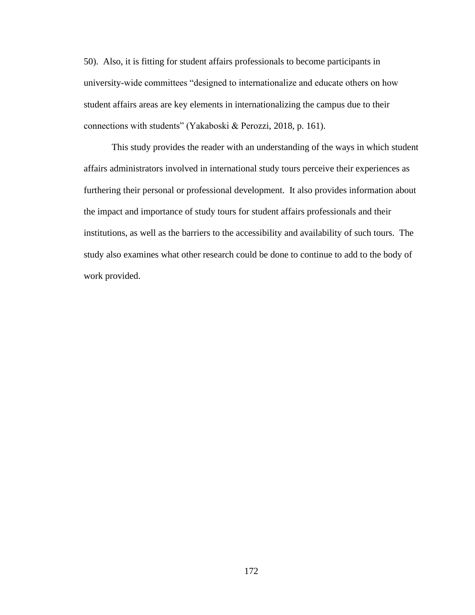50). Also, it is fitting for student affairs professionals to become participants in university-wide committees "designed to internationalize and educate others on how student affairs areas are key elements in internationalizing the campus due to their connections with students" (Yakaboski & Perozzi, 2018, p. 161).

This study provides the reader with an understanding of the ways in which student affairs administrators involved in international study tours perceive their experiences as furthering their personal or professional development. It also provides information about the impact and importance of study tours for student affairs professionals and their institutions, as well as the barriers to the accessibility and availability of such tours. The study also examines what other research could be done to continue to add to the body of work provided.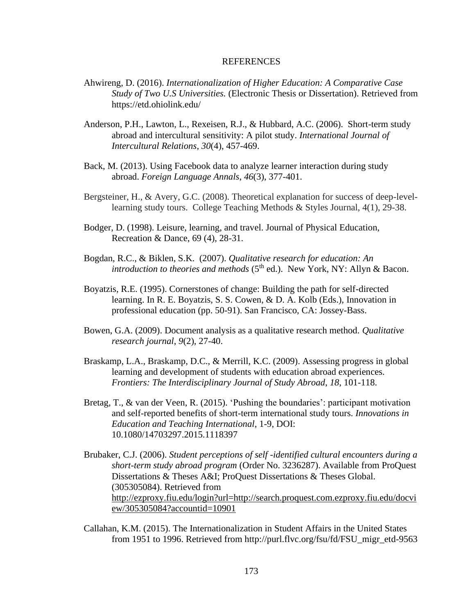#### REFERENCES

- Ahwireng, D. (2016). *Internationalization of Higher Education: A Comparative Case Study of Two U.S Universities.* (Electronic Thesis or Dissertation). Retrieved from https://etd.ohiolink.edu/
- Anderson, P.H., Lawton, L., Rexeisen, R.J., & Hubbard, A.C. (2006). Short-term study abroad and intercultural sensitivity: A pilot study. *International Journal of Intercultural Relations*, *30*(4), 457-469.
- Back, M. (2013). Using Facebook data to analyze learner interaction during study abroad. *Foreign Language Annals*, *46*(3), 377-401.
- Bergsteiner, H., & Avery, G.C. (2008). Theoretical explanation for success of deep-levellearning study tours. College Teaching Methods & Styles Journal, 4(1), 29-38.
- Bodger, D. (1998). Leisure, learning, and travel. Journal of Physical Education, Recreation & Dance, 69 (4), 28-31.
- Bogdan, R.C., & Biklen, S.K. (2007). *Qualitative research for education: An introduction to theories and methods* ( $5<sup>th</sup>$  ed.). New York, NY: Allyn & Bacon.
- Boyatzis, R.E. (1995). Cornerstones of change: Building the path for self-directed learning. In R. E. Boyatzis, S. S. Cowen, & D. A. Kolb (Eds.), Innovation in professional education (pp. 50-91). San Francisco, CA: Jossey-Bass.
- Bowen, G.A. (2009). Document analysis as a qualitative research method. *Qualitative research journal*, *9*(2), 27-40.
- Braskamp, L.A., Braskamp, D.C., & Merrill, K.C. (2009). Assessing progress in global learning and development of students with education abroad experiences. *Frontiers: The Interdisciplinary Journal of Study Abroad*, *18*, 101-118.
- Bretag, T., & van der Veen, R. (2015). 'Pushing the boundaries': participant motivation and self-reported benefits of short-term international study tours. *Innovations in Education and Teaching International*, 1-9, DOI: 10.1080/14703297.2015.1118397
- Brubaker, C.J. (2006). *Student perceptions of self -identified cultural encounters during a short-term study abroad program* (Order No. 3236287). Available from ProQuest Dissertations & Theses A&I; ProQuest Dissertations & Theses Global. (305305084). Retrieved from [http://ezproxy.fiu.edu/login?url=http://search.proquest.com.ezproxy.fiu.edu/docvi](http://ezproxy.fiu.edu/login?url=http://search.proquest.com.ezproxy.fiu.edu/docview/305305084?accountid=10901) [ew/305305084?accountid=10901](http://ezproxy.fiu.edu/login?url=http://search.proquest.com.ezproxy.fiu.edu/docview/305305084?accountid=10901)
- Callahan, K.M. (2015). The Internationalization in Student Affairs in the United States from 1951 to 1996. Retrieved from http://purl.flvc.org/fsu/fd/FSU\_migr\_etd-9563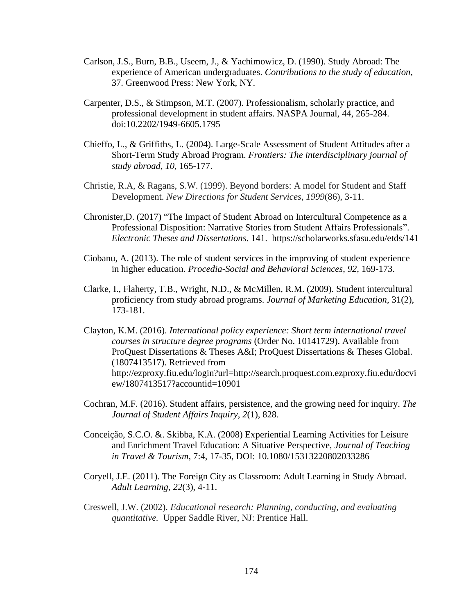- Carlson, J.S., Burn, B.B., Useem, J., & Yachimowicz, D. (1990). Study Abroad: The experience of American undergraduates. *Contributions to the study of education*, 37. Greenwood Press: New York, NY.
- Carpenter, D.S., & Stimpson, M.T. (2007). Professionalism, scholarly practice, and professional development in student affairs. NASPA Journal, 44, 265-284. doi:10.2202/1949-6605.1795
- Chieffo, L., & Griffiths, L. (2004). Large-Scale Assessment of Student Attitudes after a Short-Term Study Abroad Program. *Frontiers: The interdisciplinary journal of study abroad*, *10*, 165-177.
- Christie, R.A, & Ragans, S.W. (1999). Beyond borders: A model for Student and Staff Development. *New Directions for Student Services*, *1999*(86), 3-11.
- Chronister,D. (2017) "The Impact of Student Abroad on Intercultural Competence as a Professional Disposition: Narrative Stories from Student Affairs Professionals". *Electronic Theses and Dissertations*. 141. https://scholarworks.sfasu.edu/etds/141
- Ciobanu, A. (2013). The role of student services in the improving of student experience in higher education. *Procedia-Social and Behavioral Sciences*, *92*, 169-173.
- Clarke, I., Flaherty, T.B., Wright, N.D., & McMillen, R.M. (2009). Student intercultural proficiency from study abroad programs. *Journal of Marketing Education*, 31(2), 173-181.
- Clayton, K.M. (2016). *International policy experience: Short term international travel courses in structure degree programs* (Order No. 10141729). Available from ProQuest Dissertations & Theses A&I; ProQuest Dissertations & Theses Global. (1807413517). Retrieved from http://ezproxy.fiu.edu/login?url=http://search.proquest.com.ezproxy.fiu.edu/docvi ew/1807413517?accountid=10901
- Cochran, M.F. (2016). Student affairs, persistence, and the growing need for inquiry. *The Journal of Student Affairs Inquiry*, *2*(1), 828.
- Conceição, S.C.O. &. Skibba, K.A. (2008) Experiential Learning Activities for Leisure and Enrichment Travel Education: A Situative Perspective, *Journal of Teaching in Travel & Tourism*, 7:4, 17-35, DOI: 10.1080/15313220802033286
- Coryell, J.E. (2011). The Foreign City as Classroom: Adult Learning in Study Abroad. *Adult Learning*, *22*(3), 4-11.
- Creswell, J.W. (2002). *Educational research: Planning, conducting, and evaluating quantitative.* Upper Saddle River, NJ: Prentice Hall.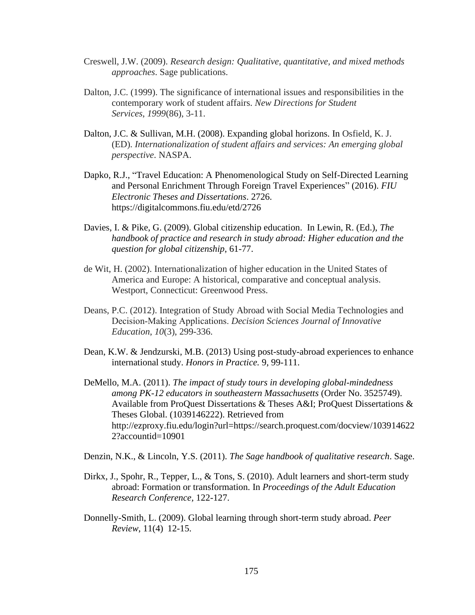- Creswell, J.W. (2009). *Research design: Qualitative, quantitative, and mixed methods approaches*. Sage publications.
- Dalton, J.C. (1999). The significance of international issues and responsibilities in the contemporary work of student affairs. *New Directions for Student Services*, *1999*(86), 3-11.
- Dalton, J.C. & Sullivan, M.H. (2008). Expanding global horizons. In Osfield, K. J. (ED). *Internationalization of student affairs and services: An emerging global perspective*. NASPA.
- Dapko, R.J., "Travel Education: A Phenomenological Study on Self-Directed Learning and Personal Enrichment Through Foreign Travel Experiences" (2016). *FIU Electronic Theses and Dissertations*. 2726. https://digitalcommons.fiu.edu/etd/2726
- Davies, I. & Pike, G. (2009). Global citizenship education. In Lewin, R. (Ed.), *The handbook of practice and research in study abroad: Higher education and the question for global citizenship*, 61-77.
- de Wit, H. (2002). Internationalization of higher education in the United States of America and Europe: A historical, comparative and conceptual analysis. Westport, Connecticut: Greenwood Press.
- Deans, P.C. (2012). Integration of Study Abroad with Social Media Technologies and Decision‐Making Applications. *Decision Sciences Journal of Innovative Education*, *10*(3), 299-336.
- Dean, K.W. & Jendzurski, M.B. (2013) Using post-study-abroad experiences to enhance international study. *Honors in Practice.* 9, 99-111.
- DeMello, M.A. (2011). *The impact of study tours in developing global-mindedness among PK-12 educators in southeastern Massachusetts* (Order No. 3525749). Available from ProQuest Dissertations & Theses A&I; ProQuest Dissertations & Theses Global. (1039146222). Retrieved from http://ezproxy.fiu.edu/login?url=https://search.proquest.com/docview/103914622 2?accountid=10901

Denzin, N.K., & Lincoln, Y.S. (2011). *The Sage handbook of qualitative research*. Sage.

- Dirkx, J., Spohr, R., Tepper, L., & Tons, S. (2010). Adult learners and short-term study abroad: Formation or transformation. In *Proceedings of the Adult Education Research Conference,* 122-127.
- Donnelly-Smith, L. (2009). Global learning through short-term study abroad. *Peer Review*, 11(4) 12-15.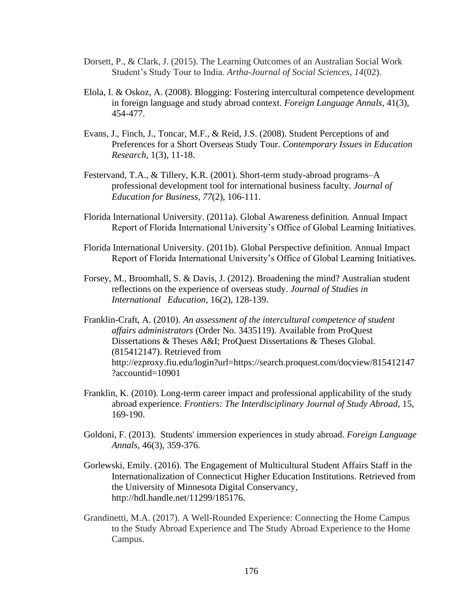- Dorsett, P., & Clark, J. (2015). The Learning Outcomes of an Australian Social Work Student's Study Tour to India. *Artha-Journal of Social Sciences*, *14*(02).
- Elola, I. & Oskoz, A. (2008). Blogging: Fostering intercultural competence development in foreign language and study abroad context. *Foreign Language Annals*, 41(3), 454-477.
- Evans, J., Finch, J., Toncar, M.F., & Reid, J.S. (2008). Student Perceptions of and Preferences for a Short Overseas Study Tour. *Contemporary Issues in Education Research,* 1(3), 11-18.
- Festervand, T.A., & Tillery, K.R. (2001). Short-term study-abroad programs–A professional development tool for international business faculty. *Journal of Education for Business*, *77*(2), 106-111.
- Florida International University. (2011a). Global Awareness definition. Annual Impact Report of Florida International University's Office of Global Learning Initiatives.
- Florida International University. (2011b). Global Perspective definition. Annual Impact Report of Florida International University's Office of Global Learning Initiatives.
- Forsey, M., Broomhall, S. & Davis, J. (2012). Broadening the mind? Australian student reflections on the experience of overseas study. *Journal of Studies in International Education,* 16(2), 128-139.
- Franklin-Craft, A. (2010). *An assessment of the intercultural competence of student affairs administrators* (Order No. 3435119). Available from ProQuest Dissertations & Theses A&I; ProQuest Dissertations & Theses Global. (815412147). Retrieved from http://ezproxy.fiu.edu/login?url=https://search.proquest.com/docview/815412147 ?accountid=10901
- Franklin, K. (2010). Long-term career impact and professional applicability of the study abroad experience. *Frontiers: The Interdisciplinary Journal of Study Abroad,* 15, 169-190.
- Goldoni, F. (2013). Students' immersion experiences in study abroad. *Foreign Language Annals,* 46(3), 359-376.
- Gorlewski, Emily. (2016). The Engagement of Multicultural Student Affairs Staff in the Internationalization of Connecticut Higher Education Institutions. Retrieved from the University of Minnesota Digital Conservancy, http://hdl.handle.net/11299/185176.
- Grandinetti, M.A. (2017). A Well-Rounded Experience: Connecting the Home Campus to the Study Abroad Experience and The Study Abroad Experience to the Home Campus.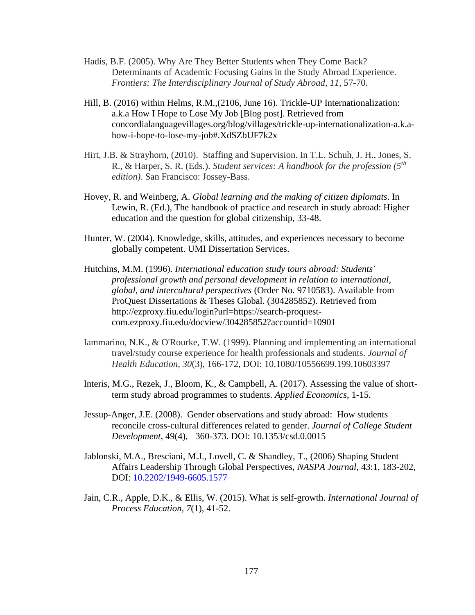- Hadis, B.F. (2005). Why Are They Better Students when They Come Back? Determinants of Academic Focusing Gains in the Study Abroad Experience. *Frontiers: The Interdisciplinary Journal of Study Abroad*, *11*, 57-70.
- Hill, B. (2016) within Helms, R.M.,(2106, June 16). Trickle-UP Internationalization: a.k.a How I Hope to Lose My Job [Blog post]. Retrieved from concordialanguagevillages.org/blog/villages/trickle-up-internationalization-a.k.ahow-i-hope-to-lose-my-job#.XdSZbUF7k2x
- Hirt, J.B. & Strayhorn, (2010). Staffing and Supervision. In T.L. Schuh, J. H., Jones, S. R., & Harper, S. R. (Eds.). *Student services: A handbook for the profession (5th edition)*. San Francisco: Jossey-Bass.
- Hovey, R. and Weinberg, A. *Global learning and the making of citizen diplomats*. In Lewin, R. (Ed.), The handbook of practice and research in study abroad: Higher education and the question for global citizenship, 33-48.
- Hunter, W. (2004). Knowledge, skills, attitudes, and experiences necessary to become globally competent. UMI Dissertation Services.
- Hutchins, M.M. (1996). *International education study tours abroad: Students' professional growth and personal development in relation to international, global, and intercultural perspectives* (Order No. 9710583). Available from ProQuest Dissertations & Theses Global. (304285852). Retrieved from http://ezproxy.fiu.edu/login?url=https://search-proquestcom.ezproxy.fiu.edu/docview/304285852?accountid=10901
- Iammarino, N.K., & O'Rourke, T.W. (1999). Planning and implementing an international travel/study course experience for health professionals and students. *Journal of Health Education*, *30*(3), 166-172, DOI: 10.1080/10556699.199.10603397
- Interis, M.G., Rezek, J., Bloom, K., & Campbell, A. (2017). Assessing the value of shortterm study abroad programmes to students. *Applied Economics*, 1-15.
- Jessup-Anger, J.E. (2008). Gender observations and study abroad: How students reconcile cross-cultural differences related to gender. *Journal of College Student Development*, 49(4), 360-373. DOI: 10.1353/csd.0.0015
- Jablonski, M.A., Bresciani, M.J., Lovell, C. & Shandley, T., (2006) Shaping Student Affairs Leadership Through Global Perspectives, *NASPA Journal*, 43:1, 183-202, DOI: [10.2202/1949-6605.1577](https://doi.org/10.2202/1949-6605.1577)
- Jain, C.R., Apple, D.K., & Ellis, W. (2015). What is self-growth. *International Journal of Process Education*, *7*(1), 41-52.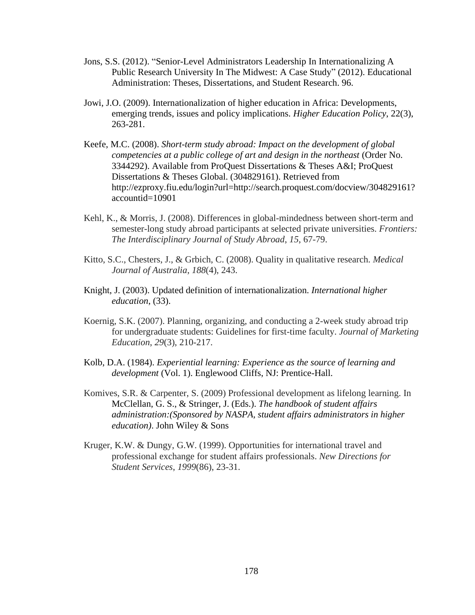- Jons, S.S. (2012). "Senior-Level Administrators Leadership In Internationalizing A Public Research University In The Midwest: A Case Study" (2012). Educational Administration: Theses, Dissertations, and Student Research. 96.
- Jowi, J.O. (2009). Internationalization of higher education in Africa: Developments, emerging trends, issues and policy implications. *Higher Education Policy*, 22(3), 263-281.
- Keefe, M.C. (2008). *Short-term study abroad: Impact on the development of global competencies at a public college of art and design in the northeast* (Order No. 3344292). Available from ProQuest Dissertations & Theses A&I; ProQuest Dissertations & Theses Global. (304829161). Retrieved from http://ezproxy.fiu.edu/login?url=http://search.proquest.com/docview/304829161? accountid=10901
- Kehl, K., & Morris, J. (2008). Differences in global-mindedness between short-term and semester-long study abroad participants at selected private universities. *Frontiers: The Interdisciplinary Journal of Study Abroad*, *15*, 67-79.
- Kitto, S.C., Chesters, J., & Grbich, C. (2008). Quality in qualitative research. *Medical Journal of Australia*, *188*(4), 243.
- Knight, J. (2003). Updated definition of internationalization. *International higher education*, (33).
- Koernig, S.K. (2007). Planning, organizing, and conducting a 2-week study abroad trip for undergraduate students: Guidelines for first-time faculty. *Journal of Marketing Education*, *29*(3), 210-217.
- Kolb, D.A. (1984). *Experiential learning: Experience as the source of learning and development* (Vol. 1). Englewood Cliffs, NJ: Prentice-Hall.
- Komives, S.R. & Carpenter, S. (2009) Professional development as lifelong learning. In McClellan, G. S., & Stringer, J. (Eds.). *The handbook of student affairs administration:(Sponsored by NASPA, student affairs administrators in higher education)*. John Wiley & Sons
- Kruger, K.W. & Dungy, G.W. (1999). Opportunities for international travel and professional exchange for student affairs professionals. *New Directions for Student Services*, *1999*(86), 23-31.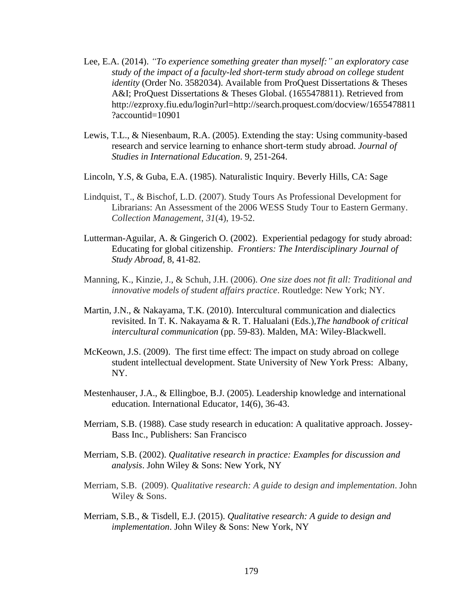- Lee, E.A. (2014). *"To experience something greater than myself:" an exploratory case study of the impact of a faculty-led short-term study abroad on college student identity* (Order No. 3582034). Available from ProQuest Dissertations & Theses A&I; ProQuest Dissertations & Theses Global. (1655478811). Retrieved from http://ezproxy.fiu.edu/login?url=http://search.proquest.com/docview/1655478811 ?accountid=10901
- Lewis, T.L., & Niesenbaum, R.A. (2005). Extending the stay: Using community-based research and service learning to enhance short-term study abroad. *Journal of Studies in International Education*. 9, 251-264.
- Lincoln, Y.S, & Guba, E.A. (1985). Naturalistic Inquiry. Beverly Hills, CA: Sage
- Lindquist, T., & Bischof, L.D. (2007). Study Tours As Professional Development for Librarians: An Assessment of the 2006 WESS Study Tour to Eastern Germany. *Collection Management*, *31*(4), 19-52.
- Lutterman-Aguilar, A. & Gingerich O. (2002). Experiential pedagogy for study abroad: Educating for global citizenship. *Frontiers: The Interdisciplinary Journal of Study Abroad,* 8, 41-82.
- Manning, K., Kinzie, J., & Schuh, J.H. (2006). *One size does not fit all: Traditional and innovative models of student affairs practice*. Routledge: New York; NY.
- Martin, J.N., & Nakayama, T.K. (2010). Intercultural communication and dialectics revisited. In T. K. Nakayama & R. T. Halualani (Eds.),*The handbook of critical intercultural communication* (pp. 59-83). Malden, MA: Wiley-Blackwell.
- McKeown, J.S. (2009). The first time effect: The impact on study abroad on college student intellectual development. State University of New York Press: Albany, NY.
- Mestenhauser, J.A., & Ellingboe, B.J. (2005). Leadership knowledge and international education. International Educator, 14(6), 36-43.
- Merriam, S.B. (1988). Case study research in education: A qualitative approach. Jossey-Bass Inc., Publishers: San Francisco
- Merriam, S.B. (2002). *Qualitative research in practice: Examples for discussion and analysis*. John Wiley & Sons: New York, NY
- Merriam, S.B. (2009). *Qualitative research: A guide to design and implementation*. John Wiley & Sons.
- Merriam, S.B., & Tisdell, E.J. (2015). *Qualitative research: A guide to design and implementation*. John Wiley & Sons: New York, NY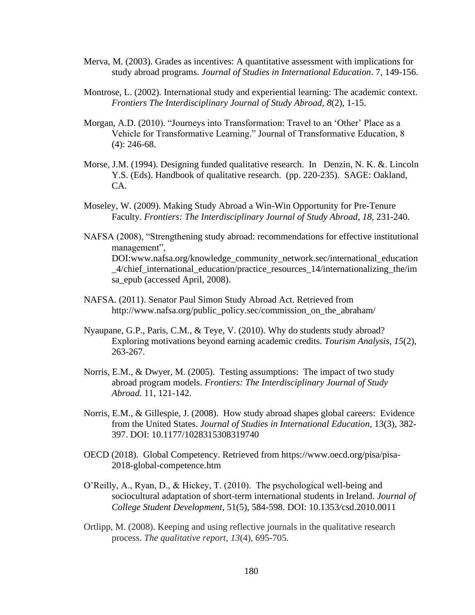- Merva, M. (2003). Grades as incentives: A quantitative assessment with implications for study abroad programs. *Journal of Studies in International Education*. 7, 149-156.
- Montrose, L. (2002). International study and experiential learning: The academic context. *Frontiers The Interdisciplinary Journal of Study Abroad*, *8*(2), 1-15.
- Morgan, A.D. (2010). "Journeys into Transformation: Travel to an 'Other' Place as a Vehicle for Transformative Learning." Journal of Transformative Education, 8 (4): 246-68.
- Morse, J.M. (1994). Designing funded qualitative research. In Denzin, N. K. &. Lincoln Y.S. (Eds). Handbook of qualitative research. (pp. 220-235). SAGE: Oakland, CA.
- Moseley, W. (2009). Making Study Abroad a Win-Win Opportunity for Pre-Tenure Faculty. *Frontiers: The Interdisciplinary Journal of Study Abroad*, *18*, 231-240.
- NAFSA (2008), "Strengthening study abroad: recommendations for effective institutional management", DOI:www.nafsa.org/knowledge\_community\_network.sec/international\_education \_4/chief\_international\_education/practice\_resources\_14/internationalizing\_the/im sa\_epub (accessed April, 2008).
- NAFSA. (2011). Senator Paul Simon Study Abroad Act. Retrieved from http://www.nafsa.org/public\_policy.sec/commission\_on\_the\_abraham/
- Nyaupane, G.P., Paris, C.M., & Teye, V. (2010). Why do students study abroad? Exploring motivations beyond earning academic credits. *Tourism Analysis*, *15*(2), 263-267.
- Norris, E.M., & Dwyer, M. (2005). Testing assumptions: The impact of two study abroad program models. *Frontiers: The Interdisciplinary Journal of Study Abroad.* 11, 121-142.
- Norris, E.M., & Gillespie, J. (2008). How study abroad shapes global careers: Evidence from the United States. *Journal of Studies in International Education*, 13(3), 382- 397. DOI: 10.1177/1028315308319740
- OECD (2018). Global Competency. Retrieved from https://www.oecd.org/pisa/pisa-2018-global-competence.htm
- O'Reilly, A., Ryan, D., & Hickey, T. (2010). The psychological well-being and sociocultural adaptation of short-term international students in Ireland. *Journal of College Student Development*, 51(5), 584-598. DOI: 10.1353/csd.2010.0011
- Ortlipp, M. (2008). Keeping and using reflective journals in the qualitative research process. *The qualitative report*, *13*(4), 695-705.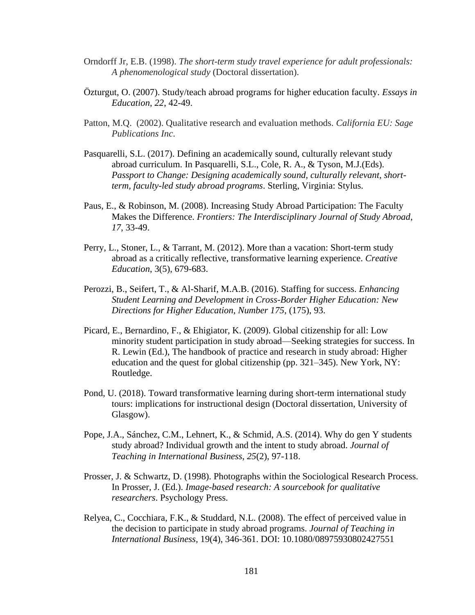- Orndorff Jr, E.B. (1998). *The short-term study travel experience for adult professionals: A phenomenological study* (Doctoral dissertation).
- Özturgut, O. (2007). Study/teach abroad programs for higher education faculty. *Essays in Education*, *22*, 42-49.
- Patton, M.Q. (2002). Qualitative research and evaluation methods. *California EU: Sage Publications Inc*.
- Pasquarelli, S.L. (2017). Defining an academically sound, culturally relevant study abroad curriculum. In Pasquarelli, S.L., Cole, R. A., & Tyson, M.J.(Eds). *Passport to Change: Designing academically sound, culturally relevant, shortterm, faculty-led study abroad programs*. Sterling, Virginia: Stylus.
- Paus, E., & Robinson, M. (2008). Increasing Study Abroad Participation: The Faculty Makes the Difference. *Frontiers: The Interdisciplinary Journal of Study Abroad*, *17*, 33-49.
- Perry, L., Stoner, L., & Tarrant, M. (2012). More than a vacation: Short-term study abroad as a critically reflective, transformative learning experience. *Creative Education*, 3(5), 679-683.
- Perozzi, B., Seifert, T., & Al-Sharif, M.A.B. (2016). Staffing for success. *Enhancing Student Learning and Development in Cross-Border Higher Education: New Directions for Higher Education, Number 175*, (175), 93.
- Picard, E., Bernardino, F., & Ehigiator, K. (2009). Global citizenship for all: Low minority student participation in study abroad—Seeking strategies for success. In R. Lewin (Ed.), The handbook of practice and research in study abroad: Higher education and the quest for global citizenship (pp. 321–345). New York, NY: Routledge.
- Pond, U. (2018). Toward transformative learning during short-term international study tours: implications for instructional design (Doctoral dissertation, University of Glasgow).
- Pope, J.A., Sánchez, C.M., Lehnert, K., & Schmid, A.S. (2014). Why do gen Y students study abroad? Individual growth and the intent to study abroad. *Journal of Teaching in International Business*, *25*(2), 97-118.
- Prosser, J. & Schwartz, D. (1998). Photographs within the Sociological Research Process. In Prosser, J. (Ed.). *Image-based research: A sourcebook for qualitative researchers*. Psychology Press.
- Relyea, C., Cocchiara, F.K., & Studdard, N.L. (2008). The effect of perceived value in the decision to participate in study abroad programs. *Journal of Teaching in International Business,* 19(4), 346-361. DOI: 10.1080/08975930802427551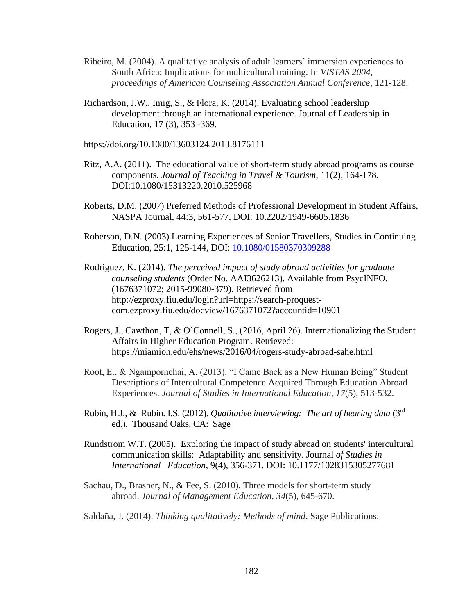- Ribeiro, M. (2004). A qualitative analysis of adult learners' immersion experiences to South Africa: Implications for multicultural training. In *VISTAS 2004, proceedings of American Counseling Association Annual Conference*, 121-128.
- Richardson, J.W., Imig, S., & Flora, K. (2014). Evaluating school leadership development through an international experience. Journal of Leadership in Education, 17 (3), 353 -369.
- https://doi.org/10.1080/13603124.2013.8176111
- Ritz, A.A. (2011). The educational value of short-term study abroad programs as course components. *Journal of Teaching in Travel & Tourism*, 11(2), 164-178. DOI:10.1080/15313220.2010.525968
- Roberts, D.M. (2007) Preferred Methods of Professional Development in Student Affairs, NASPA Journal, 44:3, 561-577, DOI: 10.2202/1949-6605.1836
- Roberson, D.N. (2003) Learning Experiences of Senior Travellers, Studies in Continuing Education, 25:1, 125-144, DOI: [10.1080/01580370309288](https://doi.org/10.1080/01580370309288)
- Rodriguez, K. (2014). *The perceived impact of study abroad activities for graduate counseling students* (Order No. AAI3626213). Available from PsycINFO. (1676371072; 2015-99080-379). Retrieved from http://ezproxy.fiu.edu/login?url=https://search-proquestcom.ezproxy.fiu.edu/docview/1676371072?accountid=10901
- Rogers, J., Cawthon, T, & O'Connell, S., (2016, April 26). Internationalizing the Student Affairs in Higher Education Program. Retrieved: https://miamioh.edu/ehs/news/2016/04/rogers-study-abroad-sahe.html
- Root, E., & Ngampornchai, A. (2013). "I Came Back as a New Human Being" Student Descriptions of Intercultural Competence Acquired Through Education Abroad Experiences. *Journal of Studies in International Education*, *17*(5), 513-532.
- Rubin, H.J., & Rubin. I.S. (2012). *Qualitative interviewing: The art of hearing data* (3rd ed.). Thousand Oaks, CA: Sage
- Rundstrom W.T. (2005). Exploring the impact of study abroad on students' intercultural communication skills: Adaptability and sensitivity. Journal *of Studies in International Education*, 9(4), 356-371. DOI: 10.1177/1028315305277681
- Sachau, D., Brasher, N., & Fee, S. (2010). Three models for short-term study abroad. *Journal of Management Education*, *34*(5), 645-670.
- Saldaña, J. (2014). *Thinking qualitatively: Methods of mind*. Sage Publications.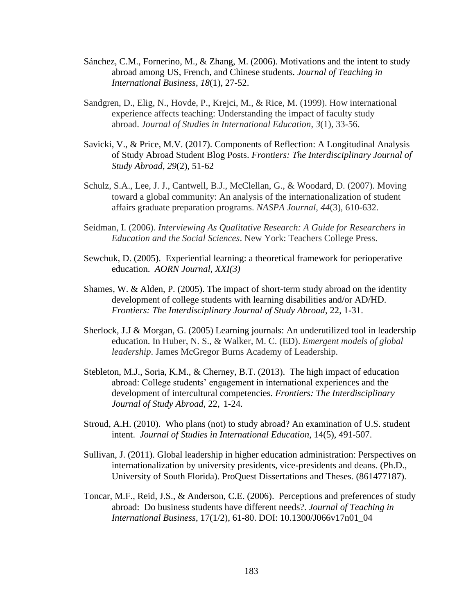- Sánchez, C.M., Fornerino, M., & Zhang, M. (2006). Motivations and the intent to study abroad among US, French, and Chinese students. *Journal of Teaching in International Business*, *18*(1), 27-52.
- Sandgren, D., Elig, N., Hovde, P., Krejci, M., & Rice, M. (1999). How international experience affects teaching: Understanding the impact of faculty study abroad. *Journal of Studies in International Education*, *3*(1), 33-56.
- Savicki, V., & Price, M.V. (2017). Components of Reflection: A Longitudinal Analysis of Study Abroad Student Blog Posts. *Frontiers: The Interdisciplinary Journal of Study Abroad*, *29*(2), 51-62
- Schulz, S.A., Lee, J. J., Cantwell, B.J., McClellan, G., & Woodard, D. (2007). Moving toward a global community: An analysis of the internationalization of student affairs graduate preparation programs. *NASPA Journal*, *44*(3), 610-632.
- Seidman, I. (2006). *Interviewing As Qualitative Research: A Guide for Researchers in Education and the Social Sciences*. New York: Teachers College Press.
- Sewchuk, D. (2005). Experiential learning: a theoretical framework for perioperative education. *AORN Journal*, *XXI(3)*
- Shames, W. & Alden, P. (2005). The impact of short-term study abroad on the identity development of college students with learning disabilities and/or AD/HD. *Frontiers: The Interdisciplinary Journal of Study Abroad*, 22, 1-31.
- Sherlock, J.J & Morgan, G. (2005) Learning journals: An underutilized tool in leadership education. In Huber, N. S., & Walker, M. C. (ED). *Emergent models of global leadership*. James McGregor Burns Academy of Leadership.
- Stebleton, M.J., Soria, K.M., & Cherney, B.T. (2013). The high impact of education abroad: College students' engagement in international experiences and the development of intercultural competencies. *Frontiers: The Interdisciplinary Journal of Study Abroad*, 22, 1-24.
- Stroud, A.H. (2010). Who plans (not) to study abroad? An examination of U.S. student intent. *Journal of Studies in International Education*, 14(5), 491-507.
- Sullivan, J. (2011). Global leadership in higher education administration: Perspectives on internationalization by university presidents, vice-presidents and deans. (Ph.D., University of South Florida). ProQuest Dissertations and Theses. (861477187).
- Toncar, M.F., Reid, J.S., & Anderson, C.E. (2006). Perceptions and preferences of study abroad: Do business students have different needs?. *Journal of Teaching in International Business*, 17(1/2), 61-80. DOI: 10.1300/J066v17n01\_04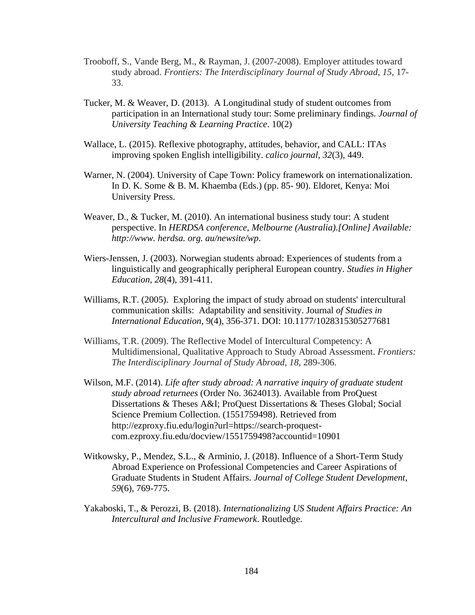- Trooboff, S., Vande Berg, M., & Rayman, J. (2007-2008). Employer attitudes toward study abroad. *Frontiers: The Interdisciplinary Journal of Study Abroad*, *15*, 17- 33.
- Tucker, M. & Weaver, D. (2013). A Longitudinal study of student outcomes from participation in an International study tour: Some preliminary findings. *Journal of University Teaching & Learning Practice*. 10(2)
- Wallace, L. (2015). Reflexive photography, attitudes, behavior, and CALL: ITAs improving spoken English intelligibility. *calico journal*, *32*(3), 449.
- Warner, N. (2004). University of Cape Town: Policy framework on internationalization. In D. K. Some & B. M. Khaemba (Eds.) (pp. 85- 90). Eldoret, Kenya: Moi University Press.
- Weaver, D., & Tucker, M. (2010). An international business study tour: A student perspective. In *HERDSA conference, Melbourne (Australia).[Online] Available: http://www. herdsa. org. au/newsite/wp*.
- Wiers-Jenssen, J. (2003). Norwegian students abroad: Experiences of students from a linguistically and geographically peripheral European country. *Studies in Higher Education*, *28*(4), 391-411.
- Williams, R.T. (2005). Exploring the impact of study abroad on students' intercultural communication skills: Adaptability and sensitivity. Journal *of Studies in International Education*, 9(4), 356-371. DOI: 10.1177/1028315305277681
- Williams, T.R. (2009). The Reflective Model of Intercultural Competency: A Multidimensional, Qualitative Approach to Study Abroad Assessment. *Frontiers: The Interdisciplinary Journal of Study Abroad*, *18*, 289-306.
- Wilson, M.F. (2014). *Life after study abroad: A narrative inquiry of graduate student study abroad returnees* (Order No. 3624013). Available from ProQuest Dissertations & Theses A&I; ProQuest Dissertations & Theses Global; Social Science Premium Collection. (1551759498). Retrieved from http://ezproxy.fiu.edu/login?url=https://search-proquestcom.ezproxy.fiu.edu/docview/1551759498?accountid=10901
- Witkowsky, P., Mendez, S.L., & Arminio, J. (2018). Influence of a Short-Term Study Abroad Experience on Professional Competencies and Career Aspirations of Graduate Students in Student Affairs. *Journal of College Student Development*, *59*(6), 769-775.
- Yakaboski, T., & Perozzi, B. (2018). *Internationalizing US Student Affairs Practice: An Intercultural and Inclusive Framework*. Routledge.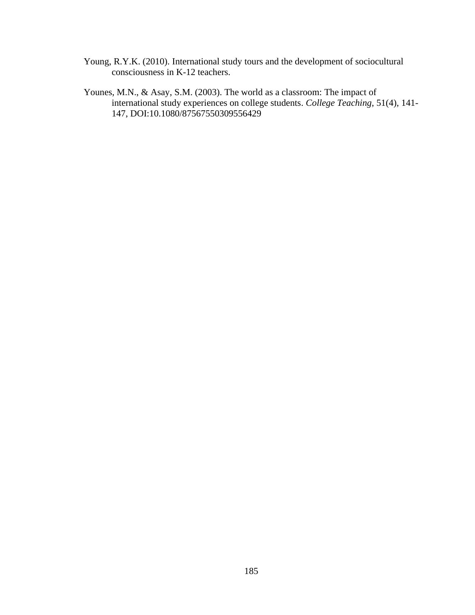- Young, R.Y.K. (2010). International study tours and the development of sociocultural consciousness in K-12 teachers.
- Younes, M.N., & Asay, S.M. (2003). The world as a classroom: The impact of international study experiences on college students. *College Teaching*, 51(4), 141- 147, DOI:10.1080/87567550309556429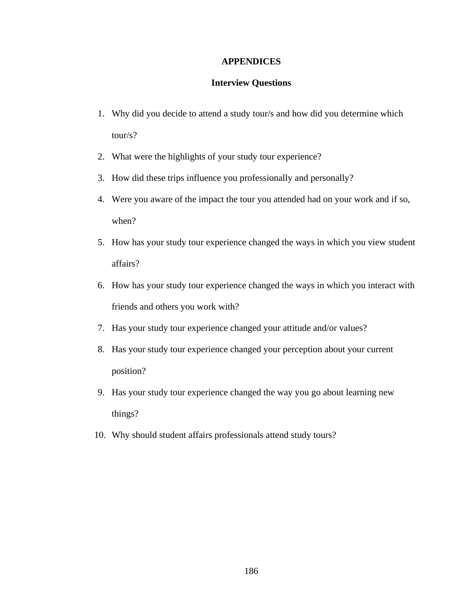### **APPENDICES**

#### **Interview Questions**

- 1. Why did you decide to attend a study tour/s and how did you determine which tour/s?
- 2. What were the highlights of your study tour experience?
- 3. How did these trips influence you professionally and personally?
- 4. Were you aware of the impact the tour you attended had on your work and if so, when?
- 5. How has your study tour experience changed the ways in which you view student affairs?
- 6. How has your study tour experience changed the ways in which you interact with friends and others you work with?
- 7. Has your study tour experience changed your attitude and/or values?
- 8. Has your study tour experience changed your perception about your current position?
- 9. Has your study tour experience changed the way you go about learning new things?
- 10. Why should student affairs professionals attend study tours?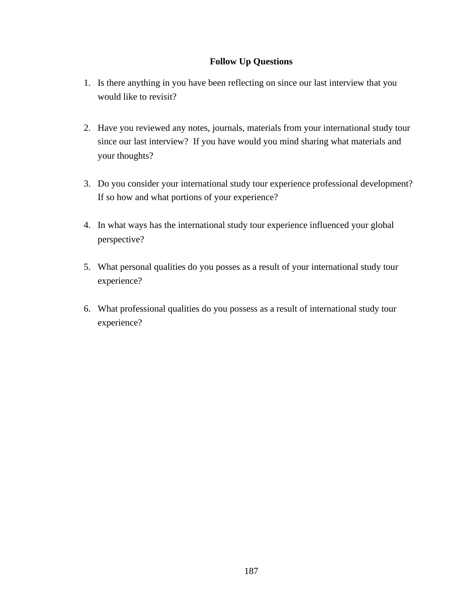## **Follow Up Questions**

- 1. Is there anything in you have been reflecting on since our last interview that you would like to revisit?
- 2. Have you reviewed any notes, journals, materials from your international study tour since our last interview? If you have would you mind sharing what materials and your thoughts?
- 3. Do you consider your international study tour experience professional development? If so how and what portions of your experience?
- 4. In what ways has the international study tour experience influenced your global perspective?
- 5. What personal qualities do you posses as a result of your international study tour experience?
- 6. What professional qualities do you possess as a result of international study tour experience?